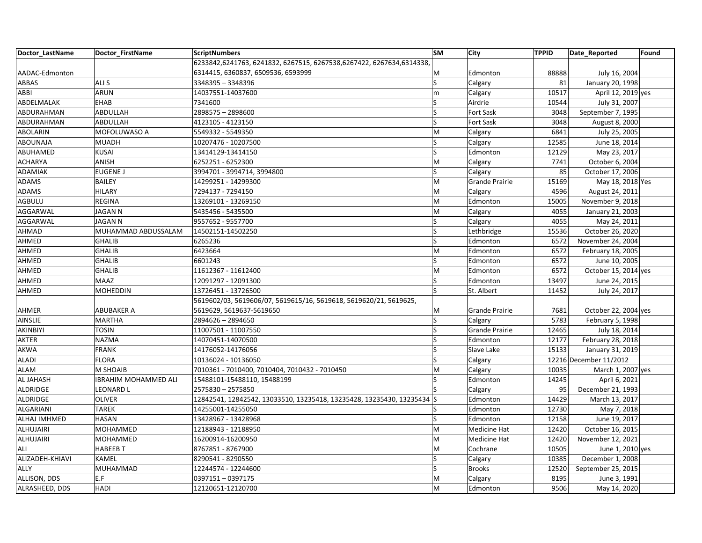| Doctor_LastName  | Doctor FirstName            | <b>ScriptNumbers</b>                                                   | <b>SM</b> | City                  | <b>TPPID</b> | Date Reported          | Found |
|------------------|-----------------------------|------------------------------------------------------------------------|-----------|-----------------------|--------------|------------------------|-------|
|                  |                             | 6233842,6241763, 6241832, 6267515, 6267538,6267422, 6267634,6314338,   |           |                       |              |                        |       |
| AADAC-Edmonton   |                             | 6314415, 6360837, 6509536, 6593999                                     | M         | Edmonton              | 88888        | July 16, 2004          |       |
| ABBAS            | ALI S                       | 3348395 - 3348396                                                      | S         | Calgary               | 81           | January 20, 1998       |       |
| ABBI             | <b>ARUN</b>                 | 14037551-14037600                                                      | m         | Calgary               | 10517        | April 12, 2019 yes     |       |
| ABDELMALAK       | <b>EHAB</b>                 | 7341600                                                                | S         | Airdrie               | 10544        | July 31, 2007          |       |
| ABDURAHMAN       | <b>ABDULLAH</b>             | 2898575 - 2898600                                                      | Ś         | Fort Sask             | 3048         | September 7, 1995      |       |
| ABDURAHMAN       | <b>ABDULLAH</b>             | 4123105 - 4123150                                                      | S         | <b>Fort Sask</b>      | 3048         | August 8, 2000         |       |
| ABOLARIN         | MOFOLUWASO A                | 5549332 - 5549350                                                      | M         | Calgary               | 6841         | July 25, 2005          |       |
| ABOUNAJA         | <b>MUADH</b>                | 10207476 - 10207500                                                    |           | Calgary               | 12585        | June 18, 2014          |       |
| ABUHAMED         | <b>KUSAI</b>                | 13414129-13414150                                                      | S         | Edmonton              | 12129        | May 23, 2017           |       |
| <b>ACHARYA</b>   | <b>ANISH</b>                | 6252251 - 6252300                                                      | M         | Calgary               | 7741         | October 6, 2004        |       |
| ADAMIAK          | <b>EUGENE J</b>             | 3994701 - 3994714, 3994800                                             | S         | Calgary               | 85           | October 17, 2006       |       |
| <b>ADAMS</b>     | <b>BAILEY</b>               | 14299251 - 14299300                                                    | M         | <b>Grande Prairie</b> | 15169        | May 18, 2018 Yes       |       |
| <b>ADAMS</b>     | <b>HILARY</b>               | 7294137 - 7294150                                                      | M         | Calgary               | 4596         | August 24, 2011        |       |
| AGBULU           | <b>REGINA</b>               | 13269101 - 13269150                                                    | M         | Edmonton              | 15005        | November 9, 2018       |       |
| AGGARWAL         | <b>JAGAN N</b>              | 5435456 - 5435500                                                      | M         | Calgary               | 4055         | January 21, 2003       |       |
| AGGARWAL         | <b>JAGAN N</b>              | 9557652 - 9557700                                                      | S         | Calgary               | 4055         | May 24, 2011           |       |
| AHMAD            | MUHAMMAD ABDUSSALAM         | 14502151-14502250                                                      | S         | Lethbridge            | 15536        | October 26, 2020       |       |
| AHMED            | <b>GHALIB</b>               | 6265236                                                                | S         | Edmonton              | 6572         | November 24, 2004      |       |
| AHMED            | <b>GHALIB</b>               | 6423664                                                                | M         | Edmonton              | 6572         | February 18, 2005      |       |
| AHMED            | <b>GHALIB</b>               | 6601243                                                                |           | Edmonton              | 6572         | June 10, 2005          |       |
| AHMED            | <b>GHALIB</b>               | 11612367 - 11612400                                                    | M         | Edmonton              | 6572         | October 15, 2014 yes   |       |
| AHMED            | <b>MAAZ</b>                 | 12091297 - 12091300                                                    | S         | Edmonton              | 13497        | June 24, 2015          |       |
| AHMED            | <b>MOHEDDIN</b>             | 13726451 - 13726500                                                    | ς         | St. Albert            | 11452        | July 24, 2017          |       |
|                  |                             | 5619602/03, 5619606/07, 5619615/16, 5619618, 5619620/21, 5619625,      |           |                       |              |                        |       |
| AHMER            | <b>ABUBAKER A</b>           | 5619629, 5619637-5619650                                               | M         | Grande Prairie        | 7681         | October 22, 2004 yes   |       |
| <b>AINSLIE</b>   | <b>MARTHA</b>               | 2894626 - 2894650                                                      | Ś         | Calgary               | 5783         | February 5, 1998       |       |
| AKINBIYI         | <b>TOSIN</b>                | 11007501 - 11007550                                                    | S         | <b>Grande Prairie</b> | 12465        | July 18, 2014          |       |
| AKTER            | <b>NAZMA</b>                | 14070451-14070500                                                      | S         | Edmonton              | 12177        | February 28, 2018      |       |
| <b>AKWA</b>      | <b>FRANK</b>                | 14176052-14176056                                                      |           | Slave Lake            | 15133        | January 31, 2019       |       |
| <b>ALADI</b>     | <b>FLORA</b>                | 10136024 - 10136050                                                    | S         | Calgary               |              | 12216 December 11/2012 |       |
| ALAM             | M SHOAIB                    | 7010361 - 7010400, 7010404, 7010432 - 7010450                          | M         | Calgary               | 10035        | March 1, 2007 yes      |       |
| <b>AL JAHASH</b> | <b>IBRAHIM MOHAMMED ALI</b> | 15488101-15488110, 15488199                                            |           | Edmonton              | 14245        | April 6, 2021          |       |
| <b>ALDRIDGE</b>  | LEONARD L                   | 2575830 - 2575850                                                      |           | Calgary               | 95           | December 21, 1993      |       |
| ALDRIDGE         | <b>OLIVER</b>               | 12842541, 12842542, 13033510, 13235418, 13235428, 13235430, 13235434 S |           | Edmonton              | 14429        | March 13, 2017         |       |
| <b>ALGARIANI</b> | <b>TAREK</b>                | 14255001-14255050                                                      |           | Edmonton              | 12730        | May 7, 2018            |       |
| ALHAJ IMHMED     | <b>HASAN</b>                | 13428967 - 13428968                                                    | S         | Edmonton              | 12158        | June 19, 2017          |       |
| ALHUJAIRI        | <b>MOHAMMED</b>             | 12188943 - 12188950                                                    | M         | Medicine Hat          | 12420        | October 16, 2015       |       |
| <b>ALHUJAIRI</b> | <b>MOHAMMED</b>             | 16200914-16200950                                                      | M         | Medicine Hat          | 12420        | November 12, 2021      |       |
| ALI              | <b>HABEEB T</b>             | 8767851 - 8767900                                                      | M         | Cochrane              | 10505        | June 1, 2010 yes       |       |
| ALIZADEH-KHIAVI  | <b>KAMEL</b>                | 8290541 - 8290550                                                      | S         | Calgary               | 10385        | December 1, 2008       |       |
| ALLY             | <b>MUHAMMAD</b>             | 12244574 - 12244600                                                    | ς         | <b>Brooks</b>         | 12520        | September 25, 2015     |       |
| ALLISON, DDS     | E.F                         | 0397151-0397175                                                        | M         | Calgary               | 8195         | June 3, 1991           |       |
| ALRASHEED, DDS   | <b>HADI</b>                 | 12120651-12120700                                                      | M         | Edmonton              | 9506         | May 14, 2020           |       |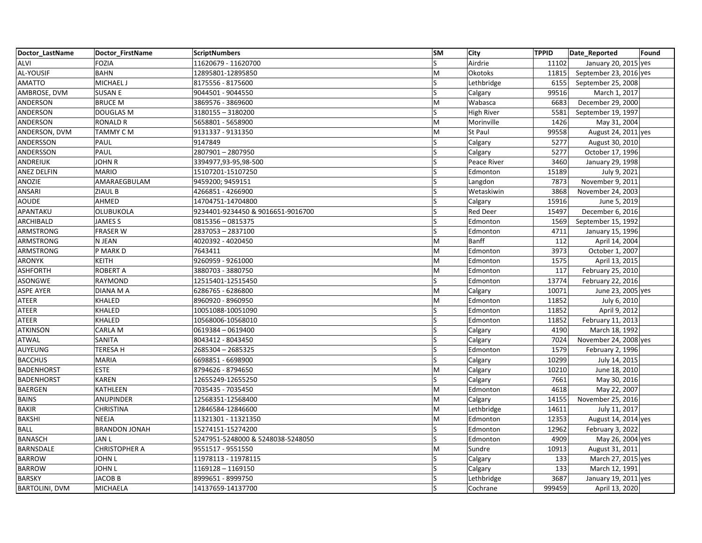| Doctor LastName       | Doctor FirstName     | <b>ScriptNumbers</b>              | <b>SM</b>               | City              | <b>TPPID</b> | Date_Reported          | Found |
|-----------------------|----------------------|-----------------------------------|-------------------------|-------------------|--------------|------------------------|-------|
| <b>ALVI</b>           | <b>FOZIA</b>         | 11620679 - 11620700               | $\overline{\mathsf{S}}$ | Airdrie           | 11102        | January 20, 2015 yes   |       |
| AL-YOUSIF             | <b>BAHN</b>          | 12895801-12895850                 | M                       | Okotoks           | 11815        | September 23, 2016 yes |       |
| AMATTO                | MICHAEL J            | 8175556 - 8175600                 | S                       | Lethbridge        | 6155         | September 25, 2008     |       |
| AMBROSE, DVM          | <b>SUSAN E</b>       | 9044501 - 9044550                 | S                       | Calgary           | 99516        | March 1, 2017          |       |
| ANDERSON              | <b>BRUCE M</b>       | 3869576 - 3869600                 | M                       | Wabasca           | 6683         | December 29, 2000      |       |
| ANDERSON              | <b>DOUGLAS M</b>     | 3180155 - 3180200                 | Ś                       | <b>High River</b> | 5581         | September 19, 1997     |       |
| ANDERSON              | <b>RONALD R</b>      | 5658801 - 5658900                 | M                       | Morinville        | 1426         | May 31, 2004           |       |
| ANDERSON, DVM         | TAMMY CM             | 9131337 - 9131350                 | M                       | St Paul           | 99558        | August 24, 2011 yes    |       |
| ANDERSSON             | PAUL                 | 9147849                           |                         | Calgary           | 5277         | August 30, 2010        |       |
| ANDERSSON             | PAUL                 | 2807901-2807950                   | S                       | Calgary           | 5277         | October 17, 1996       |       |
| ANDREIUK              | <b>JOHN R</b>        | 3394977,93-95,98-500              | S                       | Peace River       | 3460         | January 29, 1998       |       |
| <b>ANEZ DELFIN</b>    | <b>MARIO</b>         | 15107201-15107250                 | S                       | Edmonton          | 15189        | July 9, 2021           |       |
| ANOZIE                | AMARAEGBULAM         | 9459200; 9459151                  |                         | Langdon           | 7873         | November 9, 2011       |       |
| ANSARI                | ZIAUL B              | 4266851 - 4266900                 | S                       | Wetaskiwin        | 3868         | November 24, 2003      |       |
| <b>AOUDE</b>          | <b>AHMED</b>         | 14704751-14704800                 |                         | Calgary           | 15916        | June 5, 2019           |       |
| APANTAKU              | OLUBUKOLA            | 9234401-9234450 & 9016651-9016700 |                         | <b>Red Deer</b>   | 15497        | December 6, 2016       |       |
| ARCHIBALD             | <b>JAMES S</b>       | 0815356 - 0815375                 | S                       | Edmonton          | 1569         | September 15, 1992     |       |
| ARMSTRONG             | <b>FRASER W</b>      | 2837053 - 2837100                 | S                       | Edmonton          | 4711         | January 15, 1996       |       |
| ARMSTRONG             | N JEAN               | 4020392 - 4020450                 | M                       | Banff             | 112          | April 14, 2004         |       |
| ARMSTRONG             | P MARK D             | 7643411                           | M                       | Edmonton          | 3973         | October 1, 2007        |       |
| ARONYK                | <b>KEITH</b>         | 9260959 - 9261000                 | M                       | Edmonton          | 1575         | April 13, 2015         |       |
| <b>ASHFORTH</b>       | <b>ROBERT A</b>      | 3880703 - 3880750                 | M                       | Edmonton          | 117          | February 25, 2010      |       |
| <b>ASONGWE</b>        | <b>RAYMOND</b>       | 12515401-12515450                 | S                       | Edmonton          | 13774        | February 22, 2016      |       |
| <b>ASPE AYER</b>      | DIANA M A            | 6286765 - 6286800                 | M                       | Calgary           | 10071        | June 23, 2005 yes      |       |
| ATEER                 | KHALED               | 8960920 - 8960950                 | M                       | Edmonton          | 11852        | July 6, 2010           |       |
| ATEER                 | <b>KHALED</b>        | 10051088-10051090                 | S                       | Edmonton          | 11852        | April 9, 2012          |       |
| ATEER                 | <b>KHALED</b>        | 10568006-10568010                 | S                       | Edmonton          | 11852        | February 11, 2013      |       |
| ATKINSON              | CARLA M              | 0619384 - 0619400                 | Ś                       | Calgary           | 4190         | March 18, 1992         |       |
| <b>ATWAL</b>          | <b>SANITA</b>        | 8043412 - 8043450                 | S                       | Calgary           | 7024         | November 24, 2008 yes  |       |
| AUYEUNG               | <b>TERESAH</b>       | 2685304 - 2685325                 |                         | Edmonton          | 1579         | February 2, 1996       |       |
| <b>BACCHUS</b>        | <b>MARIA</b>         | 6698851 - 6698900                 | S                       | Calgary           | 10299        | July 14, 2015          |       |
| <b>BADENHORST</b>     | <b>ESTE</b>          | 8794626 - 8794650                 | M                       | Calgary           | 10210        | June 18, 2010          |       |
| <b>BADENHORST</b>     | <b>KAREN</b>         | 12655249-12655250                 | Ś                       | Calgary           | 7661         | May 30, 2016           |       |
| <b>BAERGEN</b>        | KATHLEEN             | 7035435 - 7035450                 | M                       | Edmonton          | 4618         | May 22, 2007           |       |
| <b>BAINS</b>          | ANUPINDER            | 12568351-12568400                 | M                       | Calgary           | 14155        | November 25, 2016      |       |
| <b>BAKIR</b>          | <b>CHRISTINA</b>     | 12846584-12846600                 | M                       | Lethbridge        | 14611        | July 11, 2017          |       |
| <b>BAKSHI</b>         | <b>NEEJA</b>         | 11321301 - 11321350               | M                       | Edmonton          | 12353        | August 14, 2014 yes    |       |
| <b>BALL</b>           | <b>BRANDON JONAH</b> | 15274151-15274200                 | S                       | Edmonton          | 12962        | February 3, 2022       |       |
| <b>BANASCH</b>        | <b>JANL</b>          | 5247951-5248000 & 5248038-5248050 | Ś                       | Edmonton          | 4909         | May 26, 2004 yes       |       |
| BARNSDALE             | <b>CHRISTOPHER A</b> | 9551517 - 9551550                 | M                       | Sundre            | 10913        | August 31, 2011        |       |
| <b>BARROW</b>         | <b>JOHN L</b>        | 11978113 - 11978115               | S                       | Calgary           | 133          | March 27, 2015 yes     |       |
| <b>BARROW</b>         | <b>JOHN L</b>        | 1169128 - 1169150                 |                         | Calgary           | 133          | March 12, 1991         |       |
| <b>BARSKY</b>         | <b>JACOB B</b>       | 8999651 - 8999750                 | S                       | Lethbridge        | 3687         | January 19, 2011 yes   |       |
| <b>BARTOLINI, DVM</b> | <b>MICHAELA</b>      | 14137659-14137700                 | S                       | Cochrane          | 999459       | April 13, 2020         |       |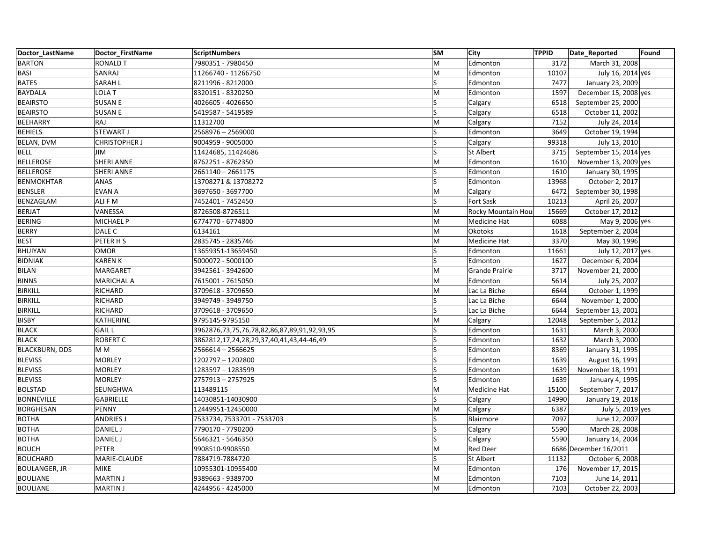| Doctor LastName       | Doctor FirstName     | <b>ScriptNumbers</b>                        | <b>SM</b> | <b>City</b>        | <b>TPPID</b> | Date_Reported          | Found |
|-----------------------|----------------------|---------------------------------------------|-----------|--------------------|--------------|------------------------|-------|
| <b>BARTON</b>         | <b>RONALD T</b>      | 7980351 - 7980450                           | M         | Edmonton           | 3172         | March 31, 2008         |       |
| <b>BASI</b>           | SANRAJ               | 11266740 - 11266750                         | M         | Edmonton           | 10107        | July 16, 2014 yes      |       |
| <b>BATES</b>          | SARAH L              | 8211996 - 8212000                           | S         | Edmonton           | 7477         | January 23, 2009       |       |
| <b>BAYDALA</b>        | LOLA T               | 8320151 - 8320250                           | M         | Edmonton           | 1597         | December 15, 2008 yes  |       |
| <b>BEAIRSTO</b>       | <b>SUSAN E</b>       | 4026605 - 4026650                           | ls        | Calgary            | 6518         | September 25, 2000     |       |
| <b>BEAIRSTO</b>       | <b>SUSAN E</b>       | 5419587 - 5419589                           | Ś         | Calgary            | 6518         | October 11, 2002       |       |
| BEEHARRY              | RAJ                  | 11312700                                    | M         | Calgary            | 7152         | July 24, 2014          |       |
| <b>BEHIELS</b>        | STEWART J            | 2568976 - 2569000                           | S         | Edmonton           | 3649         | October 19, 1994       |       |
| BELAN, DVM            | <b>CHRISTOPHER J</b> | 9004959 - 9005000                           |           | Calgary            | 99318        | July 13, 2010          |       |
| <b>BELL</b>           | <b>JIM</b>           | 11424685, 11424686                          | S         | <b>St Albert</b>   | 3715         | September 15, 2014 yes |       |
| <b>BELLEROSE</b>      | <b>SHERI ANNE</b>    | 8762251 - 8762350                           | M         | Edmonton           | 1610         | November 13, 2009 yes  |       |
| <b>BELLEROSE</b>      | <b>SHERI ANNE</b>    | 2661140 - 2661175                           | S         | Edmonton           | 1610         | January 30, 1995       |       |
| <b>BENMOKHTAR</b>     | ANAS                 | 13708271 & 13708272                         | Ś         | Edmonton           | 13968        | October 2, 2017        |       |
| <b>BENSLER</b>        | <b>EVAN A</b>        | 3697650 - 3697700                           | M         | Calgary            | 6472         | September 30, 1998     |       |
| BENZAGLAM             | ALI F M              | 7452401 - 7452450                           | Ś         | Fort Sask          | 10213        | April 26, 2007         |       |
| <b>BERJAT</b>         | VANESSA              | 8726508-8726511                             | M         | Rocky Mountain Hou | 15669        | October 17, 2012       |       |
| BERING                | MICHAEL P            | 6774770 - 6774800                           | M         | Medicine Hat       | 6088         | May 9, 2006 yes        |       |
| <b>BERRY</b>          | DALE C               | 6134161                                     | M         | <b>Okotoks</b>     | 1618         | September 2, 2004      |       |
| <b>BEST</b>           | PETER HS             | 2835745 - 2835746                           | M         | Medicine Hat       | 3370         | May 30, 1996           |       |
| BHUIYAN               | <b>OMOR</b>          | 13659351-13659450                           | S         | Edmonton           | 11661        | July 12, 2017 yes      |       |
| <b>BIDNIAK</b>        | <b>KARENK</b>        | 5000072 - 5000100                           | S         | Edmonton           | 1627         | December 6, 2004       |       |
| <b>BILAN</b>          | MARGARET             | 3942561 - 3942600                           | M         | Grande Prairie     | 3717         | November 21, 2000      |       |
| <b>BINNS</b>          | <b>MARICHAL A</b>    | 7615001 - 7615050                           | M         | Edmonton           | 5614         | July 25, 2007          |       |
| <b>BIRKILL</b>        | <b>RICHARD</b>       | 3709618 - 3709650                           | M         | Lac La Biche       | 6644         | October 1, 1999        |       |
| <b>BIRKILL</b>        | RICHARD              | 3949749 - 3949750                           | Ś         | Lac La Biche       | 6644         | November 1, 2000       |       |
| <b>BIRKILL</b>        | RICHARD              | 3709618 - 3709650                           | S         | Lac La Biche       | 6644         | September 13, 2001     |       |
| <b>BISBY</b>          | KATHERINE            | 9795145-9795150                             | M         | Calgary            | 12048        | September 5, 2012      |       |
| <b>BLACK</b>          | <b>GAIL L</b>        | 3962876,73,75,76,78,82,86,87,89,91,92,93,95 | Ś         | Edmonton           | 1631         | March 3, 2000          |       |
| <b>BLACK</b>          | <b>ROBERT C</b>      | 3862812,17,24,28,29,37,40,41,43,44-46,49    | S         | Edmonton           | 1632         | March 3, 2000          |       |
| <b>BLACKBURN, DDS</b> | M <sub>M</sub>       | 2566614 - 2566625                           |           | Edmonton           | 8369         | January 31, 1995       |       |
| <b>BLEVISS</b>        | <b>MORLEY</b>        | 1202797 - 1202800                           | Ś         | Edmonton           | 1639         | August 16, 1991        |       |
| <b>BLEVISS</b>        | <b>MORLEY</b>        | 1283597 – 1283599                           | S         | Edmonton           | 1639         | November 18, 1991      |       |
| <b>BLEVISS</b>        | <b>MORLEY</b>        | 2757913 - 2757925                           |           | Edmonton           | 1639         | January 4, 1995        |       |
| <b>BOLSTAD</b>        | SEUNGHWA             | 113489115                                   | M         | Medicine Hat       | 15100        | September 7, 2017      |       |
| <b>BONNEVILLE</b>     | GABRIELLE            | 14030851-14030900                           | S         | Calgary            | 14990        | January 19, 2018       |       |
| <b>BORGHESAN</b>      | PENNY                | 12449951-12450000                           | M         | Calgary            | 6387         | July 5, 2019 yes       |       |
| <b>BOTHA</b>          | <b>ANDRIES J</b>     | 7533734, 7533701 - 7533703                  | S         | Blairmore          | 7097         | June 12, 2007          |       |
| <b>BOTHA</b>          | <b>DANIEL J</b>      | 7790170 - 7790200                           | S         | Calgary            | 5590         | March 28, 2008         |       |
| <b>BOTHA</b>          | <b>DANIEL J</b>      | 5646321 - 5646350                           |           | Calgary            | 5590         | January 14, 2004       |       |
| <b>BOUCH</b>          | <b>PETER</b>         | 9908510-9908550                             | M         | <b>Red Deer</b>    |              | 6686 December 16/2011  |       |
| <b>BOUCHARD</b>       | MARIE-CLAUDE         | 7884719-7884720                             | S.        | <b>St Albert</b>   | 11132        | October 6, 2008        |       |
| <b>BOULANGER, JR</b>  | <b>MIKE</b>          | 10955301-10955400                           | M         | Edmonton           | 176          | November 17, 2015      |       |
| <b>BOULIANE</b>       | <b>MARTIN J</b>      | 9389663 - 9389700                           | M         | Edmonton           | 7103         | June 14, 2011          |       |
| <b>BOULIANE</b>       | <b>MARTIN J</b>      | 4244956 - 4245000                           | M         | Edmonton           | 7103         | October 22, 2003       |       |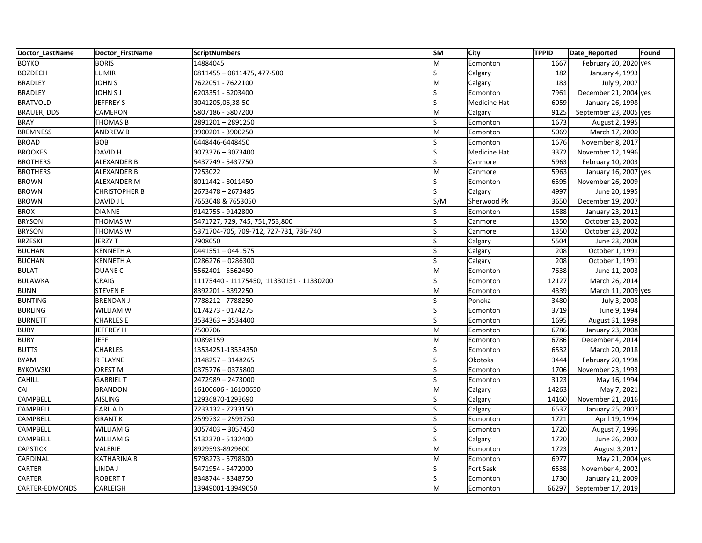| Doctor LastName    | Doctor FirstName     | <b>ScriptNumbers</b>                     | <b>SM</b>    | <b>City</b>  | <b>TPPID</b> | Date_Reported          | Found |
|--------------------|----------------------|------------------------------------------|--------------|--------------|--------------|------------------------|-------|
| <b>BOYKO</b>       | <b>BORIS</b>         | 14884045                                 | M            | Edmonton     | 1667         | February 20, 2020 yes  |       |
| <b>BOZDECH</b>     | LUMIR                | 0811455 - 0811475, 477-500               | S            | Calgary      | 182          | January 4, 1993        |       |
| <b>BRADLEY</b>     | <b>JOHN S</b>        | 7622051 - 7622100                        | M            | Calgary      | 183          | July 9, 2007           |       |
| <b>BRADLEY</b>     | <b>JOHN SJ</b>       | 6203351 - 6203400                        | Ś            | Edmonton     | 7961         | December 21, 2004 yes  |       |
| <b>BRATVOLD</b>    | JEFFREY S            | 3041205,06,38-50                         | S            | Medicine Hat | 6059         | January 26, 1998       |       |
| <b>BRAUER, DDS</b> | CAMERON              | 5807186 - 5807200                        | M            | Calgary      | 9125         | September 23, 2005 yes |       |
| <b>BRAY</b>        | <b>THOMAS B</b>      | 2891201-2891250                          | S            | Edmonton     | 1673         | August 2, 1995         |       |
| <b>BREMNESS</b>    | <b>ANDREW B</b>      | 3900201 - 3900250                        | M            | Edmonton     | 5069         | March 17, 2000         |       |
| <b>BROAD</b>       | <b>BOB</b>           | 6448446-6448450                          |              | Edmonton     | 1676         | November 8, 2017       |       |
| <b>BROOKES</b>     | DAVID H              | 3073376 - 3073400                        | S            | Medicine Hat | 3372         | November 12, 1996      |       |
| <b>BROTHERS</b>    | ALEXANDER B          | 5437749 - 5437750                        | <sub>S</sub> | Canmore      | 5963         | February 10, 2003      |       |
| <b>BROTHERS</b>    | ALEXANDER B          | 7253022                                  | M            | Canmore      | 5963         | January 16, 2007 yes   |       |
| <b>BROWN</b>       | ALEXANDER M          | 8011442 - 8011450                        | Ś            | Edmonton     | 6595         | November 26, 2009      |       |
| <b>BROWN</b>       | <b>CHRISTOPHER B</b> | 2673478 - 2673485                        | S            | Calgary      | 4997         | June 20, 1995          |       |
| <b>BROWN</b>       | DAVID J L            | 7653048 & 7653050                        | S/M          | Sherwood Pk  | 3650         | December 19, 2007      |       |
| <b>BROX</b>        | <b>DIANNE</b>        | 9142755 - 9142800                        | Ś            | Edmonton     | 1688         | January 23, 2012       |       |
| <b>BRYSON</b>      | <b>THOMAS W</b>      | 5471727, 729, 745, 751,753,800           | S            | Canmore      | 1350         | October 23, 2002       |       |
| <b>BRYSON</b>      | <b>THOMAS W</b>      | 5371704-705, 709-712, 727-731, 736-740   | S            | Canmore      | 1350         | October 23, 2002       |       |
| <b>BRZESKI</b>     | JERZY T              | 7908050                                  |              | Calgary      | 5504         | June 23, 2008          |       |
| <b>BUCHAN</b>      | <b>KENNETH A</b>     | 0441551 - 0441575                        | S            | Calgary      | 208          | October 1, 1991        |       |
| <b>BUCHAN</b>      | <b>KENNETH A</b>     | 0286276 - 0286300                        | Ś            | Calgary      | 208          | October 1, 1991        |       |
| <b>BULAT</b>       | <b>DUANE C</b>       | 5562401 - 5562450                        | M            | Edmonton     | 7638         | June 11, 2003          |       |
| <b>BULAWKA</b>     | CRAIG                | 11175440 - 11175450, 11330151 - 11330200 | S            | Edmonton     | 12127        | March 26, 2014         |       |
| <b>BUNN</b>        | <b>STEVEN E</b>      | 8392201 - 8392250                        | M            | Edmonton     | 4339         | March 11, 2009 yes     |       |
| <b>BUNTING</b>     | <b>BRENDAN J</b>     | 7788212 - 7788250                        | S            | Ponoka       | 3480         | July 3, 2008           |       |
| <b>BURLING</b>     | WILLIAM W            | 0174273 - 0174275                        | S            | Edmonton     | 3719         | June 9, 1994           |       |
| <b>BURNETT</b>     | <b>CHARLES E</b>     | 3534363 - 3534400                        | S            | Edmonton     | 1695         | August 31, 1998        |       |
| <b>BURY</b>        | JEFFREY H            | 7500706                                  | M            | Edmonton     | 6786         | January 23, 2008       |       |
| <b>BURY</b>        | <b>JEFF</b>          | 10898159                                 | M            | Edmonton     | 6786         | December 4, 2014       |       |
| <b>BUTTS</b>       | <b>CHARLES</b>       | 13534251-13534350                        |              | Edmonton     | 6532         | March 20, 2018         |       |
| <b>BYAM</b>        | R FLAYNE             | 3148257 - 3148265                        | S            | Okotoks      | 3444         | February 20, 1998      |       |
| <b>BYKOWSKI</b>    | OREST <sub>M</sub>   | 0375776-0375800                          | S            | Edmonton     | 1706         | November 23, 1993      |       |
| <b>CAHILL</b>      | <b>GABRIEL T</b>     | 2472989 - 2473000                        |              | Edmonton     | 3123         | May 16, 1994           |       |
| CAI                | <b>BRANDON</b>       | 16100606 - 16100650                      | M            | Calgary      | 14263        | May 7, 2021            |       |
| CAMPBELL           | <b>AISLING</b>       | 12936870-1293690                         | S            | Calgary      | 14160        | November 21, 2016      |       |
| CAMPBELL           | EARL A D             | 7233132 - 7233150                        |              | Calgary      | 6537         | January 25, 2007       |       |
| CAMPBELL           | <b>GRANT K</b>       | 2599732 - 2599750                        | Ś            | Edmonton     | 1721         | April 19, 1994         |       |
| CAMPBELL           | WILLIAM G            | 3057403 - 3057450                        | S            | Edmonton     | 1720         | August 7, 1996         |       |
| CAMPBELL           | WILLIAM G            | 5132370 - 5132400                        |              | Calgary      | 1720         | June 26, 2002          |       |
| <b>CAPSTICK</b>    | VALERIE              | 8929593-8929600                          | M            | Edmonton     | 1723         | August 3,2012          |       |
| CARDINAL           | <b>KATHARINA B</b>   | 5798273 - 5798300                        | M            | Edmonton     | 6977         | May 21, 2004 yes       |       |
| CARTER             | LINDA J              | 5471954 - 5472000                        |              | Fort Sask    | 6538         | November 4, 2002       |       |
| CARTER             | <b>ROBERT T</b>      | 8348744 - 8348750                        | S            | Edmonton     | 1730         | January 21, 2009       |       |
| CARTER-EDMONDS     | CARLEIGH             | 13949001-13949050                        | M            | Edmonton     | 66297        | September 17, 2019     |       |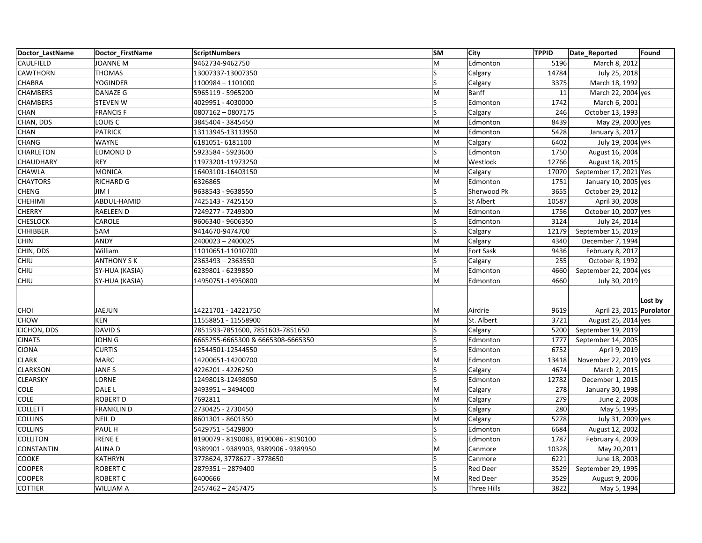| Doctor LastName   | Doctor FirstName   | <b>ScriptNumbers</b>                 | <b>SM</b> | City               | <b>TPPID</b> | Date_Reported            | Found   |
|-------------------|--------------------|--------------------------------------|-----------|--------------------|--------------|--------------------------|---------|
| CAULFIELD         | JOANNE M           | 9462734-9462750                      | M         | Edmonton           | 5196         | March 8, 2012            |         |
| CAWTHORN          | <b>THOMAS</b>      | 13007337-13007350                    | S         | Calgary            | 14784        | July 25, 2018            |         |
| CHABRA            | <b>YOGINDER</b>    | 1100984 - 1101000                    | Ś         | Calgary            | 3375         | March 18, 1992           |         |
| <b>CHAMBERS</b>   | DANAZE G           | 5965119 - 5965200                    | M         | Banff              | 11           | March 22, 2004 yes       |         |
| <b>CHAMBERS</b>   | <b>STEVEN W</b>    | 4029951 - 4030000                    | S         | Edmonton           | 1742         | March 6, 2001            |         |
| CHAN              | <b>FRANCIS F</b>   | 0807162 - 0807175                    | Ś         | Calgary            | 246          | October 13, 1993         |         |
| CHAN, DDS         | LOUIS <sub>C</sub> | 3845404 - 3845450                    | M         | Edmonton           | 8439         | May 29, 2000 yes         |         |
| <b>CHAN</b>       | <b>PATRICK</b>     | 13113945-13113950                    | M         | Edmonton           | 5428         | January 3, 2017          |         |
| CHANG             | <b>WAYNE</b>       | 6181051-6181100                      | M         | Calgary            | 6402         | July 19, 2004 yes        |         |
| CHARLETON         | <b>EDMOND D</b>    | 5923584 - 5923600                    | Ś         | Edmonton           | 1750         | August 16, 2004          |         |
| CHAUDHARY         | <b>REY</b>         | 11973201-11973250                    | M         | Westlock           | 12766        | August 18, 2015          |         |
| CHAWLA            | <b>MONICA</b>      | 16403101-16403150                    | M         | Calgary            | 17070        | September 17, 2021 Yes   |         |
| <b>CHAYTORS</b>   | <b>RICHARD G</b>   | 6326865                              | M         | Edmonton           | 1751         | January 10, 2005 yes     |         |
| <b>CHENG</b>      | JIM I              | 9638543 - 9638550                    | S         | Sherwood Pk        | 3655         | October 29, 2012         |         |
| <b>CHEHIMI</b>    | ABDUL-HAMID        | 7425143 - 7425150                    | Ś         | <b>St Albert</b>   | 10587        | April 30, 2008           |         |
| <b>CHERRY</b>     | RAELEEN D          | 7249277 - 7249300                    | M         | Edmonton           | 1756         | October 10, 2007 yes     |         |
| <b>CHESLOCK</b>   | CAROLE             | 9606340 - 9606350                    | S         | Edmonton           | 3124         | July 24, 2014            |         |
| <b>CHHIBBER</b>   | SAM                | 9414670-9474700                      | Ś         | Calgary            | 12179        | September 15, 2019       |         |
| <b>CHIN</b>       | ANDY               | 2400023-2400025                      | M         | Calgary            | 4340         | December 7, 1994         |         |
| CHIN, DDS         | William            | 11010651-11010700                    | M         | Fort Sask          | 9436         | February 8, 2017         |         |
| CHIU              | <b>ANTHONY S K</b> | 2363493 - 2363550                    | Ś         | Calgary            | 255          | October 8, 1992          |         |
| CHIU              | SY-HUA (KASIA)     | 6239801 - 6239850                    | M         | Edmonton           | 4660         | September 22, 2004 yes   |         |
| CHIU              | SY-HUA (KASIA)     | 14950751-14950800                    | M         | Edmonton           | 4660         | July 30, 2019            |         |
| <b>CHOI</b>       | JAEJUN             | 14221701 - 14221750                  | M         | Airdrie            | 9619         | April 23, 2015 Purolator | Lost by |
| <b>CHOW</b>       | <b>KEN</b>         | 11558851 - 11558900                  | M         | St. Albert         | 3721         | August 25, 2014 yes      |         |
| CICHON, DDS       | DAVID S            | 7851593-7851600, 7851603-7851650     | S         | Calgary            | 5200         | September 19, 2019       |         |
| <b>CINATS</b>     | <b>JOHN G</b>      | 6665255-6665300 & 6665308-6665350    | S         | Edmonton           | 1777         | September 14, 2005       |         |
| <b>CIONA</b>      | <b>CURTIS</b>      | 12544501-12544550                    |           | Edmonton           | 6752         | April 9, 2019            |         |
| <b>CLARK</b>      | <b>MARC</b>        | 14200651-14200700                    | M         | Edmonton           | 13418        | November 22, 2019 yes    |         |
| <b>CLARKSON</b>   | JANE S             | 4226201 - 4226250                    | S         | Calgary            | 4674         | March 2, 2015            |         |
| <b>CLEARSKY</b>   | LORNE              | 12498013-12498050                    | S         | Edmonton           | 12782        | December 1, 2015         |         |
| COLE              | DALE L             | 3493951-3494000                      | M         | Calgary            | 278          | January 30, 1998         |         |
| COLE              | ROBERT D           | 7692811                              | M         | Calgary            | 279          | June 2, 2008             |         |
| <b>COLLETT</b>    | <b>FRANKLIND</b>   | 2730425 - 2730450                    | Ś         | Calgary            | 280          | May 5, 1995              |         |
| <b>COLLINS</b>    | NEIL D             | 8601301 - 8601350                    | M         | Calgary            | 5278         | July 31, 2009 yes        |         |
| <b>COLLINS</b>    | PAUL H             | 5429751 - 5429800                    | S         | Edmonton           | 6684         | August 12, 2002          |         |
| <b>COLLITON</b>   | <b>IRENE E</b>     | 8190079 - 8190083, 8190086 - 8190100 | Ś         | Edmonton           | 1787         | February 4, 2009         |         |
| <b>CONSTANTIN</b> | <b>ALINAD</b>      | 9389901 - 9389903, 9389906 - 9389950 | M         | Canmore            | 10328        | May 20,2011              |         |
| COOKE             | <b>KATHRYN</b>     | 3778624, 3778627 - 3778650           | S         | Canmore            | 6221         | June 18, 2003            |         |
| <b>COOPER</b>     | <b>ROBERT C</b>    | 2879351-2879400                      | S         | <b>Red Deer</b>    | 3529         | September 29, 1995       |         |
| <b>COOPER</b>     | <b>ROBERT C</b>    | 6400666                              | M         | <b>Red Deer</b>    | 3529         | August 9, 2006           |         |
| <b>COTTIER</b>    | <b>WILLIAM A</b>   | 2457462 - 2457475                    | S         | <b>Three Hills</b> | 3822         | May 5, 1994              |         |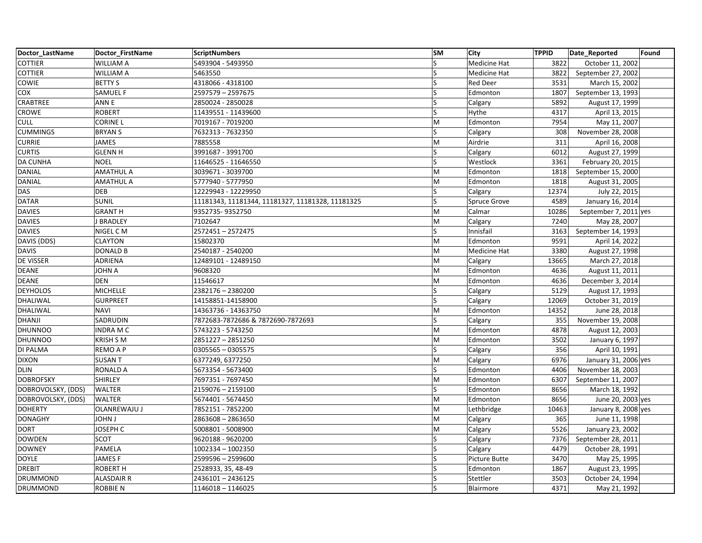| Doctor LastName    | Doctor FirstName  | <b>ScriptNumbers</b>                             | <b>SM</b> | City                | <b>TPPID</b> | Date_Reported         | Found |
|--------------------|-------------------|--------------------------------------------------|-----------|---------------------|--------------|-----------------------|-------|
| <b>COTTIER</b>     | <b>WILLIAM A</b>  | 5493904 - 5493950                                | S         | Medicine Hat        | 3822         | October 11, 2002      |       |
| <b>COTTIER</b>     | <b>WILLIAM A</b>  | 5463550                                          | S         | Medicine Hat        | 3822         | September 27, 2002    |       |
| COWIE              | <b>BETTY S</b>    | 4318066 - 4318100                                |           | <b>Red Deer</b>     | 3531         | March 15, 2002        |       |
| COX                | SAMUEL F          | 2597579 - 2597675                                | Ś         | Edmonton            | 1807         | September 13, 1993    |       |
| CRABTREE           | ANN E             | 2850024 - 2850028                                | S         | Calgary             | 5892         | August 17, 1999       |       |
| CROWE              | <b>ROBERT</b>     | 11439551 - 11439600                              |           | Hythe               | 4317         | April 13, 2015        |       |
| <b>CULL</b>        | <b>CORINE L</b>   | 7019167 - 7019200                                | M         | Edmonton            | 7954         | May 11, 2007          |       |
| <b>CUMMINGS</b>    | <b>BRYANS</b>     | 7632313 - 7632350                                | S         | Calgary             | 308          | November 28, 2008     |       |
| <b>CURRIE</b>      | <b>JAMES</b>      | 7885558                                          | M         | Airdrie             | 311          | April 16, 2008        |       |
| <b>CURTIS</b>      | <b>GLENN H</b>    | 3991687 - 3991700                                | S         | Calgary             | 6012         | August 27, 1999       |       |
| <b>DA CUNHA</b>    | <b>NOEL</b>       | 11646525 - 11646550                              | S         | Westlock            | 3361         | February 20, 2015     |       |
| DANIAL             | <b>AMATHUL A</b>  | 3039671 - 3039700                                | M         | Edmonton            | 1818         | September 15, 2000    |       |
| DANIAL             | <b>AMATHUL A</b>  | 5777940 - 5777950                                | M         | Edmonton            | 1818         | August 31, 2005       |       |
| DAS                | <b>DEB</b>        | 12229943 - 12229950                              | S         | Calgary             | 12374        | July 22, 2015         |       |
| <b>DATAR</b>       | <b>SUNIL</b>      | 11181343, 11181344, 11181327, 11181328, 11181325 | S         | <b>Spruce Grove</b> | 4589         | January 16, 2014      |       |
| <b>DAVIES</b>      | <b>GRANT H</b>    | 9352735-9352750                                  | M         | Calmar              | 10286        | September 7, 2011 yes |       |
| <b>DAVIES</b>      | J BRADLEY         | 7102647                                          | M         | Calgary             | 7240         | May 28, 2007          |       |
| <b>DAVIES</b>      | NIGEL CM          | 2572451-2572475                                  | S         | Innisfail           | 3163         | September 14, 1993    |       |
| DAVIS (DDS)        | <b>CLAYTON</b>    | 15802370                                         | M         | Edmonton            | 9591         | April 14, 2022        |       |
| <b>DAVIS</b>       | DONALD B          | 2540187 - 2540200                                | M         | Medicine Hat        | 3380         | August 27, 1998       |       |
| DE VISSER          | ADRIENA           | 12489101 - 12489150                              | M         | Calgary             | 13665        | March 27, 2018        |       |
| <b>DEANE</b>       | JOHN A            | 9608320                                          | M         | Edmonton            | 4636         | August 11, 2011       |       |
| <b>DEANE</b>       | <b>DEN</b>        | 11546617                                         | M         | Edmonton            | 4636         | December 3, 2014      |       |
| <b>DEYHOLOS</b>    | <b>MICHELLE</b>   | 2382176 - 2380200                                | Ś         | Calgary             | 5129         | August 17, 1993       |       |
| DHALIWAL           | <b>GURPREET</b>   | 14158851-14158900                                | Ś         | Calgary             | 12069        | October 31, 2019      |       |
| DHALIWAL           | <b>NAVI</b>       | 14363736 - 14363750                              | M         | Edmonton            | 14352        | June 28, 2018         |       |
| DHANJI             | SADRUDIN          | 7872683-7872686 & 7872690-7872693                |           | Calgary             | 355          | November 19, 2008     |       |
| <b>DHUNNOO</b>     | <b>INDRA MC</b>   | 5743223 - 5743250                                | M         | Edmonton            | 4878         | August 12, 2003       |       |
| <b>DHUNNOO</b>     | <b>KRISH S M</b>  | 2851227 - 2851250                                | M         | Edmonton            | 3502         | January 6, 1997       |       |
| DI PALMA           | <b>REMO A P</b>   | 0305565 - 0305575                                | S         | Calgary             | 356          | April 10, 1991        |       |
| <b>DIXON</b>       | <b>SUSANT</b>     | 6377249, 6377250                                 | M         | Calgary             | 6976         | January 31, 2006 yes  |       |
| <b>DLIN</b>        | <b>RONALD A</b>   | 5673354 - 5673400                                | S.        | Edmonton            | 4406         | November 18, 2003     |       |
| <b>DOBROFSKY</b>   | SHIRLEY           | 7697351 - 7697450                                | M         | Edmonton            | 6307         | September 11, 2007    |       |
| DOBROVOLSKY, (DDS) | <b>WALTER</b>     | 2159076 - 2159100                                | S         | Edmonton            | 8656         | March 18, 1992        |       |
| DOBROVOLSKY, (DDS) | <b>WALTER</b>     | 5674401 - 5674450                                | M         | Edmonton            | 8656         | June 20, 2003 yes     |       |
| <b>DOHERTY</b>     | OLANREWAJU J      | 7852151 - 7852200                                | M         | Lethbridge          | 10463        | January 8, 2008 yes   |       |
| <b>DONAGHY</b>     | <b>JOHN J</b>     | 2863608 - 2863650                                | M         | Calgary             | 365          | June 11, 1998         |       |
| <b>DORT</b>        | JOSEPH C          | 5008801 - 5008900                                | M         | Calgary             | 5526         | January 23, 2002      |       |
| <b>DOWDEN</b>      | SCOT              | 9620188 - 9620200                                |           | Calgary             | 7376         | September 28, 2011    |       |
| <b>DOWNEY</b>      | PAMELA            | 1002334 - 1002350                                | Ś         | Calgary             | 4479         | October 28, 1991      |       |
| DOYLE              | <b>JAMESF</b>     | 2599596 - 2599600                                | S         | Picture Butte       | 3470         | May 25, 1995          |       |
| <b>DREBIT</b>      | <b>ROBERT H</b>   | 2528933, 35, 48-49                               |           | Edmonton            | 1867         | August 23, 1995       |       |
| DRUMMOND           | <b>ALASDAIR R</b> | 2436101-2436125                                  | S         | Stettler            | 3503         | October 24, 1994      |       |
| <b>DRUMMOND</b>    | <b>ROBBIE N</b>   | 1146018 - 1146025                                | S         | Blairmore           | 4371         | May 21, 1992          |       |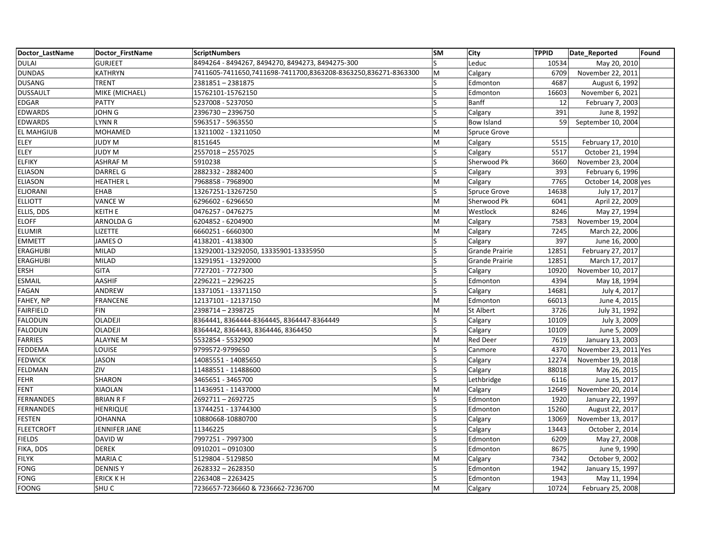| Doctor LastName   | Doctor FirstName | ScriptNumbers                                                  | <b>SM</b>               | City                  | <b>TPPID</b> | Date Reported         | Found |
|-------------------|------------------|----------------------------------------------------------------|-------------------------|-----------------------|--------------|-----------------------|-------|
| DULAI             | <b>GURJEET</b>   | 8494264 - 8494267, 8494270, 8494273, 8494275-300               | $\overline{\mathsf{S}}$ | Leduc                 | 10534        | May 20, 2010          |       |
| <b>DUNDAS</b>     | <b>KATHRYN</b>   | 7411605-7411650,7411698-7411700,8363208-8363250,836271-8363300 | M                       | Calgary               | 6709         | November 22, 2011     |       |
| <b>DUSANG</b>     | <b>TRENT</b>     | 2381851-2381875                                                | ς                       | Edmonton              | 4687         | August 6, 1992        |       |
| <b>DUSSAULT</b>   | MIKE (MICHAEL)   | 15762101-15762150                                              | S                       | Edmonton              | 16603        | November 6, 2021      |       |
| EDGAR             | <b>PATTY</b>     | 5237008 - 5237050                                              | S                       | Banff                 | 12           | February 7, 2003      |       |
| <b>EDWARDS</b>    | <b>JOHN G</b>    | 2396730 - 2396750                                              | S                       | Calgary               | 391          | June 8, 1992          |       |
| <b>EDWARDS</b>    | <b>LYNN R</b>    | 5963517 - 5963550                                              | S                       | <b>Bow Island</b>     | 59           | September 10, 2004    |       |
| <b>EL MAHGIUB</b> | <b>MOHAMED</b>   | 13211002 - 13211050                                            | M                       | Spruce Grove          |              |                       |       |
| ELEY              | <b>JUDY M</b>    | 8151645                                                        | M                       | Calgary               | 5515         | February 17, 2010     |       |
| ELEY              | <b>JUDY M</b>    | 2557018 - 2557025                                              | S                       | Calgary               | 5517         | October 21, 1994      |       |
| <b>ELFIKY</b>     | <b>ASHRAF M</b>  | 5910238                                                        | S                       | Sherwood Pk           | 3660         | November 23, 2004     |       |
| <b>ELIASON</b>    | <b>DARREL G</b>  | 2882332 - 2882400                                              | S                       | Calgary               | 393          | February 6, 1996      |       |
| <b>ELIASON</b>    | <b>HEATHER L</b> | 7968858 - 7968900                                              | M                       | Calgary               | 7765         | October 14, 2008 yes  |       |
| <b>ELJORANI</b>   | EHAB             | 13267251-13267250                                              | S.                      | <b>Spruce Grove</b>   | 14638        | July 17, 2017         |       |
| <b>ELLIOTT</b>    | <b>VANCE W</b>   | 6296602 - 6296650                                              | M                       | Sherwood Pk           | 6041         | April 22, 2009        |       |
| ELLIS, DDS        | <b>KEITH E</b>   | 0476257 - 0476275                                              | M                       | Westlock              | 8246         | May 27, 1994          |       |
| <b>ELOFF</b>      | ARNOLDA G        | 6204852 - 6204900                                              | M                       | Calgary               | 7583         | November 19, 2004     |       |
| <b>ELUMIR</b>     | <b>LIZETTE</b>   | 6660251 - 6660300                                              | M                       | Calgary               | 7245         | March 22, 2006        |       |
| <b>EMMETT</b>     | <b>JAMES O</b>   | 4138201 - 4138300                                              | S                       | Calgary               | 397          | June 16, 2000         |       |
| <b>ERAGHUBI</b>   | <b>MILAD</b>     | 13292001-13292050, 13335901-13335950                           | S                       | <b>Grande Prairie</b> | 12851        | February 27, 2017     |       |
| <b>ERAGHUBI</b>   | <b>MILAD</b>     | 13291951 - 13292000                                            | S                       | <b>Grande Prairie</b> | 12851        | March 17, 2017        |       |
| <b>ERSH</b>       | <b>GITA</b>      | 7727201 - 7727300                                              | S                       | Calgary               | 10920        | November 10, 2017     |       |
| <b>ESMAIL</b>     | AASHIF           | 2296221-2296225                                                | S                       | Edmonton              | 4394         | May 18, 1994          |       |
| FAGAN             | ANDREW           | 13371051 - 13371150                                            | S                       | Calgary               | 14681        | July 4, 2017          |       |
| FAHEY, NP         | <b>FRANCENE</b>  | 12137101 - 12137150                                            | M                       | Edmonton              | 66013        | June 4, 2015          |       |
| FAIRFIELD         | <b>FIN</b>       | 2398714 - 2398725                                              | M                       | <b>St Albert</b>      | 3726         | July 31, 1992         |       |
| <b>FALODUN</b>    | OLADEJI          | 8364441, 8364444-8364445, 8364447-8364449                      | S                       | Calgary               | 10109        | July 3, 2009          |       |
| <b>FALODUN</b>    | OLADEJI          | 8364442, 8364443, 8364446, 8364450                             | ıS.                     | Calgary               | 10109        | June 5, 2009          |       |
| <b>FARRIES</b>    | ALAYNE M         | 5532854 - 5532900                                              | M                       | <b>Red Deer</b>       | 7619         | January 13, 2003      |       |
| FEDDEMA           | LOUISE           | 9799572-9799650                                                | ς                       | Canmore               | 4370         | November 23, 2011 Yes |       |
| <b>FEDWICK</b>    | <b>JASON</b>     | 14085551 - 14085650                                            | S                       | Calgary               | 12274        | November 19, 2018     |       |
| FELDMAN           | ZIV              | 11488551 - 11488600                                            | S                       | Calgary               | 88018        | May 26, 2015          |       |
| <b>FEHR</b>       | SHARON           | 3465651 - 3465700                                              | S                       | Lethbridge            | 6116         | June 15, 2017         |       |
| FENT              | XIAOLAN          | 11436951 - 11437000                                            | M                       | Calgary               | 12649        | November 20, 2014     |       |
| <b>FERNANDES</b>  | <b>BRIAN RF</b>  | 2692711-2692725                                                | $\overline{\mathsf{S}}$ | Edmonton              | 1920         | January 22, 1997      |       |
| <b>FERNANDES</b>  | <b>HENRIQUE</b>  | 13744251 - 13744300                                            | S                       | Edmonton              | 15260        | August 22, 2017       |       |
| FESTEN            | <b>JOHANNA</b>   | 10880668-10880700                                              | S                       | Calgary               | 13069        | November 13, 2017     |       |
| <b>FLEETCROFT</b> | JENNIFER JANE    | 11346225                                                       | S                       | Calgary               | 13443        | October 2, 2014       |       |
| <b>FIELDS</b>     | DAVID W          | 7997251 - 7997300                                              | S                       | Edmonton              | 6209         | May 27, 2008          |       |
| FIKA, DDS         | <b>DEREK</b>     | 0910201-0910300                                                | S                       | Edmonton              | 8675         | June 9, 1990          |       |
| <b>FILYK</b>      | <b>MARIA C</b>   | 5129804 - 5129850                                              | M                       | Calgary               | 7342         | October 9, 2002       |       |
| FONG              | <b>DENNISY</b>   | 2628332-2628350                                                | S                       | Edmonton              | 1942         | January 15, 1997      |       |
| FONG              | <b>ERICK KH</b>  | 2263408 - 2263425                                              | ς                       | Edmonton              | 1943         | May 11, 1994          |       |
| <b>FOONG</b>      | SHU <sub>C</sub> | 7236657-7236660 & 7236662-7236700                              | M                       | Calgary               | 10724        | February 25, 2008     |       |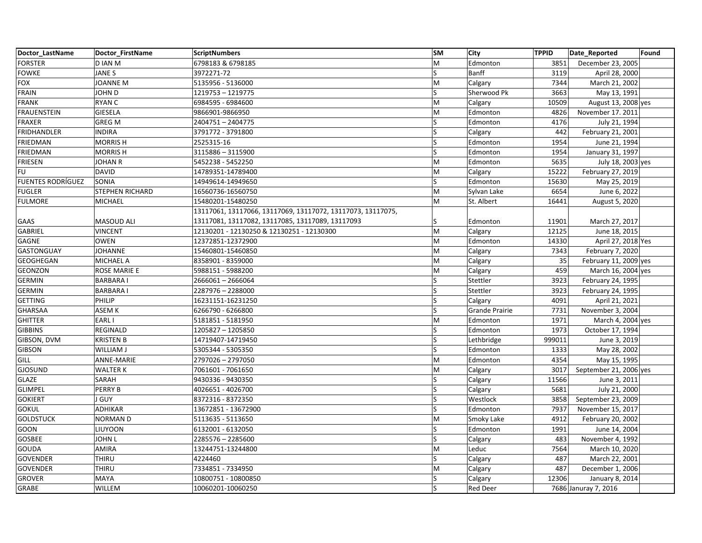| Doctor LastName          | Doctor FirstName | <b>ScriptNumbers</b>                                        | <b>SM</b> | <b>City</b>           | <b>TPPID</b> | Date_Reported          | Found |
|--------------------------|------------------|-------------------------------------------------------------|-----------|-----------------------|--------------|------------------------|-------|
| <b>FORSTER</b>           | D IAN M          | 6798183 & 6798185                                           | M         | Edmonton              | 3851         | December 23, 2005      |       |
| <b>FOWKE</b>             | JANE S           | 3972271-72                                                  | S         | Banff                 | 3119         | April 28, 2000         |       |
| <b>FOX</b>               | <b>JOANNE M</b>  | 5135956 - 5136000                                           | M         | Calgary               | 7344         | March 21, 2002         |       |
| <b>FRAIN</b>             | JOHN D           | 1219753 - 1219775                                           | Ś         | Sherwood Pk           | 3663         | May 13, 1991           |       |
| <b>FRANK</b>             | <b>RYAN C</b>    | 6984595 - 6984600                                           | M         | Calgary               | 10509        | August 13, 2008 yes    |       |
| <b>FRAUENSTEIN</b>       | <b>GIESELA</b>   | 9866901-9866950                                             | M         | Edmonton              | 4826         | November 17. 2011      |       |
| <b>FRAXER</b>            | <b>GREG M</b>    | 2404751-2404775                                             | S         | Edmonton              | 4176         | July 21, 1994          |       |
| FRIDHANDLER              | <b>INDIRA</b>    | 3791772 - 3791800                                           | S         | Calgary               | 442          | February 21, 2001      |       |
| <b>FRIEDMAN</b>          | <b>MORRISH</b>   | 2525315-16                                                  |           | Edmonton              | 1954         | June 21, 1994          |       |
| <b>FRIEDMAN</b>          | <b>MORRISH</b>   | 3115886 - 3115900                                           | S         | Edmonton              | 1954         | January 31, 1997       |       |
| FRIESEN                  | <b>JOHAN R</b>   | 5452238 - 5452250                                           | M         | Edmonton              | 5635         | July 18, 2003 yes      |       |
| <b>FU</b>                | <b>DAVID</b>     | 14789351-14789400                                           | M         | Calgary               | 15222        | February 27, 2019      |       |
| <b>FUENTES RODRÍGUEZ</b> | SONIA            | 14949614-14949650                                           | Ś         | Edmonton              | 15630        | May 25, 2019           |       |
| <b>FUGLER</b>            | STEPHEN RICHARD  | 16560736-16560750                                           | M         | Sylvan Lake           | 6654         | June 6, 2022           |       |
| <b>FULMORE</b>           | MICHAEL          | 15480201-15480250                                           | M         | St. Albert            | 16441        | August 5, 2020         |       |
|                          |                  | 13117061, 13117066, 13117069, 13117072, 13117073, 13117075, |           |                       |              |                        |       |
| GAAS                     | MASOUD ALI       | 13117081, 13117082, 13117085, 13117089, 13117093            | S         | Edmonton              | 11901        | March 27, 2017         |       |
| <b>GABRIEL</b>           | <b>VINCENT</b>   | 12130201 - 12130250 & 12130251 - 12130300                   | M         | Calgary               | 12125        | June 18, 2015          |       |
| GAGNE                    | <b>OWEN</b>      | 12372851-12372900                                           | M         | Edmonton              | 14330        | April 27, 2018 Yes     |       |
| GASTONGUAY               | <b>JOHANNE</b>   | 15460801-15460850                                           | M         | Calgary               | 7343         | February 7, 2020       |       |
| GEOGHEGAN                | <b>MICHAEL A</b> | 8358901 - 8359000                                           | M         | Calgary               | 35           | February 11, 2009 yes  |       |
| GEONZON                  | ROSE MARIE E     | 5988151 - 5988200                                           | M         | Calgary               | 459          | March 16, 2004 yes     |       |
| <b>GERMIN</b>            | <b>BARBARAI</b>  | 2666061-2666064                                             | S         | Stettler              | 3923         | February 24, 1995      |       |
| <b>GERMIN</b>            | <b>BARBARAI</b>  | 2287976 - 2288000                                           | Ś         | Stettler              | 3923         | February 24, 1995      |       |
| <b>GETTING</b>           | PHILIP           | 16231151-16231250                                           | Ś         | Calgary               | 4091         | April 21, 2021         |       |
| <b>GHARSAA</b>           | ASEM K           | 6266790 - 6266800                                           | S         | <b>Grande Prairie</b> | 7731         | November 3, 2004       |       |
| <b>GHITTER</b>           | EARL I           | 5181851 - 5181950                                           | M         | Edmonton              | 1971         | March 4, 2004 yes      |       |
| <b>GIBBINS</b>           | REGINALD         | 1205827 - 1205850                                           | Ś         | Edmonton              | 1973         | October 17, 1994       |       |
| GIBSON, DVM              | <b>KRISTEN B</b> | 14719407-14719450                                           | ls        | Lethbridge            | 999011       | June 3, 2019           |       |
| <b>GIBSON</b>            | WILLIAM J        | 5305344 - 5305350                                           |           | Edmonton              | 1333         | May 28, 2002           |       |
| <b>GILL</b>              | ANNE-MARIE       | 2797026 - 2797050                                           | M         | Edmonton              | 4354         | May 15, 1995           |       |
| <b>GJOSUND</b>           | <b>WALTER K</b>  | 7061601 - 7061650                                           | M         | Calgary               | 3017         | September 21, 2006 yes |       |
| <b>GLAZE</b>             | SARAH            | 9430336 - 9430350                                           | S         | Calgary               | 11566        | June 3, 2011           |       |
| <b>GLIMPEL</b>           | <b>PERRY B</b>   | 4026651 - 4026700                                           | S         | Calgary               | 5681         | July 21, 2000          |       |
| <b>GOKIERT</b>           | J GUY            | 8372316 - 8372350                                           | ls        | Westlock              | 3858         | September 23, 2009     |       |
| <b>GOKUL</b>             | <b>ADHIKAR</b>   | 13672851 - 13672900                                         |           | Edmonton              | 7937         | November 15, 2017      |       |
| <b>GOLDSTUCK</b>         | <b>NORMAND</b>   | 5113635 - 5113650                                           | M         | Smoky Lake            | 4912         | February 20, 2002      |       |
| GOON                     | LIUYOON          | 6132001 - 6132050                                           | S         | Edmonton              | 1991         | June 14, 2004          |       |
| GOSBEE                   | <b>JOHN L</b>    | 2285576 - 2285600                                           | Ś         | Calgary               | 483          | November 4, 1992       |       |
| <b>GOUDA</b>             | AMIRA            | 13244751-13244800                                           | M         | Leduc                 | 7564         | March 10, 2020         |       |
| <b>GOVENDER</b>          | THIRU            | 4224460                                                     | S         | Calgary               | 487          | March 22, 2001         |       |
| <b>GOVENDER</b>          | THIRU            | 7334851 - 7334950                                           | M         | Calgary               | 487          | December 1, 2006       |       |
| <b>GROVER</b>            | MAYA             | 10800751 - 10800850                                         | S         | Calgary               | 12306        | January 8, 2014        |       |
| GRABE                    | WILLEM           | 10060201-10060250                                           | ls        | <b>Red Deer</b>       |              | 7686 Januray 7, 2016   |       |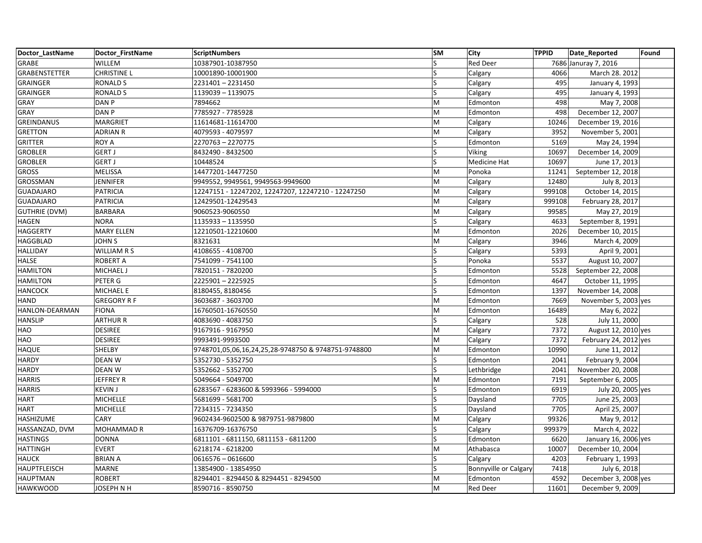| Doctor LastName      | Doctor FirstName   | <b>ScriptNumbers</b>                                | <b>SM</b>    | City                  | <b>TPPID</b> | Date_Reported         | Found |
|----------------------|--------------------|-----------------------------------------------------|--------------|-----------------------|--------------|-----------------------|-------|
| GRABE                | <b>WILLEM</b>      | 10387901-10387950                                   | S            | <b>Red Deer</b>       |              | 7686 Januray 7, 2016  |       |
| GRABENSTETTER        | <b>CHRISTINE L</b> | 10001890-10001900                                   | S            | Calgary               | 4066         | March 28. 2012        |       |
| GRAINGER             | <b>RONALD S</b>    | 2231401-2231450                                     | ls           | Calgary               | 495          | January 4, 1993       |       |
| GRAINGER             | <b>RONALD S</b>    | 1139039 - 1139075                                   | ls           | Calgary               | 495          | January 4, 1993       |       |
| GRAY                 | DAN <sub>P</sub>   | 7894662                                             | M            | Edmonton              | 498          | May 7, 2008           |       |
| GRAY                 | DAN <sub>P</sub>   | 7785927 - 7785928                                   | M            | Edmonton              | 498          | December 12, 2007     |       |
| <b>GREINDANUS</b>    | <b>MARGRIET</b>    | 11614681-11614700                                   | M            | Calgary               | 10246        | December 19, 2016     |       |
| <b>GRETTON</b>       | <b>ADRIAN R</b>    | 4079593 - 4079597                                   | M            | Calgary               | 3952         | November 5, 2001      |       |
| GRITTER              | <b>ROY A</b>       | 2270763-2270775                                     | ls           | Edmonton              | 5169         | May 24, 1994          |       |
| <b>GROBLER</b>       | <b>GERT J</b>      | 8432490 - 8432500                                   | ls           | Viking                | 10697        | December 14, 2009     |       |
| <b>GROBLER</b>       | <b>GERT J</b>      | 10448524                                            | S            | Medicine Hat          | 10697        | June 17, 2013         |       |
| <b>GROSS</b>         | <b>MELISSA</b>     | 14477201-14477250                                   | M            | Ponoka                | 11241        | September 12, 2018    |       |
| GROSSMAN             | <b>JENNIFER</b>    | 9949552, 9949561, 9949563-9949600                   | M            | Calgary               | 12480        | July 8, 2013          |       |
| <b>GUADAJARO</b>     | <b>PATRICIA</b>    | 12247151 - 12247202, 12247207, 12247210 - 12247250  | M            | Calgary               | 999108       | October 14, 2015      |       |
| <b>GUADAJARO</b>     | <b>PATRICIA</b>    | 12429501-12429543                                   | M            | Calgary               | 999108       | February 28, 2017     |       |
| <b>GUTHRIE (DVM)</b> | BARBARA            | 9060523-9060550                                     | M            | Calgary               | 99585        | May 27, 2019          |       |
| <b>HAGEN</b>         | <b>NORA</b>        | 1135933 - 1135950                                   | S            | Calgary               | 4633         | September 8, 1991     |       |
| HAGGERTY             | <b>MARY ELLEN</b>  | 12210501-12210600                                   | M            | Edmonton              | 2026         | December 10, 2015     |       |
| HAGGBLAD             | <b>JOHN S</b>      | 8321631                                             | M            | Calgary               | 3946         | March 4, 2009         |       |
| <b>HALLIDAY</b>      | <b>WILLIAM R S</b> | 4108655 - 4108700                                   | S            | Calgary               | 5393         | April 9, 2001         |       |
| <b>HALSE</b>         | <b>ROBERT A</b>    | 7541099 - 7541100                                   | ls           | Ponoka                | 5537         | August 10, 2007       |       |
| <b>HAMILTON</b>      | MICHAEL J          | 7820151 - 7820200                                   | ls           | Edmonton              | 5528         | September 22, 2008    |       |
| <b>HAMILTON</b>      | PETER G            | 2225901-2225925                                     | S            | Edmonton              | 4647         | October 11, 1995      |       |
| <b>HANCOCK</b>       | <b>MICHAEL E</b>   | 8180455, 8180456                                    | S            | Edmonton              | 1397         | November 14, 2008     |       |
| HAND                 | <b>GREGORY R F</b> | 3603687 - 3603700                                   | M            | Edmonton              | 7669         | November 5, 2003 yes  |       |
| HANLON-DEARMAN       | <b>FIONA</b>       | 16760501-16760550                                   | M            | Edmonton              | 16489        | May 6, 2022           |       |
| <b>HANSLIP</b>       | <b>ARTHUR R</b>    | 4083690 - 4083750                                   | S            | Calgary               | 528          | July 11, 2000         |       |
| HAO                  | <b>DESIREE</b>     | 9167916 - 9167950                                   | M            | Calgary               | 7372         | August 12, 2010 yes   |       |
| HAO                  | <b>DESIREE</b>     | 9993491-9993500                                     | M            | Calgary               | 7372         | February 24, 2012 yes |       |
| <b>HAQUE</b>         | SHELBY             | 9748701,05,06,16,24,25,28-9748750 & 9748751-9748800 | M            | Edmonton              | 10990        | June 11, 2012         |       |
| <b>HARDY</b>         | <b>DEANW</b>       | 5352730 - 5352750                                   | S            | Edmonton              | 2041         | February 9, 2004      |       |
| HARDY                | <b>DEAN W</b>      | 5352662 - 5352700                                   | S            | Lethbridge            | 2041         | November 20, 2008     |       |
| <b>HARRIS</b>        | <b>JEFFREY R</b>   | 5049664 - 5049700                                   | M            | Edmonton              | 7191         | September 6, 2005     |       |
| <b>HARRIS</b>        | <b>KEVIN J</b>     | 6283567 - 6283600 & 5993966 - 5994000               | S            | Edmonton              | 6919         | July 20, 2005 yes     |       |
| <b>HART</b>          | <b>MICHELLE</b>    | 5681699 - 5681700                                   | ls           | Daysland              | 7705         | June 25, 2003         |       |
| <b>HART</b>          | <b>MICHELLE</b>    | 7234315 - 7234350                                   | ls           | Daysland              | 7705         | April 25, 2007        |       |
| HASHIZUME            | CARY               | 9602434-9602500 & 9879751-9879800                   | M            | Calgary               | 99326        | May 9, 2012           |       |
| HASSANZAD, DVM       | MOHAMMAD R         | 16376709-16376750                                   | S            | Calgary               | 999379       | March 4, 2022         |       |
| <b>HASTINGS</b>      | <b>DONNA</b>       | 6811101 - 6811150, 6811153 - 6811200                | ls           | Edmonton              | 6620         | January 16, 2006 yes  |       |
| <b>HATTINGH</b>      | <b>EVERT</b>       | 6218174 - 6218200                                   | M            | Athabasca             | 10007        | December 10, 2004     |       |
| <b>HAUCK</b>         | <b>BRIAN A</b>     | 0616576 - 0616600                                   | <sub>S</sub> | Calgary               | 4203         | February 1, 1993      |       |
| <b>HAUPTFLEISCH</b>  | <b>MARNE</b>       | 13854900 - 13854950                                 | ls           | Bonnyville or Calgary | 7418         | July 6, 2018          |       |
| <b>HAUPTMAN</b>      | <b>ROBERT</b>      | 8294401 - 8294450 & 8294451 - 8294500               | M            | Edmonton              | 4592         | December 3, 2008 yes  |       |
| <b>HAWKWOOD</b>      | <b>JOSEPH N H</b>  | 8590716 - 8590750                                   | M            | <b>Red Deer</b>       | 11601        | December 9, 2009      |       |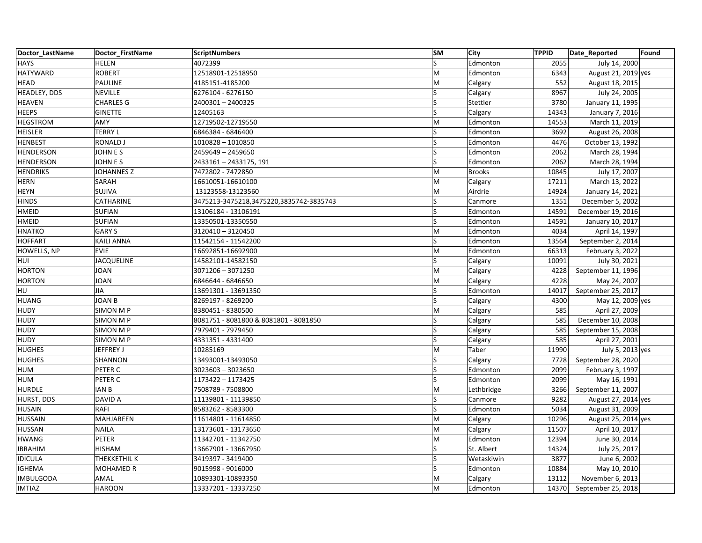| Doctor LastName  | Doctor FirstName  | <b>ScriptNumbers</b>                    | <b>SM</b>               | <b>City</b>   | <b>TPPID</b> | Date_Reported       | Found |
|------------------|-------------------|-----------------------------------------|-------------------------|---------------|--------------|---------------------|-------|
| <b>HAYS</b>      | <b>HELEN</b>      | 4072399                                 | $\overline{\mathsf{S}}$ | Edmonton      | 2055         | July 14, 2000       |       |
| <b>HATYWARD</b>  | <b>ROBERT</b>     | 12518901-12518950                       | M                       | Edmonton      | 6343         | August 21, 2019 yes |       |
| <b>HEAD</b>      | <b>PAULINE</b>    | 4185151-4185200                         | M                       | Calgary       | 552          | August 18, 2015     |       |
| HEADLEY, DDS     | <b>NEVILLE</b>    | 6276104 - 6276150                       | S                       | Calgary       | 8967         | July 24, 2005       |       |
| <b>HEAVEN</b>    | <b>CHARLES G</b>  | 2400301 - 2400325                       | S                       | Stettler      | 3780         | January 11, 1995    |       |
| <b>HEEPS</b>     | <b>GINETTE</b>    | 12405163                                | Ś                       | Calgary       | 14343        | January 7, 2016     |       |
| <b>HEGSTROM</b>  | AMY               | 12719502-12719550                       | M                       | Edmonton      | 14553        | March 11, 2019      |       |
| <b>HEISLER</b>   | <b>TERRY L</b>    | 6846384 - 6846400                       | S                       | Edmonton      | 3692         | August 26, 2008     |       |
| <b>HENBEST</b>   | <b>RONALD J</b>   | 1010828 - 1010850                       |                         | Edmonton      | 4476         | October 13, 1992    |       |
| HENDERSON        | <b>JOHN E S</b>   | 2459649 - 2459650                       | S                       | Edmonton      | 2062         | March 28, 1994      |       |
| HENDERSON        | <b>JOHN ES</b>    | 2433161 - 2433175, 191                  | <sub>S</sub>            | Edmonton      | 2062         | March 28, 1994      |       |
| <b>HENDRIKS</b>  | <b>JOHANNES Z</b> | 7472802 - 7472850                       | M                       | <b>Brooks</b> | 10845        | July 17, 2007       |       |
| <b>HERN</b>      | SARAH             | 16610051-16610100                       | M                       | Calgary       | 17211        | March 13, 2022      |       |
| <b>HEYN</b>      | SUJIVA            | 13123558-13123560                       | M                       | Airdrie       | 14924        | January 14, 2021    |       |
| <b>HINDS</b>     | CATHARINE         | 3475213-3475218,3475220,3835742-3835743 | Ś                       | Canmore       | 1351         | December 5, 2002    |       |
| HMEID            | SUFIAN            | 13106184 - 13106191                     | Ś                       | Edmonton      | 14591        | December 19, 2016   |       |
| <b>HMEID</b>     | SUFIAN            | 13350501-13350550                       | S                       | Edmonton      | 14591        | January 10, 2017    |       |
| <b>HNATKO</b>    | <b>GARY S</b>     | 3120410 - 3120450                       | M                       | Edmonton      | 4034         | April 14, 1997      |       |
| <b>HOFFART</b>   | <b>KAILI ANNA</b> | 11542154 - 11542200                     | Ś                       | Edmonton      | 13564        | September 2, 2014   |       |
| HOWELLS, NP      | <b>EVIE</b>       | 16692851-16692900                       | M                       | Edmonton      | 66313        | February 3, 2022    |       |
| HUI              | <b>JACQUELINE</b> | 14582101-14582150                       |                         | Calgary       | 10091        | July 30, 2021       |       |
| <b>HORTON</b>    | <b>JOAN</b>       | 3071206 - 3071250                       | M                       | Calgary       | 4228         | September 11, 1996  |       |
| <b>HORTON</b>    | <b>JOAN</b>       | 6846644 - 6846650                       | M                       | Calgary       | 4228         | May 24, 2007        |       |
| HU               | <b>JIA</b>        | 13691301 - 13691350                     |                         | Edmonton      | 14017        | September 25, 2017  |       |
| <b>HUANG</b>     | <b>JOAN B</b>     | 8269197 - 8269200                       | S                       | Calgary       | 4300         | May 12, 2009 yes    |       |
| <b>HUDY</b>      | <b>SIMON M P</b>  | 8380451 - 8380500                       | M                       | Calgary       | 585          | April 27, 2009      |       |
| <b>HUDY</b>      | <b>SIMON M P</b>  | 8081751 - 8081800 & 8081801 - 8081850   |                         | Calgary       | 585          | December 10, 2008   |       |
| <b>HUDY</b>      | <b>SIMON M P</b>  | 7979401 - 7979450                       | S                       | Calgary       | 585          | September 15, 2008  |       |
| <b>HUDY</b>      | SIMON M P         | 4331351 - 4331400                       | S                       | Calgary       | 585          | April 27, 2001      |       |
| <b>HUGHES</b>    | JEFFREY J         | 10285169                                | M                       | Taber         | 11990        | July 5, 2013 yes    |       |
| <b>HUGHES</b>    | SHANNON           | 13493001-13493050                       | S                       | Calgary       | 7728         | September 28, 2020  |       |
| <b>HUM</b>       | PETER C           | 3023603 - 3023650                       | S                       | Edmonton      | 2099         | February 3, 1997    |       |
| <b>HUM</b>       | PETER C           | 1173422 - 1173425                       | S                       | Edmonton      | 2099         | May 16, 1991        |       |
| <b>HURDLE</b>    | <b>IAN B</b>      | 7508789 - 7508800                       | M                       | Lethbridge    | 3266         | September 11, 2007  |       |
| HURST, DDS       | DAVID A           | 11139801 - 11139850                     | S                       | Canmore       | 9282         | August 27, 2014 yes |       |
| <b>HUSAIN</b>    | <b>RAFI</b>       | 8583262 - 8583300                       | Ś                       | Edmonton      | 5034         | August 31, 2009     |       |
| <b>HUSSAIN</b>   | MAHJABEEN         | 11614801 - 11614850                     | M                       | Calgary       | 10296        | August 25, 2014 yes |       |
| <b>HUSSAN</b>    | <b>NAILA</b>      | 13173601 - 13173650                     | M                       | Calgary       | 11507        | April 10, 2017      |       |
| <b>HWANG</b>     | <b>PETER</b>      | 11342701 - 11342750                     | M                       | Edmonton      | 12394        | June 30, 2014       |       |
| <b>IBRAHIM</b>   | <b>HISHAM</b>     | 13667901 - 13667950                     | S                       | St. Albert    | 14324        | July 25, 2017       |       |
| <b>IDICULA</b>   | THEKKETHIL K      | 3419397 - 3419400                       | S                       | Wetaskiwin    | 3877         | June 6, 2002        |       |
| IGHEMA           | <b>MOHAMED R</b>  | 9015998 - 9016000                       | S                       | Edmonton      | 10884        | May 10, 2010        |       |
| <b>IMBULGODA</b> | AMAL              | 10893301-10893350                       | M                       | Calgary       | 13112        | November 6, 2013    |       |
| <b>IMTIAZ</b>    | <b>HAROON</b>     | 13337201 - 13337250                     | M                       | Edmonton      | 14370        | September 25, 2018  |       |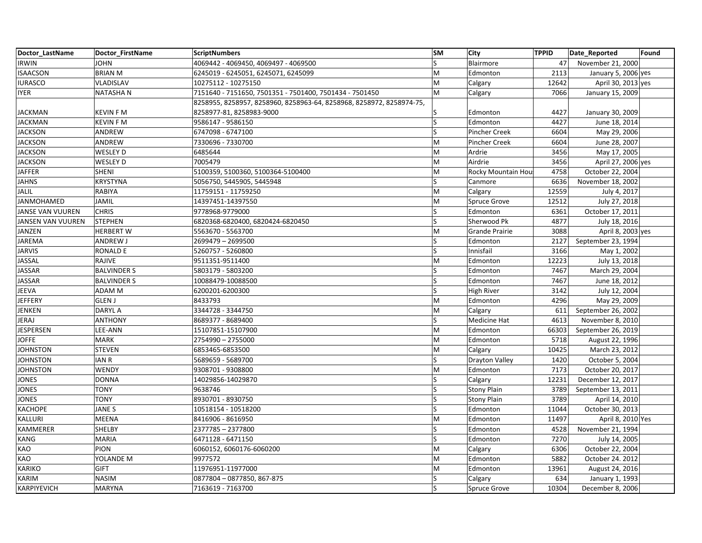| Doctor LastName   | Doctor FirstName   | <b>ScriptNumbers</b>                                                 | <b>SM</b> | <b>City</b>        | <b>TPPID</b> | Date_Reported       | Found |
|-------------------|--------------------|----------------------------------------------------------------------|-----------|--------------------|--------------|---------------------|-------|
| <b>IRWIN</b>      | <b>JOHN</b>        | 4069442 - 4069450, 4069497 - 4069500                                 | ls        | Blairmore          | 47           | November 21, 2000   |       |
| <b>ISAACSON</b>   | <b>BRIAN M</b>     | 6245019 - 6245051, 6245071, 6245099                                  | lм        | Edmonton           | 2113         | January 5, 2006 yes |       |
| <b>IURASCO</b>    | <b>VLADISLAV</b>   | 10275112 - 10275150                                                  | lM        | Calgary            | 12642        | April 30, 2013 yes  |       |
| <b>IYER</b>       | <b>NATASHAN</b>    | 7151640 - 7151650, 7501351 - 7501400, 7501434 - 7501450              | M         | Calgary            | 7066         | January 15, 2009    |       |
|                   |                    | 8258955, 8258957, 8258960, 8258963-64, 8258968, 8258972, 8258974-75, |           |                    |              |                     |       |
| <b>JACKMAN</b>    | <b>KEVIN F M</b>   | 8258977-81, 8258983-9000                                             |           | Edmonton           | 4427         | January 30, 2009    |       |
| <b>JACKMAN</b>    | <b>KEVIN F M</b>   | 9586147 - 9586150                                                    | ls        | Edmonton           | 4427         | June 18, 2014       |       |
| <b>JACKSON</b>    | ANDREW             | 6747098 - 6747100                                                    | ls        | Pincher Creek      | 6604         | May 29, 2006        |       |
| <b>JACKSON</b>    | ANDREW             | 7330696 - 7330700                                                    | İМ        | Pincher Creek      | 6604         | June 28, 2007       |       |
| JACKSON           | <b>WESLEY D</b>    | 6485644                                                              | M         | Ardrie             | 3456         | May 17, 2005        |       |
| <b>JACKSON</b>    | WESLEY D           | 7005479                                                              | M         | Airdrie            | 3456         | April 27, 2006 yes  |       |
| <b>JAFFER</b>     | <b>SHENI</b>       | 5100359, 5100360, 5100364-5100400                                    | M         | Rocky Mountain Hou | 4758         | October 22, 2004    |       |
| <b>JAHNS</b>      | <b>KRYSTYNA</b>    | 5056750, 5445905, 5445948                                            | ls        | Canmore            | 6636         | November 18, 2002   |       |
| JALIL             | <b>RABIYA</b>      | 11759151 - 11759250                                                  | M         | Calgary            | 12559        | July 4, 2017        |       |
| JANMOHAMED        | <b>JAMIL</b>       | 14397451-14397550                                                    | M         | Spruce Grove       | 12512        | July 27, 2018       |       |
| JANSE VAN VUUREN  | <b>CHRIS</b>       | 9778968-9779000                                                      | ls        | Edmonton           | 6361         | October 17, 2011    |       |
| JANSEN VAN VUUREN | <b>STEPHEN</b>     | 6820368-6820400, 6820424-6820450                                     | ls        | Sherwood Pk        | 4877         | July 18, 2016       |       |
| JANZEN            | <b>HERBERT W</b>   | 5563670 - 5563700                                                    | İМ        | Grande Prairie     | 3088         | April 8, 2003 yes   |       |
| JAREMA            | ANDREW J           | 2699479 - 2699500                                                    | ls        | Edmonton           | 2127         | September 23, 1994  |       |
| <b>JARVIS</b>     | <b>RONALD E</b>    | 5260757 - 5260800                                                    | ls        | Innisfail          | 3166         | May 1, 2002         |       |
| JASSAL            | RAJIVE             | 9511351-9511400                                                      | M         | Edmonton           | 12223        | July 13, 2018       |       |
| JASSAR            | <b>BALVINDER S</b> | 5803179 - 5803200                                                    | ls        | Edmonton           | 7467         | March 29, 2004      |       |
| <b>JASSAR</b>     | <b>BALVINDER S</b> | 10088479-10088500                                                    | ls        | Edmonton           | 7467         | June 18, 2012       |       |
| <b>JEEVA</b>      | ADAM M             | 6200201-6200300                                                      | ١s        | <b>High River</b>  | 3142         | July 12, 2004       |       |
| <b>JEFFERY</b>    | <b>GLEN J</b>      | 8433793                                                              | M         | Edmonton           | 4296         | May 29, 2009        |       |
| JENKEN            | <b>DARYL A</b>     | 3344728 - 3344750                                                    | M         | Calgary            | 611          | September 26, 2002  |       |
| JERAJ             | <b>ANTHONY</b>     | 8689377 - 8689400                                                    | ١s        | Medicine Hat       | 4613         | November 8, 2010    |       |
| JESPERSEN         | LEE-ANN            | 15107851-15107900                                                    | M         | Edmonton           | 66303        | September 26, 2019  |       |
| <b>JOFFE</b>      | <b>MARK</b>        | 2754990 - 2755000                                                    | M         | Edmonton           | 5718         | August 22, 1996     |       |
| <b>JOHNSTON</b>   | <b>STEVEN</b>      | 6853465-6853500                                                      | M         | Calgary            | 10425        | March 23, 2012      |       |
| <b>JOHNSTON</b>   | <b>IAN R</b>       | 5689659 - 5689700                                                    | ls        | Drayton Valley     | 1420         | October 5, 2004     |       |
| <b>JOHNSTON</b>   | <b>WENDY</b>       | 9308701 - 9308800                                                    | lм        | Edmonton           | 7173         | October 20, 2017    |       |
| <b>JONES</b>      | <b>DONNA</b>       | 14029856-14029870                                                    | ١s        | Calgary            | 12231        | December 12, 2017   |       |
| <b>JONES</b>      | <b>TONY</b>        | 9638746                                                              | ls        | <b>Stony Plain</b> | 3789         | September 13, 2011  |       |
| JONES             | <b>TONY</b>        | 8930701 - 8930750                                                    | ls        | <b>Stony Plain</b> | 3789         | April 14, 2010      |       |
| KACHOPE           | JANE S             | 10518154 - 10518200                                                  | ls        | Edmonton           | 11044        | October 30, 2013    |       |
| KALLURI           | <b>MEENA</b>       | 8416906 - 8616950                                                    | M         | Edmonton           | 11497        | April 8, 2010 Yes   |       |
| KAMMERER          | SHELBY             | 2377785 - 2377800                                                    | ls        | Edmonton           | 4528         | November 21, 1994   |       |
| <b>KANG</b>       | <b>MARIA</b>       | 6471128 - 6471150                                                    | ls        | Edmonton           | 7270         | July 14, 2005       |       |
| KAO               | <b>PION</b>        | 6060152, 6060176-6060200                                             | M         | Calgary            | 6306         | October 22, 2004    |       |
| KAO               | YOLANDE M          | 9977572                                                              | lм        | Edmonton           | 5882         | October 24. 2012    |       |
| KARIKO            | <b>GIFT</b>        | 11976951-11977000                                                    | lм        | Edmonton           | 13961        | August 24, 2016     |       |
| KARIM             | <b>NASIM</b>       | 0877804 - 0877850, 867-875                                           | ls        | Calgary            | 634          | January 1, 1993     |       |
| KARPIYEVICH       | <b>MARYNA</b>      | 7163619 - 7163700                                                    | ls        | Spruce Grove       | 10304        | December 8, 2006    |       |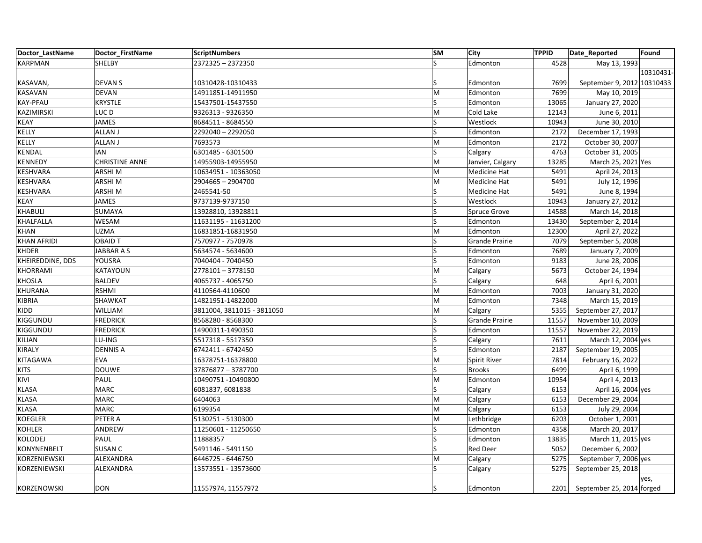| Doctor LastName    | Doctor_FirstName      | ScriptNumbers              | <b>SM</b>               | City             | <b>TPPID</b> | Date_Reported              | Found     |
|--------------------|-----------------------|----------------------------|-------------------------|------------------|--------------|----------------------------|-----------|
| <b>KARPMAN</b>     | <b>SHELBY</b>         | 2372325 - 2372350          | $\overline{\mathsf{S}}$ | Edmonton         | 4528         | May 13, 1993               |           |
|                    |                       |                            |                         |                  |              |                            | 10310431- |
| KASAVAN,           | DEVAN S               | 10310428-10310433          |                         | Edmonton         | 7699         | September 9, 2012 10310433 |           |
| KASAVAN            | <b>DEVAN</b>          | 14911851-14911950          | M                       | Edmonton         | 7699         | May 10, 2019               |           |
| KAY-PFAU           | <b>KRYSTLE</b>        | 15437501-15437550          | S                       | Edmonton         | 13065        | January 27, 2020           |           |
| KAZIMIRSKI         | LUC D                 | 9326313 - 9326350          | M                       | Cold Lake        | 12143        | June 6, 2011               |           |
| <b>KEAY</b>        | <b>JAMES</b>          | 8684511 - 8684550          | S                       | Westlock         | 10943        | June 30, 2010              |           |
| KELLY              | <b>ALLAN J</b>        | 2292040 - 2292050          | S                       | Edmonton         | 2172         | December 17, 1993          |           |
| KELLY              | <b>ALLAN J</b>        | 7693573                    | M                       | Edmonton         | 2172         | October 30, 2007           |           |
| <b>KENDAL</b>      | <b>IAN</b>            | 6301485 - 6301500          | S                       | Calgary          | 4763         | October 31, 2005           |           |
| <b>KENNEDY</b>     | <b>CHRISTINE ANNE</b> | 14955903-14955950          | M                       | Janvier, Calgary | 13285        | March 25, 2021 Yes         |           |
| <b>KESHVARA</b>    | ARSHI M               | 10634951 - 10363050        | M                       | Medicine Hat     | 5491         | April 24, 2013             |           |
| KESHVARA           | ARSHI M               | 2904665 - 2904700          | M                       | Medicine Hat     | 5491         | July 12, 1996              |           |
| KESHVARA           | ARSHI M               | 2465541-50                 | S                       | Medicine Hat     | 5491         | June 8, 1994               |           |
| <b>KEAY</b>        | <b>JAMES</b>          | 9737139-9737150            | S                       | Westlock         | 10943        | January 27, 2012           |           |
| <b>KHABULI</b>     | SUMAYA                | 13928810, 13928811         | S                       | Spruce Grove     | 14588        | March 14, 2018             |           |
| <b>KHALFALLA</b>   | WESAM                 | 11631195 - 11631200        | S                       | Edmonton         | 13430        | September 2, 2014          |           |
| <b>KHAN</b>        | <b>UZMA</b>           | 16831851-16831950          | M                       | Edmonton         | 12300        | April 27, 2022             |           |
| <b>KHAN AFRIDI</b> | <b>OBAID T</b>        | 7570977 - 7570978          |                         | Grande Prairie   | 7079         | September 5, 2008          |           |
| <b>KHDER</b>       | JABBAR A S            | 5634574 - 5634600          | S                       | Edmonton         | 7689         | January 7, 2009            |           |
| KHEIREDDINE, DDS   | YOUSRA                | 7040404 - 7040450          | S                       | Edmonton         | 9183         | June 28, 2006              |           |
| KHORRAMI           | KATAYOUN              | 2778101-3778150            | M                       | Calgary          | 5673         | October 24, 1994           |           |
| <b>KHOSLA</b>      | <b>BALDEV</b>         | 4065737 - 4065750          | S                       | Calgary          | 648          | April 6, 2001              |           |
| <b>KHURANA</b>     | <b>RSHMI</b>          | 4110564-4110600            | M                       | Edmonton         | 7003         | January 31, 2020           |           |
| KIBRIA             | <b>SHAWKAT</b>        | 14821951-14822000          | M                       | Edmonton         | 7348         | March 15, 2019             |           |
| KIDD               | WILLIAM               | 3811004, 3811015 - 3811050 | M                       | Calgary          | 5355         | September 27, 2017         |           |
| KIGGUNDU           | <b>FREDRICK</b>       | 8568280 - 8568300          | S                       | Grande Prairie   | 11557        | November 10, 2009          |           |
| KIGGUNDU           | <b>FREDRICK</b>       | 14900311-1490350           | S                       | Edmonton         | 11557        | November 22, 2019          |           |
| KILIAN             | LU-ING                | 5517318 - 5517350          | S                       | Calgary          | 7611         | March 12, 2004 yes         |           |
| KIRALY             | <b>DENNIS A</b>       | 6742411 - 6742450          |                         | Edmonton         | 2187         | September 19, 2005         |           |
| KITAGAWA           | <b>EVA</b>            | 16378751-16378800          | M                       | Spirit River     | 7814         | February 16, 2022          |           |
| <b>KITS</b>        | <b>DOUWE</b>          | 37876877 - 3787700         | S                       | <b>Brooks</b>    | 6499         | April 6, 1999              |           |
| KIVI               | PAUL                  | 10490751 -10490800         | M                       | Edmonton         | 10954        | April 4, 2013              |           |
| <b>KLASA</b>       | <b>MARC</b>           | 6081837, 6081838           | S                       | Calgary          | 6153         | April 16, 2004 yes         |           |
| <b>KLASA</b>       | <b>MARC</b>           | 6404063                    | M                       | Calgary          | 6153         | December 29, 2004          |           |
| <b>KLASA</b>       | <b>MARC</b>           | 6199354                    | M                       | Calgary          | 6153         | July 29, 2004              |           |
| KOEGLER            | PETER A               | 5130251 - 5130300          | M                       | Lethbridge       | 6203         | October 1, 2001            |           |
| KOHLER             | ANDREW                | 11250601 - 11250650        | S                       | Edmonton         | 4358         | March 20, 2017             |           |
| <b>KOLODEJ</b>     | PAUL                  | 11888357                   | S                       | Edmonton         | 13835        | March 11, 2015 yes         |           |
| KONYNENBELT        | <b>SUSAN C</b>        | 5491146 - 5491150          | S                       | Red Deer         | 5052         | December 6, 2002           |           |
| KORZENIEWSKI       | ALEXANDRA             | 6446725 - 6446750          | M                       | Calgary          | 5275         | September 7, 2006 yes      |           |
| KORZENIEWSKI       | ALEXANDRA             | 13573551 - 13573600        |                         | Calgary          | 5275         | September 25, 2018         |           |
|                    |                       |                            |                         |                  |              |                            | yes,      |
| KORZENOWSKI        | <b>DON</b>            | 11557974, 11557972         | S                       | Edmonton         | 2201         | September 25, 2014 forged  |           |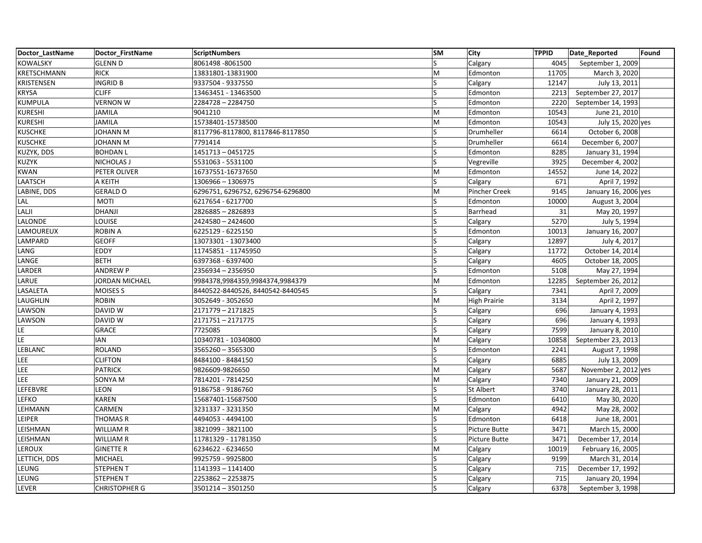| Doctor LastName | Doctor FirstName     | <b>ScriptNumbers</b>              | <b>SM</b>               | <b>City</b>         | <b>TPPID</b> | Date_Reported        | Found |
|-----------------|----------------------|-----------------------------------|-------------------------|---------------------|--------------|----------------------|-------|
| <b>KOWALSKY</b> | <b>GLENN D</b>       | 8061498 - 8061500                 | $\overline{\mathsf{S}}$ | Calgary             | 4045         | September 1, 2009    |       |
| KRETSCHMANN     | <b>RICK</b>          | 13831801-13831900                 | M                       | Edmonton            | 11705        | March 3, 2020        |       |
| KRISTENSEN      | <b>INGRID B</b>      | 9337504 - 9337550                 | ς                       | Calgary             | 12147        | July 13, 2011        |       |
| KRYSA           | <b>CLIFF</b>         | 13463451 - 13463500               | S                       | Edmonton            | 2213         | September 27, 2017   |       |
| KUMPULA         | <b>VERNON W</b>      | 2284728-2284750                   | S                       | Edmonton            | 2220         | September 14, 1993   |       |
| KURESHI         | <b>JAMILA</b>        | 9041210                           | M                       | Edmonton            | 10543        | June 21, 2010        |       |
| <b>KURESHI</b>  | <b>JAMILA</b>        | 15738401-15738500                 | M                       | Edmonton            | 10543        | July 15, 2020 yes    |       |
| <b>KUSCHKE</b>  | <b>JOHANN M</b>      | 8117796-8117800, 8117846-8117850  | S                       | Drumheller          | 6614         | October 6, 2008      |       |
| KUSCHKE         | <b>JOHANN M</b>      | 7791414                           |                         | Drumheller          | 6614         | December 6, 2007     |       |
| KUZYK, DDS      | <b>BOHDAN L</b>      | 1451713 - 0451725                 |                         | Edmonton            | 8285         | January 31, 1994     |       |
| KUZYK           | <b>NICHOLAS J</b>    | 5531063 - 5531100                 | S                       | Vegreville          | 3925         | December 4, 2002     |       |
| KWAN            | PETER OLIVER         | 16737551-16737650                 | M                       | Edmonton            | 14552        | June 14, 2022        |       |
| LAATSCH         | A KEITH              | 1306966 - 1306975                 | S                       | Calgary             | 671          | April 7, 1992        |       |
| LABINE, DDS     | <b>GERALD O</b>      | 6296751, 6296752, 6296754-6296800 | M                       | Pincher Creek       | 9145         | January 16, 2006 yes |       |
| LAL             | <b>MOTI</b>          | 6217654 - 6217700                 | S                       | Edmonton            | 10000        | August 3, 2004       |       |
| LALJI           | <b>DHANJI</b>        | 2826885-2826893                   | S                       | Barrhead            | 31           | May 20, 1997         |       |
| LALONDE         | LOUISE               | 2424580 - 2424600                 | S                       | Calgary             | 5270         | July 5, 1994         |       |
| LAMOUREUX       | <b>ROBIN A</b>       | 6225129 - 6225150                 |                         | Edmonton            | 10013        | January 16, 2007     |       |
| LAMPARD         | <b>GEOFF</b>         | 13073301 - 13073400               | S                       | Calgary             | 12897        | July 4, 2017         |       |
| LANG            | <b>EDDY</b>          | 11745851 - 11745950               | S                       | Calgary             | 11772        | October 14, 2014     |       |
| LANGE           | <b>BETH</b>          | 6397368 - 6397400                 |                         | Calgary             | 4605         | October 18, 2005     |       |
| LARDER          | <b>ANDREW P</b>      | 2356934 - 2356950                 | Ś                       | Edmonton            | 5108         | May 27, 1994         |       |
| LARUE           | JORDAN MICHAEL       | 9984378,9984359,9984374,9984379   | M                       | Edmonton            | 12285        | September 26, 2012   |       |
| LASALETA        | <b>MOISES S</b>      | 8440522-8440526, 8440542-8440545  | Ś                       | Calgary             | 7341         | April 7, 2009        |       |
| LAUGHLIN        | <b>ROBIN</b>         | 3052649 - 3052650                 | M                       | <b>High Prairie</b> | 3134         | April 2, 1997        |       |
| LAWSON          | DAVID W              | 2171779 - 2171825                 | S                       | Calgary             | 696          | January 4, 1993      |       |
| LAWSON          | DAVID W              | 2171751-2171775                   |                         | Calgary             | 696          | January 4, 1993      |       |
| LE              | <b>GRACE</b>         | 7725085                           | S                       | Calgary             | 7599         | January 8, 2010      |       |
| LE.             | <b>IAN</b>           | 10340781 - 10340800               | M                       | Calgary             | 10858        | September 23, 2013   |       |
| LEBLANC         | <b>ROLAND</b>        | 3565260 - 3565300                 |                         | Edmonton            | 2241         | August 7, 1998       |       |
| LEE             | <b>CLIFTON</b>       | 8484100 - 8484150                 | S                       | Calgary             | 6885         | July 13, 2009        |       |
| <b>LEE</b>      | <b>PATRICK</b>       | 9826609-9826650                   | M                       | Calgary             | 5687         | November 2, 2012 yes |       |
| <b>LEE</b>      | SONYA M              | 7814201 - 7814250                 | M                       | Calgary             | 7340         | January 21, 2009     |       |
| LEFEBVRE        | LEON                 | 9186758 - 9186760                 | Ś                       | St Albert           | 3740         | January 28, 2011     |       |
| <b>LEFKO</b>    | KAREN                | 15687401-15687500                 | S                       | Edmonton            | 6410         | May 30, 2020         |       |
| LEHMANN         | CARMEN               | 3231337 - 3231350                 | M                       | Calgary             | 4942         | May 28, 2002         |       |
| LEIPER          | <b>THOMAS R</b>      | 4494053 - 4494100                 | S                       | Edmonton            | 6418         | June 18, 2001        |       |
| LEISHMAN        | <b>WILLIAM R</b>     | 3821099 - 3821100                 | S                       | Picture Butte       | 3471         | March 15, 2000       |       |
| LEISHMAN        | <b>WILLIAM R</b>     | 11781329 - 11781350               |                         | Picture Butte       | 3471         | December 17, 2014    |       |
| LEROUX          | <b>GINETTE R</b>     | 6234622 - 6234650                 | M                       | Calgary             | 10019        | February 16, 2005    |       |
| LETTICH, DDS    | <b>MICHAEL</b>       | 9925759 - 9925800                 | S                       | Calgary             | 9199         | March 31, 2014       |       |
| LEUNG           | <b>STEPHEN T</b>     | 1141393 - 1141400                 | S                       | Calgary             | 715          | December 17, 1992    |       |
| LEUNG           | <b>STEPHENT</b>      | 2253862-2253875                   |                         | Calgary             | 715          | January 20, 1994     |       |
| LEVER           | <b>CHRISTOPHER G</b> | 3501214 - 3501250                 | S                       | Calgary             | 6378         | September 3, 1998    |       |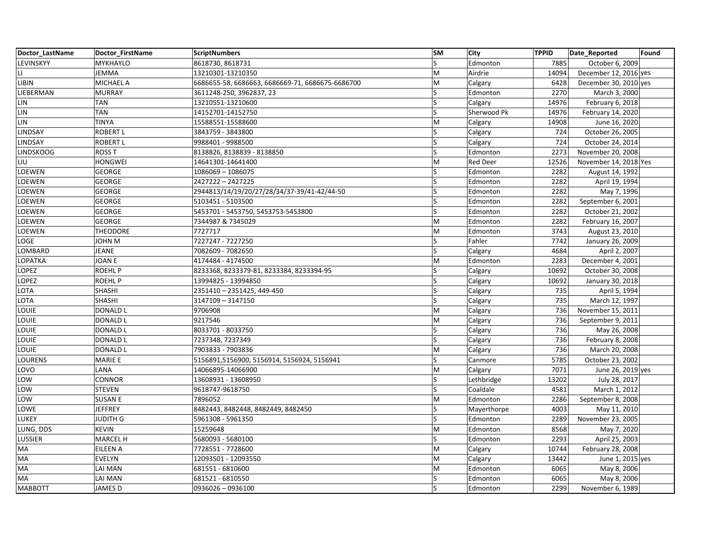| Doctor LastName  | Doctor FirstName | <b>ScriptNumbers</b>                             | <b>SM</b> | <b>City</b>     | <b>TPPID</b> | Date_Reported         | Found |
|------------------|------------------|--------------------------------------------------|-----------|-----------------|--------------|-----------------------|-------|
| LEVINSKYY        | MYKHAYLO         | 8618730, 8618731                                 | ls        | Edmonton        | 7885         | October 6, 2009       |       |
| LI               | JEMMA            | 13210301-13210350                                | lм        | Airdrie         | 14094        | December 12, 2016 yes |       |
| LIBIN            | <b>MICHAEL A</b> | 6686655-58, 6686663, 6686669-71, 6686675-6686700 | M         | Calgary         | 6428         | December 30, 2010 yes |       |
| LIEBERMAN        | <b>MURRAY</b>    | 3611248-250, 3962837, 23                         | ls        | Edmonton        | 2270         | March 3, 2000         |       |
| LIN              | <b>TAN</b>       | 13210551-13210600                                | ls        | Calgary         | 14976        | February 6, 2018      |       |
| LIN              | <b>TAN</b>       | 14152701-14152750                                | S         | Sherwood Pk     | 14976        | February 14, 2020     |       |
| LIN              | <b>TINYA</b>     | 15588551-15588600                                | M         | Calgary         | 14908        | June 16, 2020         |       |
| LINDSAY          | <b>ROBERT L</b>  | 3843759 - 3843800                                | ls        | Calgary         | 724          | October 26, 2005      |       |
| LINDSAY          | <b>ROBERT L</b>  | 9988401 - 9988500                                | ls        | Calgary         | 724          | October 24, 2014      |       |
| <b>LINDSKOOG</b> | <b>ROSS T</b>    | 8138826, 8138839 - 8138850                       | S         | Edmonton        | 2273         | November 20, 2008     |       |
| LIU              | <b>HONGWEI</b>   | 14641301-14641400                                | İМ        | <b>Red Deer</b> | 12526        | November 14, 2018 Yes |       |
| LOEWEN           | <b>GEORGE</b>    | 1086069 - 1086075                                |           | Edmonton        | 2282         | August 14, 1992       |       |
| LOEWEN           | <b>GEORGE</b>    | 2427222-2427225                                  | ls        | Edmonton        | 2282         | April 19, 1994        |       |
| LOEWEN           | <b>GEORGE</b>    | 2944813/14/19/20/27/28/34/37-39/41-42/44-50      | ls        | Edmonton        | 2282         | May 7, 1996           |       |
| LOEWEN           | <b>GEORGE</b>    | 5103451 - 5103500                                | ls        | Edmonton        | 2282         | September 6, 2001     |       |
| LOEWEN           | <b>GEORGE</b>    | 5453701 - 5453750, 5453753-5453800               | S         | Edmonton        | 2282         | October 21, 2002      |       |
| LOEWEN           | <b>GEORGE</b>    | 7344987 & 7345029                                | M         | Edmonton        | 2282         | February 16, 2007     |       |
| LOEWEN           | <b>THEODORE</b>  | 7727717                                          | M         | Edmonton        | 3743         | August 23, 2010       |       |
| LOGE             | JOHN M           | 7227247 - 7227250                                | ls        | Fahler          | 7742         | January 26, 2009      |       |
| LOMBARD          | <b>JEANE</b>     | 7082609 - 7082650                                | ls        | Calgary         | 4684         | April 2, 2007         |       |
| LOPATKA          | JOAN E           | 4174484 - 4174500                                | lM        | Edmonton        | 2283         | December 4, 2001      |       |
| LOPEZ            | <b>ROEHLP</b>    | 8233368, 8233379-81, 8233384, 8233394-95         | ls        | Calgary         | 10692        | October 30, 2008      |       |
| LOPEZ            | <b>ROEHLP</b>    | 13994825 - 13994850                              | ls        | Calgary         | 10692        | January 30, 2018      |       |
| OTA.             | <b>SHASHI</b>    | 2351410 - 2351425, 449-450                       | ls        | Calgary         | 735          | April 5, 1994         |       |
| LOTA             | SHASHI           | 3147109 - 3147150                                | ls        | Calgary         | 735          | March 12, 1997        |       |
| LOUIE            | <b>DONALD L</b>  | 9706908                                          | M         | Calgary         | 736          | November 15, 2011     |       |
| LOUIE            | <b>DONALD L</b>  | 9217546                                          | İМ        | Calgary         | 736          | September 9, 2011     |       |
| <b>OUIE</b>      | <b>DONALD L</b>  | 8033701 - 8033750                                | ls        | Calgary         | 736          | May 26, 2008          |       |
| LOUIE            | <b>DONALD L</b>  | 7237348, 7237349                                 | ls        | Calgary         | 736          | February 8, 2008      |       |
| LOUIE            | <b>DONALD L</b>  | 7903833 - 7903836                                | İМ        | Calgary         | 736          | March 20, 2008        |       |
| LOURENS          | <b>MARIE E</b>   | 5156891,5156900, 5156914, 5156924, 5156941       | ls        | Canmore         | 5785         | October 23, 2002      |       |
| LOVO             | LANA             | 14066895-14066900                                | M         | Calgary         | 7071         | June 26, 2019 yes     |       |
| LOW              | CONNOR           | 13608931 - 13608950                              | ١s        | Lethbridge      | 13202        | July 28, 2017         |       |
| LOW              | <b>STEVEN</b>    | 9618747-9618750                                  | ls        | Coaldale        | 4581         | March 1, 2012         |       |
| .OW              | <b>SUSAN E</b>   | 7896052                                          | M         | Edmonton        | 2286         | September 8, 2008     |       |
| <b>OWE</b>       | <b>JEFFREY</b>   | 8482443, 8482448, 8482449, 8482450               | ls        | Mayerthorpe     | 4003         | May 11, 2010          |       |
| LUKEY            | <b>JUDITH G</b>  | 5961308 - 5961350                                | ls        | Edmonton        | 2289         | November 23, 2005     |       |
| LUNG, DDS        | <b>KEVIN</b>     | 15259648                                         | lм        | Edmonton        | 8568         | May 7, 2020           |       |
| LUSSIER          | <b>MARCEL H</b>  | 5680093 - 5680100                                | ls        | Edmonton        | 2293         | April 25, 2003        |       |
| MA               | EILEEN A         | 7728551 - 7728600                                | M         | Calgary         | 10744        | February 28, 2008     |       |
| МA               | EVELYN           | 12093501 - 12093550                              | M         | Calgary         | 13442        | June 1, 2015 yes      |       |
| МA               | LAI MAN          | 681551 - 6810600                                 | M         | Edmonton        | 6065         | May 8, 2006           |       |
| МA               | LAI MAN          | 681521 - 6810550                                 | ls        | Edmonton        | 6065         | May 8, 2006           |       |
| <b>MABBOTT</b>   | <b>JAMES D</b>   | 0936026 - 0936100                                | ls        | Edmonton        | 2299         | November 6, 1989      |       |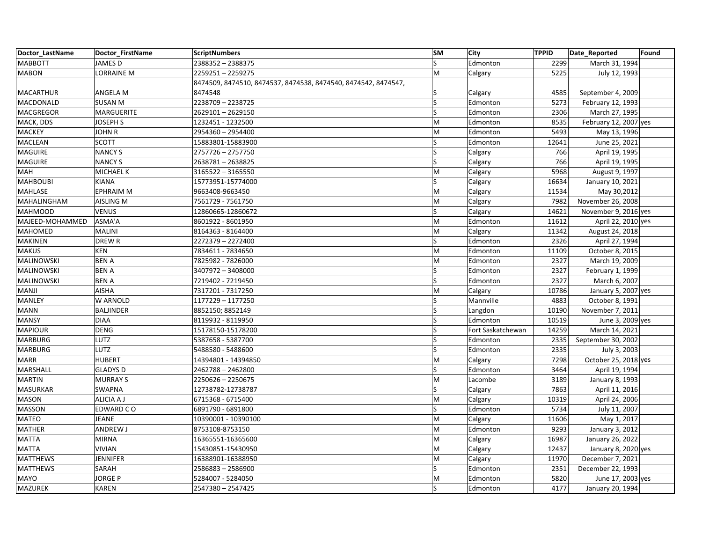| Doctor LastName  | Doctor FirstName  | <b>ScriptNumbers</b>                                           | <b>SM</b>               | City              | <b>TPPID</b> | Date_Reported         | Found |
|------------------|-------------------|----------------------------------------------------------------|-------------------------|-------------------|--------------|-----------------------|-------|
| <b>MABBOTT</b>   | <b>JAMES D</b>    | 2388352 - 2388375                                              | $\overline{\mathsf{S}}$ | Edmonton          | 2299         | March 31, 1994        |       |
| <b>MABON</b>     | <b>LORRAINE M</b> | 2259251-2259275                                                | M                       | Calgary           | 5225         | July 12, 1993         |       |
|                  |                   | 8474509, 8474510, 8474537, 8474538, 8474540, 8474542, 8474547, |                         |                   |              |                       |       |
| <b>MACARTHUR</b> | ANGELA M          | 8474548                                                        |                         | Calgary           | 4585         | September 4, 2009     |       |
| MACDONALD        | <b>SUSAN M</b>    | 2238709-2238725                                                | S                       | Edmonton          | 5273         | February 12, 1993     |       |
| MACGREGOR        | <b>MARGUERITE</b> | 2629101-2629150                                                | Ś                       | Edmonton          | 2306         | March 27, 1995        |       |
| MACK, DDS        | <b>JOSEPH S</b>   | 1232451 - 1232500                                              | M                       | Edmonton          | 8535         | February 12, 2007 yes |       |
| <b>MACKEY</b>    | <b>JOHN R</b>     | 2954360 - 2954400                                              | M                       | Edmonton          | 5493         | May 13, 1996          |       |
| MACLEAN          | <b>SCOTT</b>      | 15883801-15883900                                              | Ś                       | Edmonton          | 12641        | June 25, 2021         |       |
| <b>MAGUIRE</b>   | <b>NANCY S</b>    | 2757726 - 2757750                                              | S                       | Calgary           | 766          | April 19, 1995        |       |
| <b>MAGUIRE</b>   | <b>NANCY S</b>    | 2638781-2638825                                                | S                       | Calgary           | 766          | April 19, 1995        |       |
| MAH              | <b>MICHAEL K</b>  | 3165522 - 3165550                                              | M                       | Calgary           | 5968         | August 9, 1997        |       |
| <b>MAHBOUBI</b>  | <b>KIANA</b>      | 15773951-15774000                                              | Ś                       | Calgary           | 16634        | January 10, 2021      |       |
| <b>MAHLASE</b>   | <b>EPHRAIM M</b>  | 9663408-9663450                                                | M                       | Calgary           | 11534        | May 30,2012           |       |
| MAHALINGHAM      | AISLING M         | 7561729 - 7561750                                              | M                       | Calgary           | 7982         | November 26, 2008     |       |
| <b>MAHMOOD</b>   | <b>VENUS</b>      | 12860665-12860672                                              | S                       | Calgary           | 14621        | November 9, 2016 yes  |       |
| MAJEED-MOHAMMED  | ASMA'A            | 8601922 - 8601950                                              | M                       | Edmonton          | 11612        | April 22, 2010 yes    |       |
| MAHOMED          | <b>MALINI</b>     | 8164363 - 8164400                                              | M                       | Calgary           | 11342        | August 24, 2018       |       |
| <b>MAKINEN</b>   | DREW R            | 2272379 - 2272400                                              | Ś                       | Edmonton          | 2326         | April 27, 1994        |       |
| <b>MAKUS</b>     | <b>KEN</b>        | 7834611 - 7834650                                              | M                       | Edmonton          | 11109        | October 8, 2015       |       |
| MALINOWSKI       | <b>BENA</b>       | 7825982 - 7826000                                              | M                       | Edmonton          | 2327         | March 19, 2009        |       |
| MALINOWSKI       | <b>BENA</b>       | 3407972 - 3408000                                              | S                       | Edmonton          | 2327         | February 1, 1999      |       |
| MALINOWSKI       | <b>BENA</b>       | 7219402 - 7219450                                              | $\overline{\mathsf{S}}$ | Edmonton          | 2327         | March 6, 2007         |       |
| MANJI            | <b>AISHA</b>      | 7317201 - 7317250                                              | M                       | Calgary           | 10786        | January 5, 2007 yes   |       |
| MANLEY           | W ARNOLD          | 1177229 - 1177250                                              | S                       | Mannville         | 4883         | October 8, 1991       |       |
| <b>MANN</b>      | <b>BALJINDER</b>  | 8852150; 8852149                                               | S                       | Langdon           | 10190        | November 7, 2011      |       |
| <b>MANSY</b>     | <b>DIAA</b>       | 8119932 - 8119950                                              |                         | Edmonton          | 10519        | June 3, 2009 yes      |       |
| <b>MAPIOUR</b>   | DENG              | 15178150-15178200                                              | Ś                       | Fort Saskatchewan | 14259        | March 14, 2021        |       |
| <b>MARBURG</b>   | LUTZ              | 5387658 - 5387700                                              | S                       | Edmonton          | 2335         | September 30, 2002    |       |
| <b>MARBURG</b>   | LUTZ              | 5488580 - 5488600                                              |                         | Edmonton          | 2335         | July 3, 2003          |       |
| <b>MARR</b>      | <b>HUBERT</b>     | 14394801 - 14394850                                            | M                       | Calgary           | 7298         | October 25, 2018 yes  |       |
| MARSHALL         | <b>GLADYS D</b>   | 2462788-2462800                                                | S                       | Edmonton          | 3464         | April 19, 1994        |       |
| <b>MARTIN</b>    | <b>MURRAY S</b>   | 2250626 - 2250675                                              | M                       | Lacombe           | 3189         | January 8, 1993       |       |
| <b>MASURKAR</b>  | <b>SWAPNA</b>     | 12738782-12738787                                              | S                       | Calgary           | 7863         | April 11, 2016        |       |
| <b>MASON</b>     | ALICIA A J        | 6715368 - 6715400                                              | M                       | Calgary           | 10319        | April 24, 2006        |       |
| <b>MASSON</b>    | EDWARD CO         | 6891790 - 6891800                                              | Ś                       | Edmonton          | 5734         | July 11, 2007         |       |
| MATEO            | JEANE             | 10390001 - 10390100                                            | M                       | Calgary           | 11606        | May 1, 2017           |       |
| <b>MATHER</b>    | ANDREW J          | 8753108-8753150                                                | M                       | Edmonton          | 9293         | January 3, 2012       |       |
| <b>MATTA</b>     | <b>MIRNA</b>      | 16365551-16365600                                              | M                       | Calgary           | 16987        | January 26, 2022      |       |
| <b>MATTA</b>     | <b>VIVIAN</b>     | 15430851-15430950                                              | M                       | Calgary           | 12437        | January 8, 2020 yes   |       |
| <b>MATTHEWS</b>  | <b>JENNIFER</b>   | 16388901-16388950                                              | M                       | Calgary           | 11970        | December 7, 2021      |       |
| <b>MATTHEWS</b>  | SARAH             | 2586883-2586900                                                | $\overline{\mathsf{S}}$ | Edmonton          | 2351         | December 22, 1993     |       |
| <b>MAYO</b>      | <b>JORGE P</b>    | 5284007 - 5284050                                              | M                       | Edmonton          | 5820         | June 17, 2003 yes     |       |
| MAZUREK          | <b>KAREN</b>      | 2547380 - 2547425                                              | S                       | Edmonton          | 4177         | January 20, 1994      |       |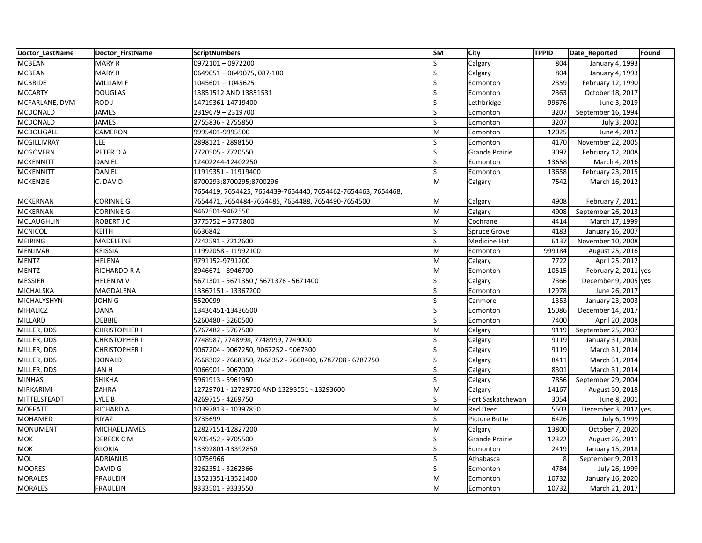| Doctor LastName   | Doctor FirstName     | <b>ScriptNumbers</b>                                         | <b>SM</b>               | <b>City</b>           | <b>TPPID</b> | Date Reported<br>Found |
|-------------------|----------------------|--------------------------------------------------------------|-------------------------|-----------------------|--------------|------------------------|
| <b>MCBEAN</b>     | <b>MARY R</b>        | 0972101-0972200                                              | $\overline{\mathsf{S}}$ | Calgary               | 804          | January 4, 1993        |
| <b>MCBEAN</b>     | <b>MARY R</b>        | 0649051 - 0649075, 087-100                                   | S                       | Calgary               | 804          | January 4, 1993        |
| <b>MCBRIDE</b>    | <b>WILLIAM F</b>     | 1045601 - 1045625                                            | S                       | Edmonton              | 2359         | February 12, 1990      |
| <b>MCCARTY</b>    | <b>DOUGLAS</b>       | 13851512 AND 13851531                                        | S                       | Edmonton              | 2363         | October 18, 2017       |
| MCFARLANE, DVM    | ROD J                | 14719361-14719400                                            | ls                      | Lethbridge            | 99676        | June 3, 2019           |
| MCDONALD          | <b>JAMES</b>         | 2319679 - 2319700                                            | ς                       | Edmonton              | 3207         | September 16, 1994     |
| MCDONALD          | JAMES                | 2755836 - 2755850                                            | S                       | Edmonton              | 3207         | July 3, 2002           |
| MCDOUGALL         | CAMERON              | 9995401-9995500                                              | M                       | Edmonton              | 12025        | June 4, 2012           |
| MCGILLIVRAY       | <b>LEE</b>           | 2898121 - 2898150                                            | ς                       | Edmonton              | 4170         | November 22, 2005      |
| <b>MCGOVERN</b>   | PETER DA             | 7720505 - 7720550                                            | S                       | <b>Grande Prairie</b> | 3097         | February 12, 2008      |
| <b>MCKENNITT</b>  | DANIEL               | 12402244-12402250                                            | S                       | Edmonton              | 13658        | March 4, 2016          |
| <b>MCKENNITT</b>  | <b>DANIEL</b>        | 11919351 - 11919400                                          | S                       | Edmonton              | 13658        | February 23, 2015      |
| <b>MCKENZIE</b>   | C. DAVID             | 8700293;8700295;8700296                                      | M                       | Calgary               | 7542         | March 16, 2012         |
|                   |                      | 7654419, 7654425, 7654439-7654440, 7654462-7654463, 7654468, |                         |                       |              |                        |
| <b>MCKERNAN</b>   | <b>CORINNE G</b>     | 7654471, 7654484-7654485, 7654488, 7654490-7654500           | M                       | Calgary               | 4908         | February 7, 2011       |
| <b>MCKERNAN</b>   | <b>CORINNE G</b>     | 9462501-9462550                                              | M                       | Calgary               | 4908         | September 26, 2013     |
| <b>MCLAUGHLIN</b> | <b>ROBERT J C</b>    | 3775752 - 3775800                                            | M                       | Cochrane              | 4414         | March 17, 1999         |
| <b>MCNICOL</b>    | <b>KEITH</b>         | 6636842                                                      | ς                       | <b>Spruce Grove</b>   | 4183         | January 16, 2007       |
| <b>MEIRING</b>    | MADELEINE            | 7242591 - 7212600                                            | S                       | Medicine Hat          | 6137         | November 10, 2008      |
| MENJIVAR          | <b>KRISSIA</b>       | 11992058 - 11992100                                          | M                       | Edmonton              | 999184       | August 25, 2016        |
| <b>MENTZ</b>      | <b>HELENA</b>        | 9791152-9791200                                              | M                       | Calgary               | 7722         | April 25. 2012         |
| <b>MENTZ</b>      | <b>RICHARDO R A</b>  | 8946671 - 8946700                                            | M                       | Edmonton              | 10515        | February 2, 2011 yes   |
| <b>MESSIER</b>    | <b>HELEN MV</b>      | 5671301 - 5671350 / 5671376 - 5671400                        | S                       | Calgary               | 7366         | December 9, 2005 yes   |
| MICHALSKA         | MAGDALENA            | 13367151 - 13367200                                          | ς                       | Edmonton              | 12978        | June 26, 2017          |
| MICHALYSHYN       | <b>JOHN G</b>        | 5520099                                                      |                         | Canmore               | 1353         | January 23, 2003       |
| <b>MIHALICZ</b>   | <b>DANA</b>          | 13436451-13436500                                            | ls                      | Edmonton              | 15086        | December 14, 2017      |
| MILLARD           | <b>DEBBIE</b>        | 5260480 - 5260500                                            | ς                       | Edmonton              | 7400         | April 20, 2008         |
| MILLER, DDS       | <b>CHRISTOPHER I</b> | 5767482 - 5767500                                            | M                       | Calgary               | 9119         | September 25, 2007     |
| MILLER, DDS       | <b>CHRISTOPHER I</b> | 7748987, 7748998, 7748999, 7749000                           | S                       | Calgary               | 9119         | January 31, 2008       |
| MILLER, DDS       | <b>CHRISTOPHER I</b> | 9067204 - 9067250, 9067252 - 9067300                         | ς                       | Calgary               | 9119         | March 31, 2014         |
| MILLER, DDS       | <b>DONALD</b>        | 7668302 - 7668350, 7668352 - 7668400, 6787708 - 6787750      | S                       | Calgary               | 8411         | March 31, 2014         |
| MILLER, DDS       | <b>IAN H</b>         | 9066901 - 9067000                                            | ıS.                     | Calgary               | 8301         | March 31, 2014         |
| <b>MINHAS</b>     | <b>SHIKHA</b>        | 5961913 - 5961950                                            | S                       | Calgary               | 7856         | September 29, 2004     |
| MIRKARIMI         | ZAHRA                | 12729701 - 12729750 AND 13293551 - 13293600                  | M                       | Calgary               | 14167        | August 30, 2018        |
| MITTELSTEADT      | LYLE B               | 4269715 - 4269750                                            | S                       | Fort Saskatchewan     | 3054         | June 8, 2001           |
| <b>MOFFATT</b>    | RICHARD A            | 10397813 - 10397850                                          | M                       | <b>Red Deer</b>       | 5503         | December 3, 2012 yes   |
| <b>MOHAMED</b>    | RIYAZ                | 3735699                                                      | S                       | <b>Picture Butte</b>  | 6426         | July 6, 1999           |
| <b>MONUMENT</b>   | MICHAEL JAMES        | 12827151-12827200                                            | M                       | Calgary               | 13800        | October 7, 2020        |
| MOK               | DERECK CM            | 9705452 - 9705500                                            |                         | <b>Grande Prairie</b> | 12322        | August 26, 2011        |
| <b>MOK</b>        | <b>GLORIA</b>        | 13392801-13392850                                            | S                       | Edmonton              | 2419         | January 15, 2018       |
| MOL               | ADRIANUS             | 10756966                                                     | S                       | Athabasca             | 8            | September 9, 2013      |
| <b>MOORES</b>     | DAVID G              | 3262351 - 3262366                                            | S                       | Edmonton              | 4784         | July 26, 1999          |
| <b>MORALES</b>    | <b>FRAULEIN</b>      | 13521351-13521400                                            | M                       | Edmonton              | 10732        | January 16, 2020       |
| <b>MORALES</b>    | <b>FRAULEIN</b>      | 9333501 - 9333550                                            | M                       | Edmonton              | 10732        | March 21, 2017         |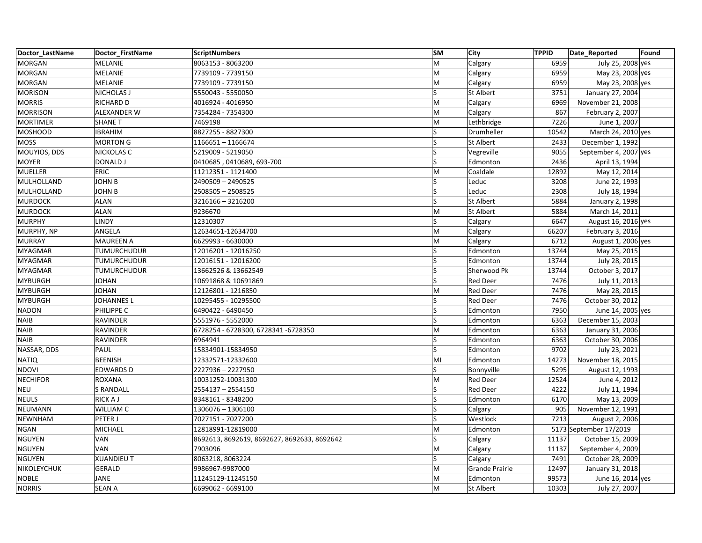| Doctor LastName | Doctor_FirstName   | <b>ScriptNumbers</b>                        | <b>SM</b> | City             | <b>TPPID</b> | Date_Reported          | Found |
|-----------------|--------------------|---------------------------------------------|-----------|------------------|--------------|------------------------|-------|
| <b>MORGAN</b>   | MELANIE            | 8063153 - 8063200                           | M         | Calgary          | 6959         | July 25, 2008 yes      |       |
| <b>MORGAN</b>   | MELANIE            | 7739109 - 7739150                           | M         | Calgary          | 6959         | May 23, 2008 yes       |       |
| <b>MORGAN</b>   | MELANIE            | 7739109 - 7739150                           | M         | Calgary          | 6959         | May 23, 2008 yes       |       |
| <b>MORISON</b>  | <b>NICHOLAS J</b>  | 5550043 - 5550050                           | Ś         | <b>St Albert</b> | 3751         | January 27, 2004       |       |
| <b>MORRIS</b>   | RICHARD D          | 4016924 - 4016950                           | M         | Calgary          | 6969         | November 21, 2008      |       |
| <b>MORRISON</b> | ALEXANDER W        | 7354284 - 7354300                           | M         | Calgary          | 867          | February 2, 2007       |       |
| <b>MORTIMER</b> | <b>SHANE T</b>     | 7469198                                     | M         | Lethbridge       | 7226         | June 1, 2007           |       |
| <b>MOSHOOD</b>  | <b>IBRAHIM</b>     | 8827255 - 8827300                           | ls        | Drumheller       | 10542        | March 24, 2010 yes     |       |
| <b>MOSS</b>     | <b>MORTON G</b>    | 1166651-1166674                             | S         | <b>St Albert</b> | 2433         | December 1, 1992       |       |
| MOUYIOS, DDS    | <b>NICKOLAS C</b>  | 5219009 - 5219050                           |           | Vegreville       | 9055         | September 4, 2007 yes  |       |
| <b>MOYER</b>    | <b>DONALD J</b>    | 0410685, 0410689, 693-700                   | S         | Edmonton         | 2436         | April 13, 1994         |       |
| <b>MUELLER</b>  | <b>ERIC</b>        | 11212351 - 1121400                          | M         | Coaldale         | 12892        | May 12, 2014           |       |
| MULHOLLAND      | <b>JOHN B</b>      | 2490509 - 2490525                           | Ś         | Leduc            | 3208         | June 22, 1993          |       |
| MULHOLLAND      | <b>JOHN B</b>      | 2508505 - 2508525                           | ls        | Leduc            | 2308         | July 18, 1994          |       |
| <b>MURDOCK</b>  | <b>ALAN</b>        | 3216166 - 3216200                           | S         | <b>St Albert</b> | 5884         | January 2, 1998        |       |
| <b>MURDOCK</b>  | <b>ALAN</b>        | 9236670                                     | M         | <b>St Albert</b> | 5884         | March 14, 2011         |       |
| <b>MURPHY</b>   | <b>LINDY</b>       | 12310307                                    | S         | Calgary          | 6647         | August 16, 2016 yes    |       |
| MURPHY, NP      | ANGELA             | 12634651-12634700                           | M         | Calgary          | 66207        | February 3, 2016       |       |
| <b>MURRAY</b>   | <b>MAUREEN A</b>   | 6629993 - 6630000                           | M         | Calgary          | 6712         | August 1, 2006 yes     |       |
| <b>MYAGMAR</b>  | <b>TUMURCHUDUR</b> | 12016201 - 12016250                         | S         | Edmonton         | 13744        | May 25, 2015           |       |
| <b>MYAGMAR</b>  | <b>TUMURCHUDUR</b> | 12016151 - 12016200                         |           | Edmonton         | 13744        | July 28, 2015          |       |
| <b>MYAGMAR</b>  | TUMURCHUDUR        | 13662526 & 13662549                         | Ś         | Sherwood Pk      | 13744        | October 3, 2017        |       |
| <b>MYBURGH</b>  | <b>JOHAN</b>       | 10691868 & 10691869                         | S         | <b>Red Deer</b>  | 7476         | July 11, 2013          |       |
| <b>MYBURGH</b>  | <b>JOHAN</b>       | 12126801 - 1216850                          | M         | <b>Red Deer</b>  | 7476         | May 28, 2015           |       |
| <b>MYBURGH</b>  | <b>JOHANNES L</b>  | 10295455 - 10295500                         | S         | <b>Red Deer</b>  | 7476         | October 30, 2012       |       |
| <b>NADON</b>    | PHILIPPE C         | 6490422 - 6490450                           | S         | Edmonton         | 7950         | June 14, 2005 yes      |       |
| <b>NAIB</b>     | <b>RAVINDER</b>    | 5551976 - 5552000                           |           | Edmonton         | 6363         | December 15, 2003      |       |
| <b>NAIB</b>     | <b>RAVINDER</b>    | 6728254 - 6728300, 6728341 -6728350         | M         | Edmonton         | 6363         | January 31, 2006       |       |
| <b>NAIB</b>     | RAVINDER           | 6964941                                     | S         | Edmonton         | 6363         | October 30, 2006       |       |
| NASSAR, DDS     | PAUL               | 15834901-15834950                           |           | Edmonton         | 9702         | July 23, 2021          |       |
| <b>NATIQ</b>    | <b>BEENISH</b>     | 12332571-12332600                           | MI        | Edmonton         | 14273        | November 18, 2015      |       |
| <b>NDOVI</b>    | <b>EDWARDS D</b>   | 2227936 - 2227950                           | S         | Bonnyville       | 5295         | August 12, 1993        |       |
| <b>NECHIFOR</b> | <b>ROXANA</b>      | 10031252-10031300                           | M         | <b>Red Deer</b>  | 12524        | June 4, 2012           |       |
| <b>NEU</b>      | <b>S RANDALL</b>   | 2554137 - 2554150                           | S         | <b>Red Deer</b>  | 4222         | July 11, 1994          |       |
| <b>NEULS</b>    | RICK A J           | 8348161 - 8348200                           | S         | Edmonton         | 6170         | May 13, 2009           |       |
| NEUMANN         | WILLIAM C          | 1306076 - 1306100                           |           | Calgary          | 905          | November 12, 1991      |       |
| <b>NEWNHAM</b>  | PETER J            | 7027151 - 7027200                           | S         | Westlock         | 7213         | August 2, 2006         |       |
| <b>NGAN</b>     | MICHAEL            | 12818991-12819000                           | M         | Edmonton         |              | 5173 September 17/2019 |       |
| <b>NGUYEN</b>   | VAN                | 8692613, 8692619, 8692627, 8692633, 8692642 | Ś         | Calgary          | 11137        | October 15, 2009       |       |
| <b>NGUYEN</b>   | VAN                | 7903096                                     | M         | Calgary          | 11137        | September 4, 2009      |       |
| <b>NGUYEN</b>   | <b>XUANDIEU T</b>  | 8063218, 8063224                            | ls.       | Calgary          | 7491         | October 28, 2009       |       |
| NIKOLEYCHUK     | <b>GERALD</b>      | 9986967-9987000                             | M         | Grande Prairie   | 12497        | January 31, 2018       |       |
| <b>NOBLE</b>    | <b>JANE</b>        | 11245129-11245150                           | M         | Edmonton         | 99573        | June 16, 2014 yes      |       |
| <b>NORRIS</b>   | <b>SEAN A</b>      | 6699062 - 6699100                           | M         | <b>St Albert</b> | 10303        | July 27, 2007          |       |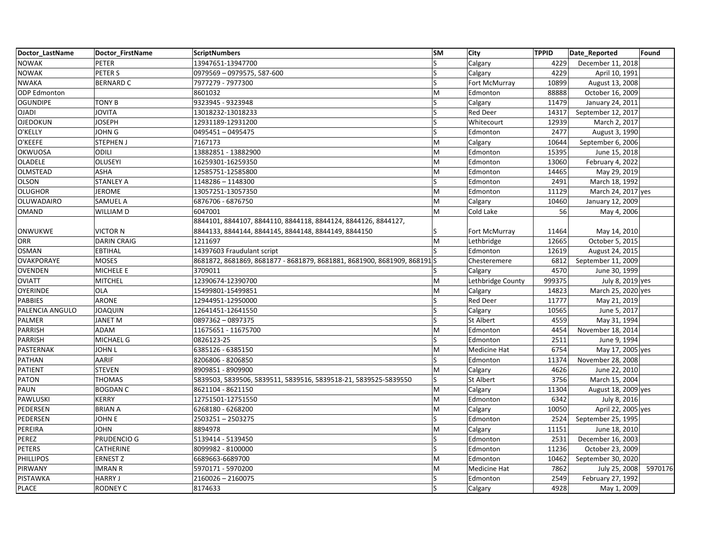| Doctor LastName   | Doctor FirstName   | <b>ScriptNumbers</b>                                                       | <b>SM</b>                                                                             | <b>City</b>       | <b>TPPID</b> | Date Reported       | Found   |
|-------------------|--------------------|----------------------------------------------------------------------------|---------------------------------------------------------------------------------------|-------------------|--------------|---------------------|---------|
| <b>NOWAK</b>      | PETER              | 13947651-13947700                                                          | S                                                                                     | Calgary           | 4229         | December 11, 2018   |         |
| <b>NOWAK</b>      | PETER S            | 0979569 - 0979575, 587-600                                                 | ls                                                                                    | Calgary           | 4229         | April 10, 1991      |         |
| <b>NWAKA</b>      | <b>BERNARD C</b>   | 7977279 - 7977300                                                          | S                                                                                     | Fort McMurray     | 10899        | August 13, 2008     |         |
| ODP Edmonton      |                    | 8601032                                                                    | M                                                                                     | Edmonton          | 88888        | October 16, 2009    |         |
| <b>OGUNDIPE</b>   | <b>TONY B</b>      | 9323945 - 9323948                                                          | ls                                                                                    | Calgary           | 11479        | January 24, 2011    |         |
| <b>OJADI</b>      | <b>JOVITA</b>      | 13018232-13018233                                                          | S                                                                                     | <b>Red Deer</b>   | 14317        | September 12, 2017  |         |
| <b>OJEDOKUN</b>   | <b>JOSEPH</b>      | 12931189-12931200                                                          | S                                                                                     | Whitecourt        | 12939        | March 2, 2017       |         |
| O'KELLY           | <b>JOHN G</b>      | 0495451-0495475                                                            | S                                                                                     | Edmonton          | 2477         | August 3, 1990      |         |
| O'KEEFE           | <b>STEPHEN J</b>   | 7167173                                                                    | M                                                                                     | Calgary           | 10644        | September 6, 2006   |         |
| OKWUOSA           | <b>ODILI</b>       | 13882851 - 13882900                                                        | M                                                                                     | Edmonton          | 15395        | June 15, 2018       |         |
| OLADELE           | <b>OLUSEYI</b>     | 16259301-16259350                                                          | $\mathsf{M}% _{T}=\mathsf{M}_{T}\!\left( a,b\right) ,\ \mathsf{M}_{T}=\mathsf{M}_{T}$ | Edmonton          | 13060        | February 4, 2022    |         |
| OLMSTEAD          | <b>ASHA</b>        | 12585751-12585800                                                          | M                                                                                     | Edmonton          | 14465        | May 29, 2019        |         |
| <b>OLSON</b>      | <b>STANLEY A</b>   | 1148286 - 1148300                                                          | S                                                                                     | Edmonton          | 2491         | March 18, 1992      |         |
| <b>OLUGHOR</b>    | <b>JEROME</b>      | 13057251-13057350                                                          | M                                                                                     | Edmonton          | 11129        | March 24, 2017 yes  |         |
| <b>OLUWADAIRO</b> | <b>SAMUEL A</b>    | 6876706 - 6876750                                                          | M                                                                                     | Calgary           | 10460        | January 12, 2009    |         |
| <b>OMAND</b>      | WILLIAM D          | 6047001                                                                    | M                                                                                     | Cold Lake         | 56           | May 4, 2006         |         |
|                   |                    | 8844101, 8844107, 8844110, 8844118, 8844124, 8844126, 8844127,             |                                                                                       |                   |              |                     |         |
| ONWUKWE           | <b>VICTOR N</b>    | 8844133, 8844144, 8844145, 8844148, 8844149, 8844150                       | S                                                                                     | Fort McMurray     | 11464        | May 14, 2010        |         |
| <b>ORR</b>        | <b>DARIN CRAIG</b> | 1211697                                                                    | M                                                                                     | Lethbridge        | 12665        | October 5, 2015     |         |
| <b>OSMAN</b>      | <b>EBTIHAL</b>     | 14397603 Fraudulant script                                                 | ls                                                                                    | Edmonton          | 12619        | August 24, 2015     |         |
| <b>OVAKPORAYE</b> | <b>MOSES</b>       | 8681872, 8681869, 8681877 - 8681879, 8681881, 8681900, 8681909, 868191   S |                                                                                       | Chesteremere      | 6812         | September 11, 2009  |         |
| <b>OVENDEN</b>    | MICHELE E          | 3709011                                                                    | S                                                                                     | Calgary           | 4570         | June 30, 1999       |         |
| <b>OVIATT</b>     | <b>MITCHEL</b>     | 12390674-12390700                                                          | M                                                                                     | Lethbridge County | 999375       | July 8, 2019 yes    |         |
| <b>OYERINDE</b>   | <b>OLA</b>         | 15499801-15499851                                                          | M                                                                                     | Calgary           | 14823        | March 25, 2020 yes  |         |
| <b>PABBIES</b>    | <b>ARONE</b>       | 12944951-12950000                                                          | S                                                                                     | <b>Red Deer</b>   | 11777        | May 21, 2019        |         |
| PALENCIA ANGULO   | <b>JOAQUIN</b>     | 12641451-12641550                                                          | $\overline{\mathsf{S}}$                                                               | Calgary           | 10565        | June 5, 2017        |         |
| PALMER            | <b>JANET M</b>     | 0897362 - 0897375                                                          | S                                                                                     | <b>St Albert</b>  | 4559         | May 31, 1994        |         |
| <b>PARRISH</b>    | ADAM               | 11675651 - 11675700                                                        | M                                                                                     | Edmonton          | 4454         | November 18, 2014   |         |
| <b>PARRISH</b>    | MICHAEL G          | 0826123-25                                                                 | ls                                                                                    | Edmonton          | 2511         | June 9, 1994        |         |
| PASTERNAK         | <b>JOHN L</b>      | 6385126 - 6385150                                                          | M                                                                                     | Medicine Hat      | 6754         | May 17, 2005 yes    |         |
| PATHAN            | AARIF              | 8206806 - 8206850                                                          | S                                                                                     | Edmonton          | 11374        | November 28, 2008   |         |
| <b>PATIENT</b>    | <b>STEVEN</b>      | 8909851 - 8909900                                                          | lм                                                                                    | Calgary           | 4626         | June 22, 2010       |         |
| <b>PATON</b>      | <b>THOMAS</b>      | 5839503, 5839506, 5839511, 5839516, 5839518-21, 5839525-5839550            | S                                                                                     | St Albert         | 3756         | March 15, 2004      |         |
| PAUN              | <b>BOGDAN C</b>    | 8621104 - 8621150                                                          | M                                                                                     | Calgary           | 11304        | August 18, 2009 yes |         |
| PAWLUSKI          | <b>KERRY</b>       | 12751501-12751550                                                          | M                                                                                     | Edmonton          | 6342         | July 8, 2016        |         |
| PEDERSEN          | <b>BRIAN A</b>     | 6268180 - 6268200                                                          | M                                                                                     | Calgary           | 10050        | April 22, 2005 yes  |         |
| PEDERSEN          | JOHN E             | 2503251-2503275                                                            | S                                                                                     | Edmonton          | 2524         | September 25, 1995  |         |
| PEREIRA           | <b>JOHN</b>        | 8894978                                                                    | M                                                                                     | Calgary           | 11151        | June 18, 2010       |         |
| PEREZ             | PRUDENCIO G        | 5139414 - 5139450                                                          | S                                                                                     | Edmonton          | 2531         | December 16, 2003   |         |
| <b>PETERS</b>     | CATHERINE          | 8099982 - 8100000                                                          | S                                                                                     | Edmonton          | 11236        | October 23, 2009    |         |
| <b>PHILLIPOS</b>  | <b>ERNEST Z</b>    | 6689663-6689700                                                            | M                                                                                     | Edmonton          | 10462        | September 30, 2020  |         |
| PIRWANY           | <b>IMRAN R</b>     | 5970171 - 5970200                                                          | M                                                                                     | Medicine Hat      | 7862         | July 25, 2008       | 5970176 |
| PISTAWKA          | <b>HARRY J</b>     | 2160026 - 2160075                                                          | S                                                                                     | Edmonton          | 2549         | February 27, 1992   |         |
| <b>PLACE</b>      | <b>RODNEY C</b>    | 8174633                                                                    | ls                                                                                    | Calgary           | 4928         | May 1, 2009         |         |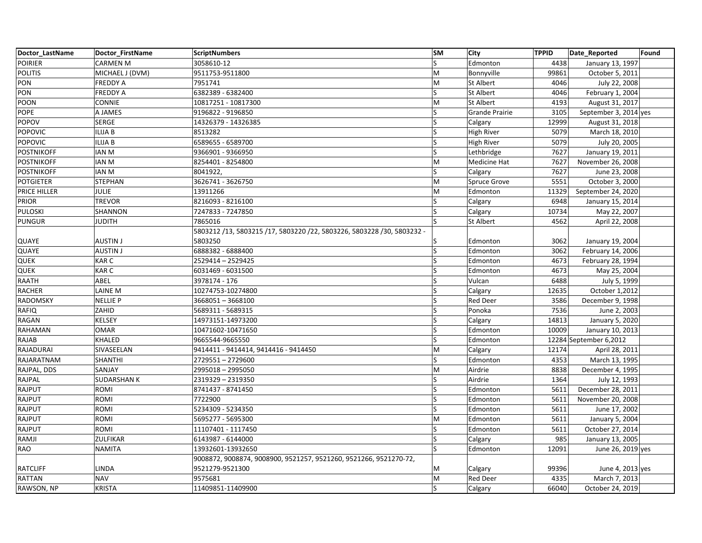| Doctor LastName   | Doctor FirstName   | <b>ScriptNumbers</b>                                                   | <b>SM</b>               | City                  | <b>TPPID</b> | Date Reported          | Found |
|-------------------|--------------------|------------------------------------------------------------------------|-------------------------|-----------------------|--------------|------------------------|-------|
| <b>POIRIER</b>    | <b>CARMEN M</b>    | 3058610-12                                                             | $\overline{\mathsf{S}}$ | Edmonton              | 4438         | January 13, 1997       |       |
| <b>POLITIS</b>    | MICHAEL J (DVM)    | 9511753-9511800                                                        | M                       | Bonnyville            | 99861        | October 5, 2011        |       |
| PON               | <b>FREDDY A</b>    | 7951741                                                                | M                       | <b>St Albert</b>      | 4046         | July 22, 2008          |       |
| PON               | <b>FREDDY A</b>    | 6382389 - 6382400                                                      | S                       | <b>St Albert</b>      | 4046         | February 1, 2004       |       |
| POON              | CONNIE             | 10817251 - 10817300                                                    | M                       | <b>St Albert</b>      | 4193         | August 31, 2017        |       |
| <b>POPE</b>       | A JAMES            | 9196822 - 9196850                                                      | Ś                       | <b>Grande Prairie</b> | 3105         | September 3, 2014 yes  |       |
| POPOV             | <b>SERGE</b>       | 14326379 - 14326385                                                    | S                       | Calgary               | 12999        | August 31, 2018        |       |
| <b>POPOVIC</b>    | <b>ILIJA B</b>     | 8513282                                                                | S                       | <b>High River</b>     | 5079         | March 18, 2010         |       |
| <b>POPOVIC</b>    | <b>ILIJA B</b>     | 6589655 - 6589700                                                      |                         | High River            | 5079         | July 20, 2005          |       |
| <b>POSTNIKOFF</b> | <b>IAN M</b>       | 9366901 - 9366950                                                      | Ś                       | Lethbridge            | 7627         | January 19, 2011       |       |
| <b>POSTNIKOFF</b> | <b>IAN M</b>       | 8254401 - 8254800                                                      | M                       | Medicine Hat          | 7627         | November 26, 2008      |       |
| <b>POSTNIKOFF</b> | <b>IAN M</b>       | 8041922,                                                               | S                       | Calgary               | 7627         | June 23, 2008          |       |
| <b>POTGIETER</b>  | <b>STEPHAN</b>     | 3626741 - 3626750                                                      | M                       | Spruce Grove          | 5551         | October 3, 2000        |       |
| PRICE HILLER      | <b>JULIE</b>       | 13911266                                                               | M                       | Edmonton              | 11329        | September 24, 2020     |       |
| <b>PRIOR</b>      | <b>TREVOR</b>      | 8216093 - 8216100                                                      | Ś                       | Calgary               | 6948         | January 15, 2014       |       |
| <b>PULOSKI</b>    | SHANNON            | 7247833 - 7247850                                                      | Ś                       | Calgary               | 10734        | May 22, 2007           |       |
| <b>PUNGUR</b>     | <b>JUDITH</b>      | 7865016                                                                | ς                       | <b>St Albert</b>      | 4562         | April 22, 2008         |       |
|                   |                    | 5803212 /13, 5803215 /17, 5803220 /22, 5803226, 5803228 /30, 5803232 - |                         |                       |              |                        |       |
| QUAYE             | <b>AUSTIN J</b>    | 5803250                                                                |                         | Edmonton              | 3062         | January 19, 2004       |       |
| QUAYE             | <b>AUSTIN J</b>    | 6888382 - 6888400                                                      | $\overline{\mathsf{S}}$ | Edmonton              | 3062         | February 14, 2006      |       |
| <b>QUEK</b>       | <b>KARC</b>        | 2529414 - 2529425                                                      |                         | Edmonton              | 4673         | February 28, 1994      |       |
| <b>QUEK</b>       | KAR C              | 6031469 - 6031500                                                      | S                       | Edmonton              | 4673         | May 25, 2004           |       |
| RAATH             | ABEL               | 3978174 - 176                                                          | ς                       | Vulcan                | 6488         | July 5, 1999           |       |
| <b>RACHER</b>     | <b>LAINE M</b>     | 10274753-10274800                                                      |                         | Calgary               | 12635        | October 1,2012         |       |
| RADOMSKY          | <b>NELLIE P</b>    | 3668051-3668100                                                        | S                       | <b>Red Deer</b>       | 3586         | December 9, 1998       |       |
| <b>RAFIQ</b>      | ZAHID              | 5689311 - 5689315                                                      | S                       | Ponoka                | 7536         | June 2, 2003           |       |
| RAGAN             | <b>KELSEY</b>      | 14973151-14973200                                                      |                         | Calgary               | 14813        | January 5, 2020        |       |
| RAHAMAN           | <b>OMAR</b>        | 10471602-10471650                                                      | Ś                       | Edmonton              | 10009        | January 10, 2013       |       |
| RAJAB             | <b>KHALED</b>      | 9665544-9665550                                                        | S                       | Edmonton              |              | 12284 September 6,2012 |       |
| RAJADURAI         | SIVASEELAN         | 9414411 - 9414414, 9414416 - 9414450                                   | M                       | Calgary               | 12174        | April 28, 2011         |       |
| RAJARATNAM        | SHANTHI            | 2729551-2729600                                                        | S                       | Edmonton              | 4353         | March 13, 1995         |       |
| RAJPAL, DDS       | SANJAY             | 2995018 - 2995050                                                      | M                       | Airdrie               | 8838         | December 4, 1995       |       |
| RAJPAL            | <b>SUDARSHAN K</b> | 2319329 - 2319350                                                      |                         | Airdrie               | 1364         | July 12, 1993          |       |
| RAJPUT            | ROMI               | 8741437 - 8741450                                                      | S                       | Edmonton              | 5611         | December 28, 2011      |       |
| RAJPUT            | <b>ROMI</b>        | 7722900                                                                | S                       | Edmonton              | 5611         | November 20, 2008      |       |
| RAJPUT            | ROMI               | 5234309 - 5234350                                                      |                         | Edmonton              | 5611         | June 17, 2002          |       |
| RAJPUT            | ROMI               | 5695277 - 5695300                                                      | M                       | Edmonton              | 5611         | January 5, 2004        |       |
| RAJPUT            | ROMI               | 11107401 - 1117450                                                     | S                       | Edmonton              | 5611         | October 27, 2014       |       |
| RAMJI             | <b>ZULFIKAR</b>    | 6143987 - 6144000                                                      |                         | Calgary               | 985          | January 13, 2005       |       |
| <b>RAO</b>        | <b>NAMITA</b>      | 13932601-13932650                                                      | S                       | Edmonton              | 12091        | June 26, 2019 yes      |       |
|                   |                    | 9008872, 9008874, 9008900, 9521257, 9521260, 9521266, 9521270-72,      |                         |                       |              |                        |       |
| <b>RATCLIFF</b>   | <b>LINDA</b>       | 9521279-9521300                                                        | Μ                       | Calgary               | 99396        | June 4, 2013 yes       |       |
| <b>RATTAN</b>     | <b>NAV</b>         | 9575681                                                                | M                       | <b>Red Deer</b>       | 4335         | March 7, 2013          |       |
| RAWSON, NP        | <b>KRISTA</b>      | 11409851-11409900                                                      | S                       | Calgary               | 66040        | October 24, 2019       |       |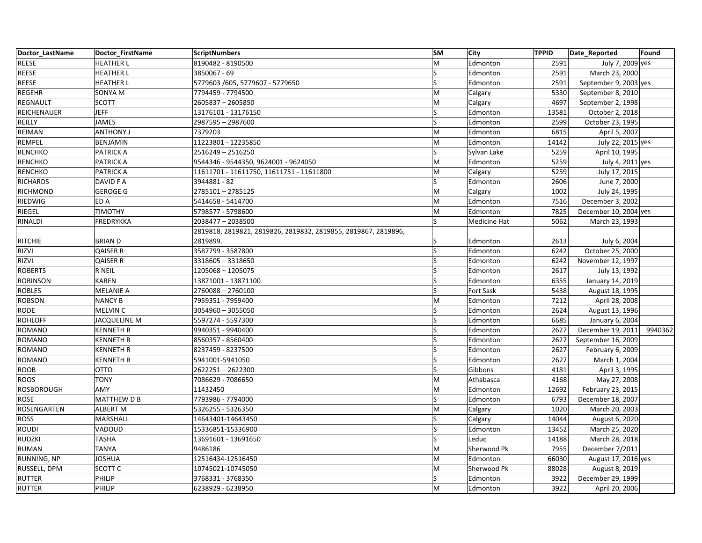| Doctor LastName   | Doctor FirstName    | <b>ScriptNumbers</b>                                           | <b>SM</b> | City         | <b>TPPID</b> | Date_Reported         | Found   |
|-------------------|---------------------|----------------------------------------------------------------|-----------|--------------|--------------|-----------------------|---------|
| REESE             | <b>HEATHER L</b>    | 8190482 - 8190500                                              | lм        | Edmonton     | 2591         | July 7, 2009 yes      |         |
| REESE             | <b>HEATHER L</b>    | 3850067 - 69                                                   | ls        | Edmonton     | 2591         | March 23, 2000        |         |
| REESE             | <b>HEATHER L</b>    | 5779603 /605, 5779607 - 5779650                                | ls        | Edmonton     | 2591         | September 9, 2003 yes |         |
| <b>REGEHR</b>     | SONYA M             | 7794459 - 7794500                                              | M         | Calgary      | 5330         | September 8, 2010     |         |
| REGNAULT          | <b>SCOTT</b>        | 2605837 - 2605850                                              | M         | Calgary      | 4697         | September 2, 1998     |         |
| REICHENAUER       | <b>JEFF</b>         | 13176101 - 13176150                                            | S         | Edmonton     | 13581        | October 2, 2018       |         |
| REILLY            | <b>JAMES</b>        | 2987595 - 2987600                                              | ls        | Edmonton     | 2599         | October 23, 1995      |         |
| REIMAN            | <b>ANTHONY J</b>    | 7379203                                                        | M         | Edmonton     | 6815         | April 5, 2007         |         |
| REMPEL            | <b>BENJAMIN</b>     | 11223801 - 12235850                                            | M         | Edmonton     | 14142        | July 22, 2015 yes     |         |
| <b>RENCHKO</b>    | PATRICK A           | 2516249 - 2516250                                              | ls        | Sylvan Lake  | 5259         | April 10, 1995        |         |
| <b>RENCHKO</b>    | <b>PATRICK A</b>    | 9544346 - 9544350, 9624001 - 9624050                           | M         | Edmonton     | 5259         | July 4, 2011 yes      |         |
| <b>RENCHKO</b>    | <b>PATRICK A</b>    | 11611701 - 11611750, 11611751 - 11611800                       | M         | Calgary      | 5259         | July 17, 2015         |         |
| <b>RICHARDS</b>   | DAVID F A           | 3944881 - 82                                                   | ls        | Edmonton     | 2606         | June 7, 2000          |         |
| RICHMOND          | <b>GEROGE G</b>     | 2785101-2785125                                                | lм        | Calgary      | 1002         | July 24, 1995         |         |
| RIEDWIG           | ED A                | 5414658 - 5414700                                              | lM        | Edmonton     | 7516         | December 3, 2002      |         |
| RIEGEL            | <b>TIMOTHY</b>      | 5798577 - 5798600                                              | M         | Edmonton     | 7825         | December 10, 2004 yes |         |
| RINALDI           | FREDRYKKA           | 2038477 - 2038500                                              | ls        | Medicine Hat | 5062         | March 23, 1993        |         |
|                   |                     | 2819818, 2819821, 2819826, 2819832, 2819855, 2819867, 2819896, |           |              |              |                       |         |
| <b>RITCHIE</b>    | <b>BRIAN D</b>      | 2819899.                                                       |           | Edmonton     | 2613         | July 6, 2004          |         |
| RIZVI             | <b>QAISER R</b>     | 3587799 - 3587800                                              | ls        | Edmonton     | 6242         | October 25, 2000      |         |
| RIZVI             | <b>QAISER R</b>     | 3318605 - 3318650                                              |           | Edmonton     | 6242         | November 12, 1997     |         |
| <b>ROBERTS</b>    | R NEIL              | 1205068 - 1205075                                              | ls        | Edmonton     | 2617         | July 13, 1992         |         |
| <b>ROBINSON</b>   | <b>KAREN</b>        | 13871001 - 13871100                                            | ls        | Edmonton     | 6355         | January 14, 2019      |         |
| <b>ROBLES</b>     | <b>MELANIE A</b>    | 2760088-2760100                                                | ls        | Fort Sask    | 5438         | August 18, 1995       |         |
| <b>ROBSON</b>     | <b>NANCY B</b>      | 7959351 - 7959400                                              | M         | Edmonton     | 7212         | April 28, 2008        |         |
| <b>RODE</b>       | <b>MELVIN C</b>     | 3054960 - 3055050                                              | ls        | Edmonton     | 2624         | August 13, 1996       |         |
| <b>ROHLOFF</b>    | <b>JACQUELINE M</b> | 5597274 - 5597300                                              | ls        | Edmonton     | 6685         | January 6, 2004       |         |
| ROMANO            | <b>KENNETH R</b>    | 9940351 - 9940400                                              | ls        | Edmonton     | 2627         | December 19, 2011     | 9940362 |
| ROMANO            | <b>KENNETH R</b>    | 8560357 - 8560400                                              | ls        | Edmonton     | 2627         | September 16, 2009    |         |
| ROMANO            | <b>KENNETH R</b>    | 8237459 - 8237500                                              | S         | Edmonton     | 2627         | February 6, 2009      |         |
| ROMANO            | <b>KENNETH R</b>    | 5941001-5941050                                                | ls        | Edmonton     | 2627         | March 1, 2004         |         |
| <b>ROOB</b>       | <b>OTTO</b>         | 2622251-2622300                                                | ls        | Gibbons      | 4181         | April 3, 1995         |         |
| <b>ROOS</b>       | <b>TONY</b>         | 7086629 - 7086650                                              | M         | Athabasca    | 4168         | May 27, 2008          |         |
| <b>ROSBOROUGH</b> | AMY                 | 11432450                                                       | M         | Edmonton     | 12692        | February 23, 2015     |         |
| ROSE              | MATTHEW D B         | 7793986 - 7794000                                              | ls        | Edmonton     | 6793         | December 18, 2007     |         |
| ROSENGARTEN       | <b>ALBERT M</b>     | 5326255 - 5326350                                              | M         | Calgary      | 1020         | March 20, 2003        |         |
| <b>ROSS</b>       | MARSHALL            | 14643401-14643450                                              | ls        | Calgary      | 14044        | August 6, 2020        |         |
| ROUDI             | VADOUD              | 15336851-15336900                                              | ls        | Edmonton     | 13452        | March 25, 2020        |         |
| <b>RUDZKI</b>     | <b>TASHA</b>        | 13691601 - 13691650                                            | ls        | Leduc        | 14188        | March 28, 2018        |         |
| <b>RUMAN</b>      | <b>TANYA</b>        | 9486186                                                        | M         | Sherwood Pk  | 7955         | December 7/2011       |         |
| RUNNING, NP       | <b>JOSHUA</b>       | 12516434-12516450                                              | lм        | Edmonton     | 66030        | August 17, 2016 yes   |         |
| RUSSELL, DPM      | SCOTT <sub>C</sub>  | 10745021-10745050                                              | M         | Sherwood Pk  | 88028        | August 8, 2019        |         |
| RUTTER            | PHILIP              | 3768331 - 3768350                                              | ls        | Edmonton     | 3922         | December 29, 1999     |         |
| <b>RUTTER</b>     | PHILIP              | 6238929 - 6238950                                              | M         | Edmonton     | 3922         | April 20, 2006        |         |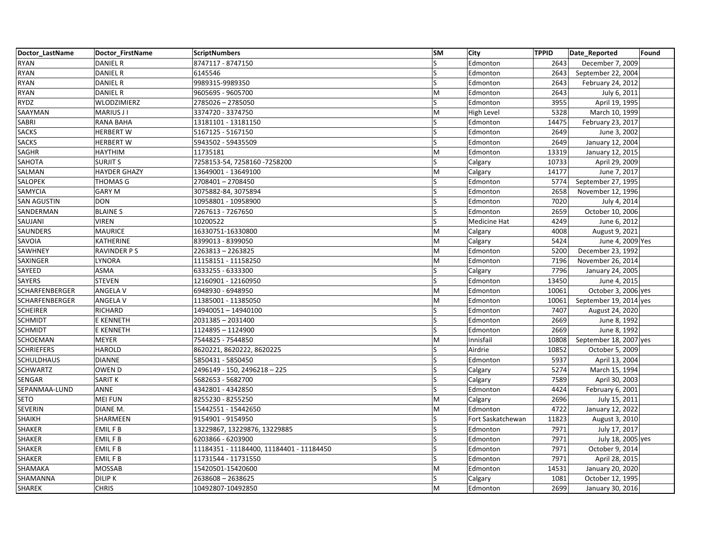| Doctor LastName       | Doctor FirstName    | <b>ScriptNumbers</b>                     | <b>SM</b>               | <b>City</b>       | <b>TPPID</b> | Date_Reported          | Found |
|-----------------------|---------------------|------------------------------------------|-------------------------|-------------------|--------------|------------------------|-------|
| <b>RYAN</b>           | <b>DANIEL R</b>     | 8747117 - 8747150                        | ls                      | Edmonton          | 2643         | December 7, 2009       |       |
| <b>RYAN</b>           | <b>DANIEL R</b>     | 6145546                                  | ls                      | Edmonton          | 2643         | September 22, 2004     |       |
| <b>RYAN</b>           | <b>DANIEL R</b>     | 9989315-9989350                          | $\overline{\mathsf{S}}$ | Edmonton          | 2643         | February 24, 2012      |       |
| <b>RYAN</b>           | <b>DANIEL R</b>     | 9605695 - 9605700                        | M                       | Edmonton          | 2643         | July 6, 2011           |       |
| RYDZ                  | WLODZIMIERZ         | 2785026 - 2785050                        | ls                      | Edmonton          | 3955         | April 19, 1995         |       |
| SAAYMAN               | MARIUS J I          | 3374720 - 3374750                        | İМ                      | High Level        | 5328         | March 10, 1999         |       |
| SABRI                 | <b>RANA BAHA</b>    | 13181101 - 13181150                      | ls                      | Edmonton          | 14475        | February 23, 2017      |       |
| <b>SACKS</b>          | <b>HERBERT W</b>    | 5167125 - 5167150                        | ls                      | Edmonton          | 2649         | June 3, 2002           |       |
| <b>SACKS</b>          | <b>HERBERT W</b>    | 5943502 - 59435509                       | S                       | Edmonton          | 2649         | January 12, 2004       |       |
| SAGHR                 | <b>HAYTHIM</b>      | 11735181                                 | M                       | Edmonton          | 13319        | January 12, 2015       |       |
| SAHOTA                | <b>SURJIT S</b>     | 7258153-54, 7258160 -7258200             | ls                      | Calgary           | 10733        | April 29, 2009         |       |
| SALMAN                | <b>HAYDER GHAZY</b> | 13649001 - 13649100                      | M                       | Calgary           | 14177        | June 7, 2017           |       |
| SALOPEK               | THOMAS G            | 2708401-2708450                          | ls                      | Edmonton          | 5774         | September 27, 1995     |       |
| SAMYCIA               | <b>GARY M</b>       | 3075882-84, 3075894                      | ls                      | Edmonton          | 2658         | November 12, 1996      |       |
| <b>SAN AGUSTIN</b>    | <b>DON</b>          | 10958801 - 10958900                      | S                       | Edmonton          | 7020         | July 4, 2014           |       |
| SANDERMAN             | <b>BLAINE S</b>     | 7267613 - 7267650                        | S                       | Edmonton          | 2659         | October 10, 2006       |       |
| SAUJANI               | <b>VIREN</b>        | 10200522                                 | ls                      | Medicine Hat      | 4249         | June 6, 2012           |       |
| SAUNDERS              | <b>MAURICE</b>      | 16330751-16330800                        | M                       | Calgary           | 4008         | August 9, 2021         |       |
| SAVOIA                | KATHERINE           | 8399013 - 8399050                        | M                       | Calgary           | 5424         | June 4, 2009 Yes       |       |
| SAWHNEY               | <b>RAVINDER PS</b>  | 2263813-2263825                          | M                       | Edmonton          | 5200         | December 23, 1992      |       |
| SAXINGER              | LYNORA              | 11158151 - 11158250                      | İМ                      | Edmonton          | 7196         | November 26, 2014      |       |
| SAYEED                | ASMA                | 6333255 - 6333300                        | ls                      | Calgary           | 7796         | January 24, 2005       |       |
| SAYERS                | <b>STEVEN</b>       | 12160901 - 12160950                      | ls                      | Edmonton          | 13450        | June 4, 2015           |       |
| <b>SCHARFENBERGER</b> | <b>ANGELA V</b>     | 6948930 - 6948950                        | M                       | Edmonton          | 10061        | October 3, 2006 yes    |       |
| SCHARFENBERGER        | ANGELA V            | 11385001 - 11385050                      | M                       | Edmonton          | 10061        | September 19, 2014 yes |       |
| <b>SCHEIRER</b>       | RICHARD             | 14940051-14940100                        | ls                      | Edmonton          | 7407         | August 24, 2020        |       |
| <b>SCHMIDT</b>        | E KENNETH           | 2031385 - 2031400                        | ls                      | Edmonton          | 2669         | June 8, 1992           |       |
| <b>SCHMIDT</b>        | E KENNETH           | 1124895 - 1124900                        | ls                      | Edmonton          | 2669         | June 8, 1992           |       |
| SCHOEMAN              | <b>MEYER</b>        | 7544825 - 7544850                        | lм                      | Innisfail         | 10808        | September 18, 2007 yes |       |
| <b>SCHRIEFERS</b>     | <b>HAROLD</b>       | 8620221, 8620222, 8620225                | ١s                      | Airdrie           | 10852        | October 5, 2009        |       |
| <b>SCHULDHAUS</b>     | <b>DIANNE</b>       | 5850431 - 5850450                        | ls                      | Edmonton          | 5937         | April 13, 2004         |       |
| <b>SCHWARTZ</b>       | OWEN D              | 2496149 - 150, 2496218 - 225             | ls                      | Calgary           | 5274         | March 15, 1994         |       |
| SENGAR                | <b>SARITK</b>       | 5682653 - 5682700                        | ls                      | Calgary           | 7589         | April 30, 2003         |       |
| SEPANMAA-LUND         | <b>ANNE</b>         | 4342801 - 4342850                        | ls                      | Edmonton          | 4424         | February 6, 2001       |       |
| <b>SETO</b>           | <b>MEI FUN</b>      | 8255230 - 8255250                        | lм                      | Calgary           | 2696         | July 15, 2011          |       |
| SEVERIN               | DIANE M.            | 15442551 - 15442650                      | M                       | Edmonton          | 4722         | January 12, 2022       |       |
| SHAIKH                | SHARMEEN            | 9154901 - 9154950                        | ls                      | Fort Saskatchewan | 11823        | August 3, 2010         |       |
| SHAKER                | EMIL F B            | 13229867, 13229876, 13229885             | ls                      | Edmonton          | 7971         | July 17, 2017          |       |
| SHAKER                | <b>EMILFB</b>       | 6203866 - 6203900                        | ls                      | Edmonton          | 7971         | July 18, 2005 yes      |       |
| SHAKER                | EMIL F B            | 11184351 - 11184400, 11184401 - 11184450 | ls                      | Edmonton          | 7971         | October 9, 2014        |       |
| SHAKER                | EMIL F B            | 11731544 - 11731550                      | ls                      | Edmonton          | 7971         | April 28, 2015         |       |
| SHAMAKA               | <b>MOSSAB</b>       | 15420501-15420600                        | lм                      | Edmonton          | 14531        | January 20, 2020       |       |
| SHAMANNA              | <b>DILIP K</b>      | 2638608 - 2638625                        | ls                      | Calgary           | 1081         | October 12, 1995       |       |
| SHAREK                | <b>CHRIS</b>        | 10492807-10492850                        | M                       | Edmonton          | 2699         | January 30, 2016       |       |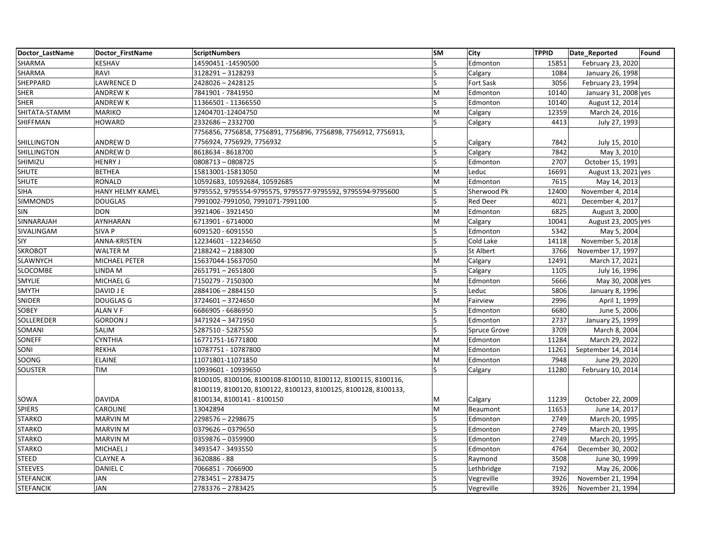| Doctor LastName    | Doctor FirstName  | <b>ScriptNumbers</b>                                           | <b>SM</b> | City                | <b>TPPID</b> | Date Reported        | Found |
|--------------------|-------------------|----------------------------------------------------------------|-----------|---------------------|--------------|----------------------|-------|
| SHARMA             | <b>KESHAV</b>     | 14590451 - 14590500                                            | S         | Edmonton            | 15851        | February 23, 2020    |       |
| SHARMA             | RAVI              | 3128291-3128293                                                | S         | Calgary             | 1084         | January 26, 1998     |       |
| SHEPPARD           | <b>LAWRENCE D</b> | 2428026 - 2428125                                              | S         | <b>Fort Sask</b>    | 3056         | February 23, 1994    |       |
| <b>SHER</b>        | <b>ANDREW K</b>   | 7841901 - 7841950                                              | M         | Edmonton            | 10140        | January 31, 2008 yes |       |
| <b>SHER</b>        | <b>ANDREWK</b>    | 11366501 - 11366550                                            | S         | Edmonton            | 10140        | August 12, 2014      |       |
| SHITATA-STAMM      | <b>MARIKO</b>     | 12404701-12404750                                              | M         | Calgary             | 12359        | March 24, 2016       |       |
| SHIFFMAN           | <b>HOWARD</b>     | 2332686 - 2332700                                              | S         | Calgary             | 4413         | July 27, 1993        |       |
|                    |                   | 7756856, 7756858, 7756891, 7756896, 7756898, 7756912, 7756913, |           |                     |              |                      |       |
| SHILLINGTON        | <b>ANDREW D</b>   | 7756924, 7756929, 7756932                                      |           | Calgary             | 7842         | July 15, 2010        |       |
| <b>SHILLINGTON</b> | <b>ANDREW D</b>   | 8618634 - 8618700                                              | S         | Calgary             | 7842         | May 3, 2010          |       |
| SHIMIZU            | <b>HENRY J</b>    | 0808713-0808725                                                | S         | Edmonton            | 2707         | October 15, 1991     |       |
| <b>SHUTE</b>       | <b>BETHEA</b>     | 15813001-15813050                                              | M         | Leduc               | 16691        | August 13, 2021 yes  |       |
| <b>SHUTE</b>       | <b>RONALD</b>     | 10592683, 10592684, 10592685                                   | M         | Edmonton            | 7615         | May 14, 2013         |       |
| <b>SIHA</b>        | HANY HELMY KAMEL  | 9795552, 9795554-9795575, 9795577-9795592, 9795594-9795600     | S         | Sherwood Pk         | 12400        | November 4, 2014     |       |
| <b>SIMMONDS</b>    | <b>DOUGLAS</b>    | 7991002-7991050, 7991071-7991100                               | Ś         | <b>Red Deer</b>     | 4021         | December 4, 2017     |       |
| SIN                | <b>DON</b>        | 3921406 - 3921450                                              | M         | Edmonton            | 6825         | August 3, 2000       |       |
| SINNARAJAH         | AYNHARAN          | 6713901 - 6714000                                              | M         | Calgary             | 10041        | August 23, 2005 yes  |       |
| SIVALINGAM         | SIVA P            | 6091520 - 6091550                                              | S         | Edmonton            | 5342         | May 5, 2004          |       |
| SIY                | ANNA-KRISTEN      | 12234601 - 12234650                                            | Ś         | Cold Lake           | 14118        | November 5, 2018     |       |
| <b>SKROBOT</b>     | <b>WALTER M</b>   | 2188242-2188300                                                | S         | <b>St Albert</b>    | 3766         | November 17, 1997    |       |
| <b>SLAWNYCH</b>    | MICHAEL PETER     | 15637044-15637050                                              | M         | Calgary             | 12491        | March 17, 2021       |       |
| SLOCOMBE           | LINDA M           | 2651791-2651800                                                | S         | Calgary             | 1105         | July 16, 1996        |       |
| SMYLIE             | MICHAEL G         | 7150279 - 7150300                                              | M         | Edmonton            | 5666         | May 30, 2008 yes     |       |
| <b>SMYTH</b>       | DAVID J E         | 2884106 - 2884150                                              | S         | Leduc               | 5806         | January 8, 1996      |       |
| SNIDER             | <b>DOUGLAS G</b>  | 3724601-3724650                                                | M         | Fairview            | 2996         | April 1, 1999        |       |
| SOBEY              | ALAN V F          | 6686905 - 6686950                                              | S         | Edmonton            | 6680         | June 5, 2006         |       |
| SOLLEREDER         | <b>GORDON J</b>   | 3471924 - 3471950                                              |           | Edmonton            | 2737         | January 25, 1999     |       |
| SOMANI             | SALIM             | 5287510 - 5287550                                              | Ś         | <b>Spruce Grove</b> | 3709         | March 8, 2004        |       |
| SONEFF             | <b>CYNTHIA</b>    | 16771751-16771800                                              | M         | Edmonton            | 11284        | March 29, 2022       |       |
| SONI               | <b>REKHA</b>      | 10787751 - 10787800                                            | M         | Edmonton            | 11261        | September 14, 2014   |       |
| SOONG              | <b>ELAINE</b>     | 11071801-11071850                                              | M         | Edmonton            | 7948         | June 29, 2020        |       |
| <b>SOUSTER</b>     | <b>TIM</b>        | 10939601 - 10939650                                            | S         | Calgary             | 11280        | February 10, 2014    |       |
|                    |                   | 8100105, 8100106, 8100108-8100110, 8100112, 8100115, 8100116,  |           |                     |              |                      |       |
|                    |                   | 8100119, 8100120, 8100122, 8100123, 8100125, 8100128, 8100133, |           |                     |              |                      |       |
| SOWA               | <b>DAVIDA</b>     | 8100134, 8100141 - 8100150                                     | M         | Calgary             | 11239        | October 22, 2009     |       |
| <b>SPIERS</b>      | CAROLINE          | 13042894                                                       | M         | Beaumont            | 11653        | June 14, 2017        |       |
| <b>STARKO</b>      | <b>MARVIN M</b>   | 2298576 - 2298675                                              | S         | Edmonton            | 2749         | March 20, 1995       |       |
| <b>STARKO</b>      | <b>MARVIN M</b>   | 0379626 - 0379650                                              | S         | Edmonton            | 2749         | March 20, 1995       |       |
| <b>STARKO</b>      | <b>MARVIN M</b>   | 0359876 - 0359900                                              |           | Edmonton            | 2749         | March 20, 1995       |       |
| <b>STARKO</b>      | MICHAEL J         | 3493547 - 3493550                                              | S         | Edmonton            | 4764         | December 30, 2002    |       |
| STEED              | <b>CLAYNE A</b>   | 3620886 - 88                                                   | S         | Raymond             | 3508         | June 30, 1999        |       |
| <b>STEEVES</b>     | DANIEL C          | 7066851 - 7066900                                              |           | Lethbridge          | 7192         | May 26, 2006         |       |
| <b>STEFANCIK</b>   | <b>JAN</b>        | 2783451-2783475                                                |           | Vegreville          | 3926         | November 21, 1994    |       |
| <b>STEFANCIK</b>   | JAN               | 2783376 - 2783425                                              | S         | Vegreville          | 3926         | November 21, 1994    |       |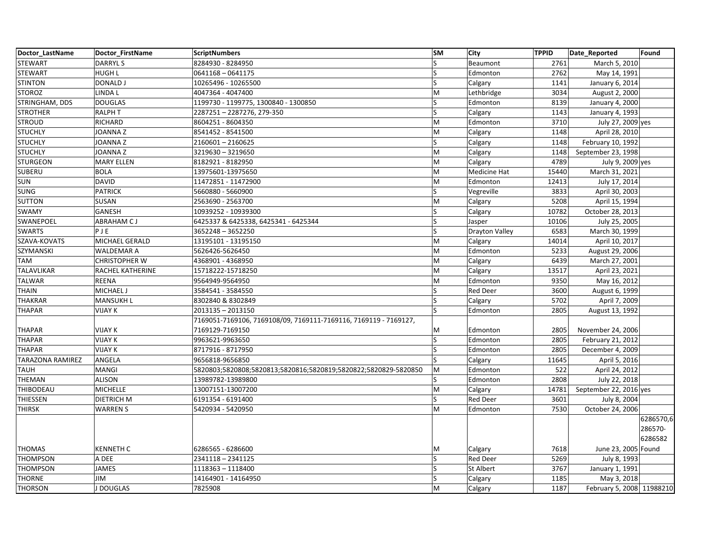| Doctor LastName         | Doctor FirstName     | <b>ScriptNumbers</b>                                             | <b>SM</b>               | City                  | <b>TPPID</b> | Date_Reported             | Found     |
|-------------------------|----------------------|------------------------------------------------------------------|-------------------------|-----------------------|--------------|---------------------------|-----------|
| <b>STEWART</b>          | DARRYL S             | 8284930 - 8284950                                                | $\overline{\mathsf{S}}$ | Beaumont              | 2761         | March 5, 2010             |           |
| STEWART                 | HUGH L               | 0641168 - 0641175                                                | S                       | Edmonton              | 2762         | May 14, 1991              |           |
| <b>STINTON</b>          | <b>DONALD J</b>      | 10265496 - 10265500                                              | Ś                       | Calgary               | 1141         | January 6, 2014           |           |
| <b>STOROZ</b>           | LINDA L              | 4047364 - 4047400                                                | M                       | Lethbridge            | 3034         | August 2, 2000            |           |
| STRINGHAM, DDS          | <b>DOUGLAS</b>       | 1199730 - 1199775, 1300840 - 1300850                             | S                       | Edmonton              | 8139         | January 4, 2000           |           |
| <b>STROTHER</b>         | <b>RALPH T</b>       | 2287251-2287276, 279-350                                         | Ś                       | Calgary               | 1143         | January 4, 1993           |           |
| <b>STROUD</b>           | RICHARD              | 8604251 - 8604350                                                | M                       | Edmonton              | 3710         | July 27, 2009 yes         |           |
| <b>STUCHLY</b>          | <b>JOANNAZ</b>       | 8541452 - 8541500                                                | M                       | Calgary               | 1148         | April 28, 2010            |           |
| <b>STUCHLY</b>          | <b>JOANNAZ</b>       | 2160601-2160625                                                  | Ś                       | Calgary               | 1148         | February 10, 1992         |           |
| <b>STUCHLY</b>          | JOANNA Z             | 3219630 - 3219650                                                | M                       | Calgary               | 1148         | September 23, 1998        |           |
| <b>STURGEON</b>         | <b>MARY ELLEN</b>    | 8182921 - 8182950                                                | M                       | Calgary               | 4789         | July 9, 2009 yes          |           |
| <b>SUBERU</b>           | <b>BOLA</b>          | 13975601-13975650                                                | M                       | <b>Medicine Hat</b>   | 15440        | March 31, 2021            |           |
| SUN                     | <b>DAVID</b>         | 11472851 - 11472900                                              | M                       | Edmonton              | 12413        | July 17, 2014             |           |
| SUNG                    | <b>PATRICK</b>       | 5660880 - 5660900                                                | S                       | Vegreville            | 3833         | April 30, 2003            |           |
| <b>SUTTON</b>           | SUSAN                | 2563690 - 2563700                                                | M                       | Calgary               | 5208         | April 15, 1994            |           |
| SWAMY                   | <b>GANESH</b>        | 10939252 - 10939300                                              | Ś                       | Calgary               | 10782        | October 28, 2013          |           |
| SWANEPOEL               | <b>ABRAHAM CJ</b>    | 6425337 & 6425338, 6425341 - 6425344                             | S                       | Jasper                | 10106        | July 25, 2005             |           |
| <b>SWARTS</b>           | PJE                  | 3652248 - 3652250                                                |                         | <b>Drayton Valley</b> | 6583         | March 30, 1999            |           |
| SZAVA-KOVATS            | MICHAEL GERALD       | 13195101 - 13195150                                              | M                       | Calgary               | 14014        | April 10, 2017            |           |
| SZYMANSKI               | WALDEMAR A           | 5626426-5626450                                                  | M                       | Edmonton              | 5233         | August 29, 2006           |           |
| TAM                     | <b>CHRISTOPHER W</b> | 4368901 - 4368950                                                | M                       | Calgary               | 6439         | March 27, 2001            |           |
| TALAVLIKAR              | RACHEL KATHERINE     | 15718222-15718250                                                | M                       | Calgary               | 13517        | April 23, 2021            |           |
| <b>TALWAR</b>           | <b>REENA</b>         | 9564949-9564950                                                  | M                       | Edmonton              | 9350         | May 16, 2012              |           |
| <b>THAIN</b>            | MICHAEL J            | 3584541 - 3584550                                                |                         | <b>Red Deer</b>       | 3600         | August 6, 1999            |           |
| <b>THAKRAR</b>          | <b>MANSUKH L</b>     | 8302840 & 8302849                                                | Ś                       | Calgary               | 5702         | April 7, 2009             |           |
| <b>THAPAR</b>           | <b>VIJAY K</b>       | 2013135 - 2013150                                                | S                       | Edmonton              | 2805         | August 13, 1992           |           |
|                         |                      | 7169051-7169106, 7169108/09, 7169111-7169116, 7169119 - 7169127, |                         |                       |              |                           |           |
| <b>THAPAR</b>           | <b>VIJAY K</b>       | 7169129-7169150                                                  | M                       | Edmonton              | 2805         | November 24, 2006         |           |
| <b>THAPAR</b>           | <b>VIJAY K</b>       | 9963621-9963650                                                  | S                       | Edmonton              | 2805         | February 21, 2012         |           |
| <b>THAPAR</b>           | <b>VIJAY K</b>       | 8717916 - 8717950                                                |                         | Edmonton              | 2805         | December 4, 2009          |           |
| <b>TARAZONA RAMIREZ</b> | ANGELA               | 9656818-9656850                                                  |                         | Calgary               | 11645        | April 5, 2016             |           |
| <b>TAUH</b>             | <b>MANGI</b>         | 5820803;5820808;5820813;5820816;5820819;5820822;5820829-5820850  | M                       | Edmonton              | 522          | April 24, 2012            |           |
| THEMAN                  | <b>ALISON</b>        | 13989782-13989800                                                | S                       | Edmonton              | 2808         | July 22, 2018             |           |
| THIBODEAU               | <b>MICHELLE</b>      | 13007151-13007200                                                | M                       | Calgary               | 14781        | September 22, 2016 yes    |           |
| THIESSEN                | <b>DIETRICH M</b>    | 6191354 - 6191400                                                | ls                      | <b>Red Deer</b>       | 3601         | July 8, 2004              |           |
| <b>THIRSK</b>           | <b>WARREN S</b>      | 5420934 - 5420950                                                | M                       | Edmonton              | 7530         | October 24, 2006          |           |
|                         |                      |                                                                  |                         |                       |              |                           | 6286570,6 |
|                         |                      |                                                                  |                         |                       |              |                           | 286570-   |
|                         |                      |                                                                  |                         |                       |              |                           | 6286582   |
| <b>THOMAS</b>           | <b>KENNETH C</b>     | 6286565 - 6286600                                                | M                       | Calgary               | 7618         | June 23, 2005 Found       |           |
| <b>THOMPSON</b>         | A DEE                | 2341118 - 2341125                                                | ls                      | <b>Red Deer</b>       | 5269         | July 8, 1993              |           |
| <b>THOMPSON</b>         | <b>JAMES</b>         | 1118363 - 1118400                                                | ς                       | <b>St Albert</b>      | 3767         | January 1, 1991           |           |
| <b>THORNE</b>           | <b>JIM</b>           | 14164901 - 14164950                                              | S                       | Calgary               | 1185         | May 3, 2018               |           |
| <b>THORSON</b>          | J DOUGLAS            | 7825908                                                          | M                       | Calgary               | 1187         | February 5, 2008 11988210 |           |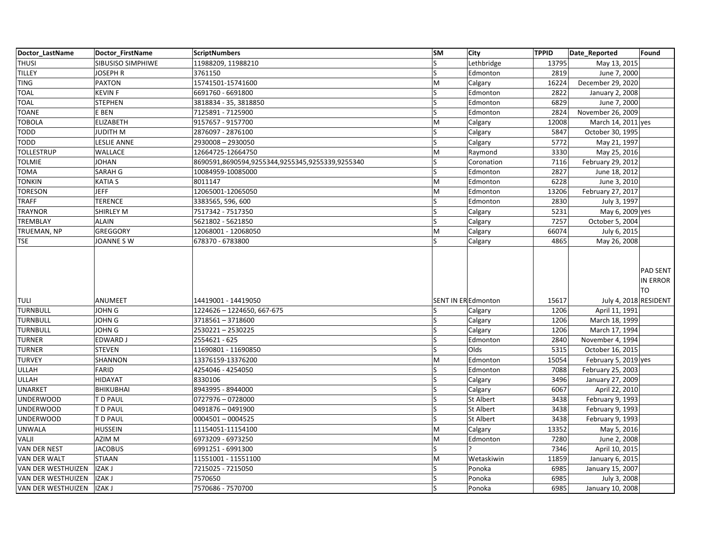| Doctor LastName    | Doctor FirstName   | ScriptNumbers                                   | <b>SM</b>               | <b>City</b>      | <b>TPPID</b> | Date_Reported         | Found                      |
|--------------------|--------------------|-------------------------------------------------|-------------------------|------------------|--------------|-----------------------|----------------------------|
| <b>THUSI</b>       | SIBUSISO SIMPHIWE  | 11988209, 11988210                              | S                       | Lethbridge       | 13795        | May 13, 2015          |                            |
| <b>TILLEY</b>      | <b>JOSEPH R</b>    | 3761150                                         | $\overline{\mathsf{S}}$ | Edmonton         | 2819         | June 7, 2000          |                            |
| TING               | <b>PAXTON</b>      | 15741501-15741600                               | M                       | Calgary          | 16224        | December 29, 2020     |                            |
| <b>TOAL</b>        | <b>KEVINF</b>      | 6691760 - 6691800                               | Ś                       | Edmonton         | 2822         | January 2, 2008       |                            |
| <b>TOAL</b>        | <b>STEPHEN</b>     | 3818834 - 35, 3818850                           | S                       | Edmonton         | 6829         | June 7, 2000          |                            |
| <b>TOANE</b>       | E BEN              | 7125891 - 7125900                               |                         | Edmonton         | 2824         | November 26, 2009     |                            |
| <b>TOBOLA</b>      | <b>ELIZABETH</b>   | 9157657 - 9157700                               | M                       | Calgary          | 12008        | March 14, 2011 yes    |                            |
| TODD               | <b>JUDITH M</b>    | 2876097 - 2876100                               | S                       | Calgary          | 5847         | October 30, 1995      |                            |
| TODD               | <b>LESLIE ANNE</b> | 2930008 - 2930050                               | Ś                       | Calgary          | 5772         | May 21, 1997          |                            |
| <b>TOLLESTRUP</b>  | WALLACE            | 12664725-12664750                               | M                       | Raymond          | 3330         | May 25, 2016          |                            |
| TOLMIE             | <b>JOHAN</b>       | 8690591,8690594,9255344,9255345,9255339,9255340 | S                       | Coronation       | 7116         | February 29, 2012     |                            |
| TOMA               | SARAH G            | 10084959-10085000                               | Ś                       | Edmonton         | 2827         | June 18, 2012         |                            |
| TONKIN             | <b>KATIA S</b>     | 8011147                                         | M                       | Edmonton         | 6228         | June 3, 2010          |                            |
| TORESON            | <b>JEFF</b>        | 12065001-12065050                               | M                       | Edmonton         | 13206        | February 27, 2017     |                            |
| <b>TRAFF</b>       | <b>TERENCE</b>     | 3383565, 596, 600                               | S                       | Edmonton         | 2830         | July 3, 1997          |                            |
| TRAYNOR            | SHIRLEY M          | 7517342 - 7517350                               | Ś                       | Calgary          | 5231         | May 6, 2009 yes       |                            |
| TREMBLAY           | <b>ALAIN</b>       | 5621802 - 5621850                               | S                       | Calgary          | 7257         | October 5, 2004       |                            |
| TRUEMAN, NP        | GREGGORY           | 12068001 - 12068050                             | M                       | Calgary          | 66074        | July 6, 2015          |                            |
| TSE                | JOANNE SW          | 678370 - 6783800                                | S                       | Calgary          | 4865         | May 26, 2008          |                            |
|                    |                    |                                                 |                         |                  |              |                       | PAD SENT<br>IN ERROR<br>TO |
| <b>TULI</b>        | ANUMEET            | 14419001 - 14419050                             | SENT IN ER Edmonton     |                  | 15617        | July 4, 2018 RESIDENT |                            |
| <b>TURNBULL</b>    | <b>JOHN G</b>      | 1224626 - 1224650, 667-675                      | S                       | Calgary          | 1206         | April 11, 1991        |                            |
| <b>TURNBULL</b>    | <b>JOHN G</b>      | 3718561-3718600                                 |                         | Calgary          | 1206         | March 18, 1999        |                            |
| <b>TURNBULL</b>    | <b>JOHN G</b>      | 2530221-2530225                                 | S                       | Calgary          | 1206         | March 17, 1994        |                            |
| <b>TURNER</b>      | EDWARD J           | 2554621 - 625                                   | S                       | Edmonton         | 2840         | November 4, 1994      |                            |
| TURNER             | <b>STEVEN</b>      | 11690801 - 11690850                             |                         | Olds             | 5315         | October 16, 2015      |                            |
| TURVEY             | SHANNON            | 13376159-13376200                               | M                       | Edmonton         | 15054        | February 5, 2019 yes  |                            |
| <b>ULLAH</b>       | <b>FARID</b>       | 4254046 - 4254050                               | S                       | Edmonton         | 7088         | February 25, 2003     |                            |
| <b>ULLAH</b>       | <b>HIDAYAT</b>     | 8330106                                         |                         | Calgary          | 3496         | January 27, 2009      |                            |
| <b>UNARKET</b>     | <b>BHIKUBHAI</b>   | 8943995 - 8944000                               | S                       | Calgary          | 6067         | April 22, 2010        |                            |
| <b>UNDERWOOD</b>   | T D PAUL           | 0727976 - 0728000                               | S                       | <b>St Albert</b> | 3438         | February 9, 1993      |                            |
| <b>UNDERWOOD</b>   | T D PAUL           | 0491876 - 0491900                               | Ś                       | <b>St Albert</b> | 3438         | February 9, 1993      |                            |
| <b>UNDERWOOD</b>   | T D PAUL           | 0004501 - 0004525                               | S                       | <b>St Albert</b> | 3438         | February 9, 1993      |                            |
| <b>UNWALA</b>      | <b>HUSSEIN</b>     | 11154051-11154100                               | M                       | Calgary          | 13352        | May 5, 2016           |                            |
| VALJI              | AZIM M             | 6973209 - 6973250                               | M                       | Edmonton         | 7280         | June 2, 2008          |                            |
| VAN DER NEST       | <b>JACOBUS</b>     | 6991251 - 6991300                               | S                       |                  | 7346         | April 10, 2015        |                            |
| VAN DER WALT       | <b>STIAAN</b>      | 11551001 - 11551100                             | M                       | Wetaskiwin       | 11859        | January 6, 2015       |                            |
| VAN DER WESTHUIZEN | IZAK J             | 7215025 - 7215050                               | S                       | Ponoka           | 6985         | January 15, 2007      |                            |
| VAN DER WESTHUIZEN | <b>IZAK J</b>      | 7570650                                         |                         | Ponoka           | 6985         | July 3, 2008          |                            |
| VAN DER WESTHUIZEN | IZAK J             | 7570686 - 7570700                               | S                       | Ponoka           | 6985         | January 10, 2008      |                            |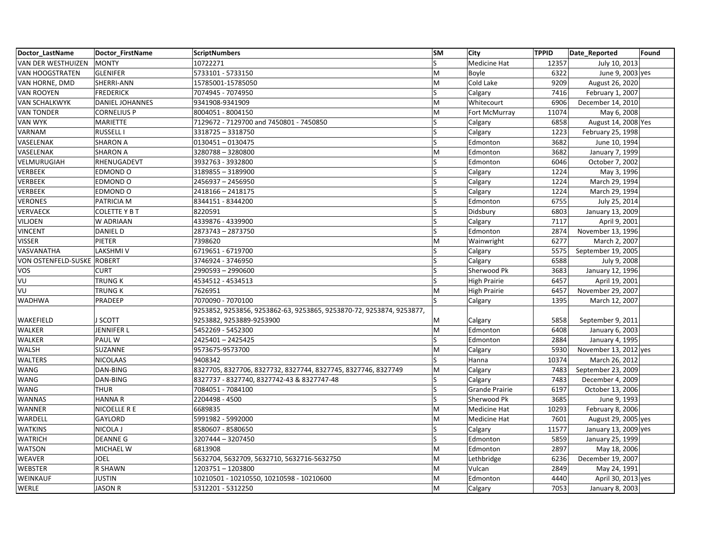| Doctor_LastName                   | Doctor FirstName       | <b>ScriptNumbers</b>                                                 | <b>SM</b> | City                  | <b>TPPID</b> | Date Reported         | Found |
|-----------------------------------|------------------------|----------------------------------------------------------------------|-----------|-----------------------|--------------|-----------------------|-------|
| VAN DER WESTHUIZEN                | <b>MONTY</b>           | 10722271                                                             | S         | Medicine Hat          | 12357        | July 10, 2013         |       |
| <b>VAN HOOGSTRATEN</b>            | <b>GLENIFER</b>        | 5733101 - 5733150                                                    | M         | Boyle                 | 6322         | June 9, 2003 yes      |       |
| VAN HORNE, DMD                    | SHERRI-ANN             | 15785001-15785050                                                    | M         | Cold Lake             | 9209         | August 26, 2020       |       |
| <b>VAN ROOYEN</b>                 | <b>FREDERICK</b>       | 7074945 - 7074950                                                    | S         | Calgary               | 7416         | February 1, 2007      |       |
| <b>VAN SCHALKWYK</b>              | <b>DANIEL JOHANNES</b> | 9341908-9341909                                                      | M         | Whitecourt            | 6906         | December 14, 2010     |       |
| <b>VAN TONDER</b>                 | <b>CORNELIUS P</b>     | 8004051 - 8004150                                                    | M         | Fort McMurray         | 11074        | May 6, 2008           |       |
| <b>VAN WYK</b>                    | MARIETTE               | 7129672 - 7129700 and 7450801 - 7450850                              | S         | Calgary               | 6858         | August 14, 2008 Yes   |       |
| VARNAM                            | <b>RUSSELL I</b>       | 3318725 - 3318750                                                    | S         | Calgary               | 1223         | February 25, 1998     |       |
| VASELENAK                         | <b>SHARON A</b>        | $0130451 - 0130475$                                                  | S         | Edmonton              | 3682         | June 10, 1994         |       |
| VASELENAK                         | <b>SHARON A</b>        | 3280788-3280800                                                      | M         | Edmonton              | 3682         | January 7, 1999       |       |
| VELMURUGIAH                       | RHENUGADEVT            | 3932763 - 3932800                                                    | S         | Edmonton              | 6046         | October 7, 2002       |       |
| <b>VERBEEK</b>                    | EDMOND O               | 3189855 - 3189900                                                    | S         | Calgary               | 1224         | May 3, 1996           |       |
| <b>VERBEEK</b>                    | EDMOND O               | 2456937 - 2456950                                                    | S         | Calgary               | 1224         | March 29, 1994        |       |
| <b>VERBEEK</b>                    | EDMOND O               | 2418166 - 2418175                                                    | S         | Calgary               | 1224         | March 29, 1994        |       |
| <b>VERONES</b>                    | PATRICIA M             | 8344151 - 8344200                                                    | S         | Edmonton              | 6755         | July 25, 2014         |       |
| <b>VERVAECK</b>                   | <b>COLETTE Y B T</b>   | 8220591                                                              | Ś         | Didsbury              | 6803         | January 13, 2009      |       |
| <b>VILJOEN</b>                    | W ADRIAAN              | 4339876 - 4339900                                                    | ls        | Calgary               | 7117         | April 9, 2001         |       |
| <b>VINCENT</b>                    | DANIEL D               | 2873743 - 2873750                                                    | S         | Edmonton              | 2874         | November 13, 1996     |       |
| <b>VISSER</b>                     | PIETER                 | 7398620                                                              | M         | Wainwright            | 6277         | March 2, 2007         |       |
| VASVANATHA                        | <b>LAKSHMIV</b>        | 6719651 - 6719700                                                    | ls        | Calgary               | 5575         | September 19, 2005    |       |
| <b>VON OSTENFELD-SUSKE ROBERT</b> |                        | 3746924 - 3746950                                                    | S         | Calgary               | 6588         | July 9, 2008          |       |
| <b>VOS</b>                        | <b>CURT</b>            | 2990593 - 2990600                                                    | S         | Sherwood Pk           | 3683         | January 12, 1996      |       |
| VU                                | TRUNG K                | 4534512 - 4534513                                                    | ls        | <b>High Prairie</b>   | 6457         | April 19, 2001        |       |
| VU                                | <b>TRUNG K</b>         | 7626951                                                              | M         | <b>High Prairie</b>   | 6457         | November 29, 2007     |       |
| <b>WADHWA</b>                     | PRADEEP                | 7070090 - 7070100                                                    | S.        | Calgary               | 1395         | March 12, 2007        |       |
|                                   |                        | 9253852, 9253856, 9253862-63, 9253865, 9253870-72, 9253874, 9253877, |           |                       |              |                       |       |
| WAKEFIELD                         | <b>J SCOTT</b>         | 9253882, 9253889-9253900                                             | м         | Calgary               | 5858         | September 9, 2011     |       |
| <b>WALKER</b>                     | JENNIFER L             | 5452269 - 5452300                                                    | M         | Edmonton              | 6408         | January 6, 2003       |       |
| <b>WALKER</b>                     | PAUL W                 | 2425401-2425425                                                      | S         | Edmonton              | 2884         | January 4, 1995       |       |
| <b>WALSH</b>                      | <b>SUZANNE</b>         | 9573675-9573700                                                      | M         | Calgary               | 5930         | November 13, 2012 yes |       |
| <b>WALTERS</b>                    | <b>NICOLAAS</b>        | 9408342                                                              | ls        | Hanna                 | 10374        | March 26, 2012        |       |
| <b>WANG</b>                       | DAN-BING               | 8327705, 8327706, 8327732, 8327744, 8327745, 8327746, 8327749        | M         | Calgary               | 7483         | September 23, 2009    |       |
| <b>WANG</b>                       | DAN-BING               | 8327737 - 8327740, 8327742-43 & 8327747-48                           | S         | Calgary               | 7483         | December 4, 2009      |       |
| <b>WANG</b>                       | <b>THUR</b>            | 7084051 - 7084100                                                    | ls        | <b>Grande Prairie</b> | 6197         | October 13, 2006      |       |
| <b>WANNAS</b>                     | <b>HANNAR</b>          | 2204498 - 4500                                                       | S         | Sherwood Pk           | 3685         | June 9, 1993          |       |
| <b>WANNER</b>                     | NICOELLE R E           | 6689835                                                              | M         | Medicine Hat          | 10293        | February 8, 2006      |       |
| WARDELL                           | <b>GAYLORD</b>         | 5991982 - 5992000                                                    | M         | Medicine Hat          | 7601         | August 29, 2005 yes   |       |
| <b>WATKINS</b>                    | NICOLA J               | 8580607 - 8580650                                                    | S         | Calgary               | 11577        | January 13, 2009 yes  |       |
| <b>WATRICH</b>                    | <b>DEANNE G</b>        | 3207444 - 3207450                                                    | ς         | Edmonton              | 5859         | January 25, 1999      |       |
| <b>WATSON</b>                     | MICHAEL W              | 6813908                                                              | M         | Edmonton              | 2897         | May 18, 2006          |       |
| WEAVER                            | <b>JOEL</b>            | 5632704, 5632709, 5632710, 5632716-5632750                           | M         | Lethbridge            | 6236         | December 19, 2007     |       |
| <b>WEBSTER</b>                    | <b>R SHAWN</b>         | 1203751-1203800                                                      | M         | Vulcan                | 2849         | May 24, 1991          |       |
| WEINKAUF                          | <b>JUSTIN</b>          | 10210501 - 10210550, 10210598 - 10210600                             | M         | Edmonton              | 4440         | April 30, 2013 yes    |       |
| WERLE                             | <b>JASON R</b>         | 5312201 - 5312250                                                    | M         | Calgary               | 7053         | January 8, 2003       |       |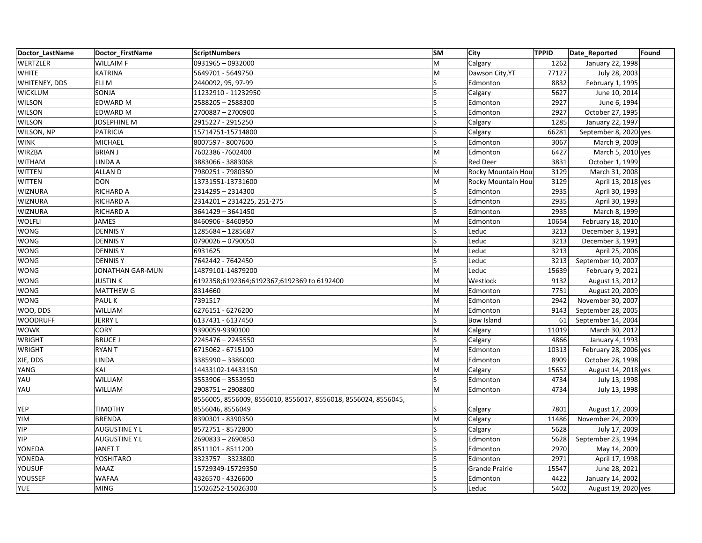| Doctor LastName | Doctor FirstName     | <b>ScriptNumbers</b>                                           | <b>SM</b>               | <b>City</b>        | <b>TPPID</b> | Date_Reported         | Found |
|-----------------|----------------------|----------------------------------------------------------------|-------------------------|--------------------|--------------|-----------------------|-------|
| WERTZLER        | <b>WILLAIM F</b>     | 0931965 - 0932000                                              | M                       | Calgary            | 1262         | January 22, 1998      |       |
| <b>WHITE</b>    | <b>KATRINA</b>       | 5649701 - 5649750                                              | M                       | Dawson City, YT    | 77127        | July 28, 2003         |       |
| WHITENEY, DDS   | ELI M                | 2440092, 95, 97-99                                             | S                       | Edmonton           | 8832         | February 1, 1995      |       |
| <b>WICKLUM</b>  | SONJA                | 11232910 - 11232950                                            | S                       | Calgary            | 5627         | June 10, 2014         |       |
| <b>WILSON</b>   | EDWARD M             | 2588205 - 2588300                                              | S                       | Edmonton           | 2927         | June 6, 1994          |       |
| <b>WILSON</b>   | <b>EDWARD M</b>      | 2700887-2700900                                                | Ś                       | Edmonton           | 2927         | October 27, 1995      |       |
| <b>WILSON</b>   | <b>JOSEPHINE M</b>   | 2915227 - 2915250                                              | S                       | Calgary            | 1285         | January 22, 1997      |       |
| WILSON, NP      | <b>PATRICIA</b>      | 15714751-15714800                                              | S                       | Calgary            | 66281        | September 8, 2020 yes |       |
| <b>WINK</b>     | <b>MICHAEL</b>       | 8007597 - 8007600                                              |                         | Edmonton           | 3067         | March 9, 2009         |       |
| <b>WIRZBA</b>   | <b>BRIAN J</b>       | 7602386 - 7602400                                              | M                       | Edmonton           | 6427         | March 5, 2010 yes     |       |
| <b>WITHAM</b>   | LINDA A              | 3883066 - 3883068                                              | S                       | <b>Red Deer</b>    | 3831         | October 1, 1999       |       |
| <b>WITTEN</b>   | <b>ALLAND</b>        | 7980251 - 7980350                                              | M                       | Rocky Mountain Hou | 3129         | March 31, 2008        |       |
| <b>WITTEN</b>   | <b>DON</b>           | 13731551-13731600                                              | M                       | Rocky Mountain Hou | 3129         | April 13, 2018 yes    |       |
| <b>WIZNURA</b>  | <b>RICHARD A</b>     | 2314295 - 2314300                                              | $\overline{\mathsf{S}}$ | Edmonton           | 2935         | April 30, 1993        |       |
| <b>WIZNURA</b>  | <b>RICHARD A</b>     | 2314201-2314225, 251-275                                       | S                       | Edmonton           | 2935         | April 30, 1993        |       |
| <b>WIZNURA</b>  | RICHARD A            | 3641429 - 3641450                                              | S                       | Edmonton           | 2935         | March 8, 1999         |       |
| <b>WOLFLI</b>   | <b>JAMES</b>         | 8460906 - 8460950                                              | M                       | Edmonton           | 10654        | February 18, 2010     |       |
| <b>WONG</b>     | <b>DENNISY</b>       | 1285684 - 1285687                                              |                         | Leduc              | 3213         | December 3, 1991      |       |
| WONG            | <b>DENNISY</b>       | 0790026 - 0790050                                              | S                       | Leduc              | 3213         | December 3, 1991      |       |
| <b>WONG</b>     | <b>DENNISY</b>       | 6931625                                                        | M                       | Leduc              | 3213         | April 25, 2006        |       |
| <b>WONG</b>     | <b>DENNISY</b>       | 7642442 - 7642450                                              |                         | Leduc              | 3213         | September 10, 2007    |       |
| WONG            | JONATHAN GAR-MUN     | 14879101-14879200                                              | M                       | Leduc              | 15639        | February 9, 2021      |       |
| <b>WONG</b>     | <b>JUSTINK</b>       | 6192358;6192364;6192367;6192369 to 6192400                     | M                       | Westlock           | 9132         | August 13, 2012       |       |
| WONG            | <b>MATTHEW G</b>     | 8314660                                                        | M                       | Edmonton           | 7751         | August 20, 2009       |       |
| <b>WONG</b>     | PAUL K               | 7391517                                                        | M                       | Edmonton           | 2942         | November 30, 2007     |       |
| WOO, DDS        | WILLIAM              | 6276151 - 6276200                                              | M                       | Edmonton           | 9143         | September 28, 2005    |       |
| <b>WOODRUFF</b> | <b>JERRY L</b>       | 6137431 - 6137450                                              | Ś                       | <b>Bow Island</b>  | 61           | September 14, 2004    |       |
| <b>WOWK</b>     | <b>CORY</b>          | 9390059-9390100                                                | M                       | Calgary            | 11019        | March 30, 2012        |       |
| <b>WRIGHT</b>   | <b>BRUCE J</b>       | 2245476 - 2245550                                              | S                       | Calgary            | 4866         | January 4, 1993       |       |
| <b>WRIGHT</b>   | <b>RYANT</b>         | 6715062 - 6715100                                              | M                       | Edmonton           | 10313        | February 28, 2006 yes |       |
| XIE, DDS        | LINDA                | 3385990 - 3386000                                              | M                       | Edmonton           | 8909         | October 28, 1998      |       |
| YANG            | KAI                  | 14433102-14433150                                              | M                       | Calgary            | 15652        | August 14, 2018 yes   |       |
| YAU             | <b>WILLIAM</b>       | 3553906 - 3553950                                              | S                       | Edmonton           | 4734         | July 13, 1998         |       |
| YAU             | WILLIAM              | 2908751-2908800                                                | M                       | Edmonton           | 4734         | July 13, 1998         |       |
|                 |                      | 8556005, 8556009, 8556010, 8556017, 8556018, 8556024, 8556045, |                         |                    |              |                       |       |
| YEP             | <b>TIMOTHY</b>       | 8556046, 8556049                                               |                         | Calgary            | 7801         | August 17, 2009       |       |
| YIM             | <b>BRENDA</b>        | 8390301 - 8390350                                              | M                       | Calgary            | 11486        | November 24, 2009     |       |
| YIP             | <b>AUGUSTINE Y L</b> | 8572751 - 8572800                                              | ls                      | Calgary            | 5628         | July 17, 2009         |       |
| YIP             | <b>AUGUSTINE Y L</b> | 2690833 - 2690850                                              |                         | Edmonton           | 5628         | September 23, 1994    |       |
| YONEDA          | <b>JANET T</b>       | 8511101 - 8511200                                              | Ś                       | Edmonton           | 2970         | May 14, 2009          |       |
| YONEDA          | YOSHITARO            | 3323757 - 3323800                                              | S                       | Edmonton           | 2971         | April 17, 1998        |       |
| YOUSUF          | <b>MAAZ</b>          | 15729349-15729350                                              |                         | Grande Prairie     | 15547        | June 28, 2021         |       |
| YOUSSEF         | <b>WAFAA</b>         | 4326570 - 4326600                                              |                         | Edmonton           | 4422         | January 14, 2002      |       |
| <b>YUE</b>      | <b>MING</b>          | 15026252-15026300                                              | S                       | Leduc              | 5402         | August 19, 2020 yes   |       |